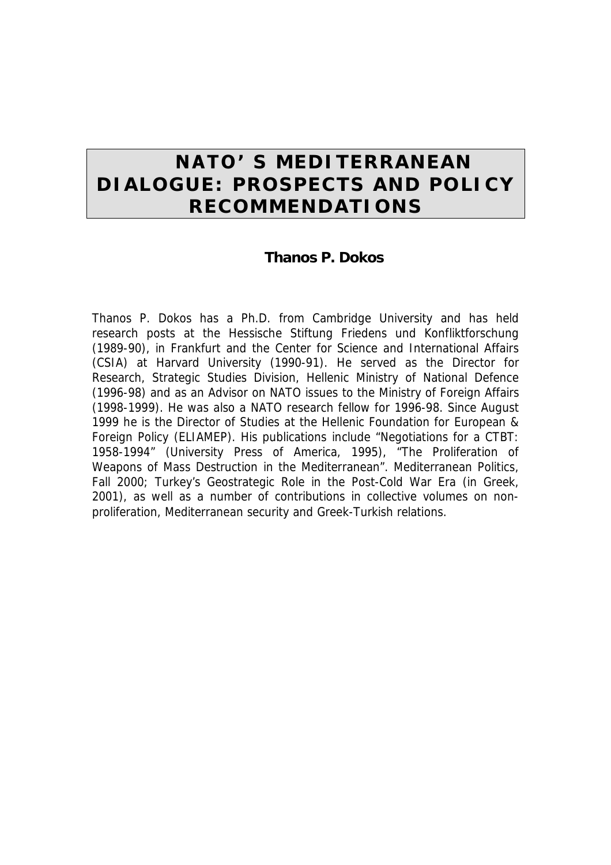# **NATO'S MEDITERRANEAN DIALOGUE: PROSPECTS AND POLICY RECOMMENDATIONS**

### **Thanos P. Dokos**

Thanos P. Dokos has a Ph.D. from Cambridge University and has held research posts at the Hessische Stiftung Friedens und Konfliktforschung (1989-90), in Frankfurt and the Center for Science and International Affairs (CSIA) at Harvard University (1990-91). He served as the Director for Research, Strategic Studies Division, Hellenic Ministry of National Defence (1996-98) and as an Advisor on NATO issues to the Ministry of Foreign Affairs (1998-1999). He was also a NATO research fellow for 1996-98. Since August 1999 he is the Director of Studies at the Hellenic Foundation for European & Foreign Policy (ELIAMEP). His publications include "*Negotiations for a CTBT: 1958-1994*" (University Press of America, 1995), "The Proliferation of Weapons of Mass Destruction in the Mediterranean". *Mediterranean Politics,*  Fall 2000; *Turkey's Geostrategic Role in the Post-Cold War Era* (in Greek, 2001), as well as a number of contributions in collective volumes on nonproliferation, Mediterranean security and Greek-Turkish relations.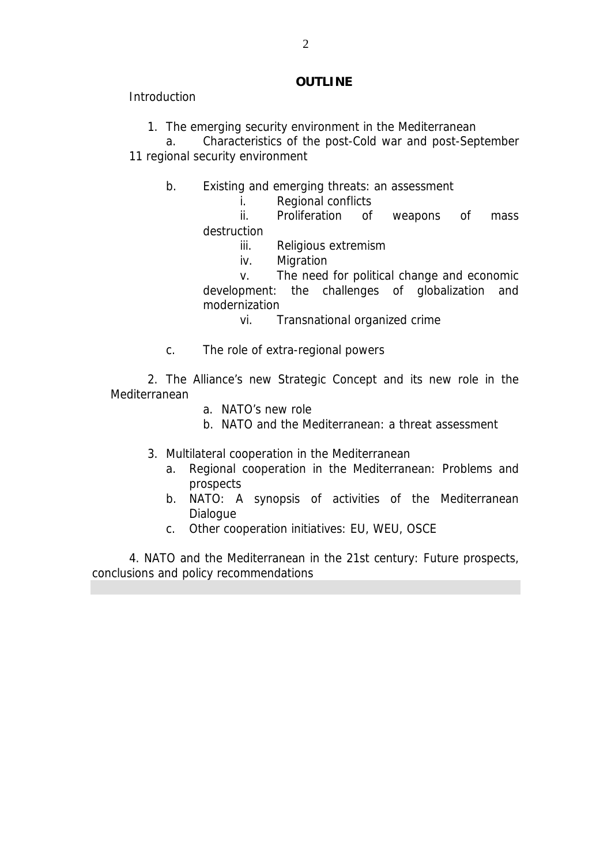#### **OUTLINE**

**Introduction** 

1. The emerging security environment in the Mediterranean

a. Characteristics of the post-Cold war and post-September 11 regional security environment

- b. Existing and emerging threats: an assessment
	- i. Regional conflicts

ii. Proliferation of weapons of mass destruction

- iii. Religious extremism
- iv. Migration

v. The need for political change and economic development: the challenges of globalization and modernization

vi. Transnational organized crime

c. The role of extra-regional powers

2. The Alliance's new Strategic Concept and its new role in the Mediterranean

- a. NATO's new role
- b. NATO and the Mediterranean: a threat assessment
- 3. Multilateral cooperation in the Mediterranean
	- a. Regional cooperation in the Mediterranean: Problems and prospects
	- b. NATO: A synopsis of activities of the Mediterranean **Dialogue**
	- c. Other cooperation initiatives: EU, WEU, OSCE

4. NATO and the Mediterranean in the 21st century: Future prospects, conclusions and policy recommendations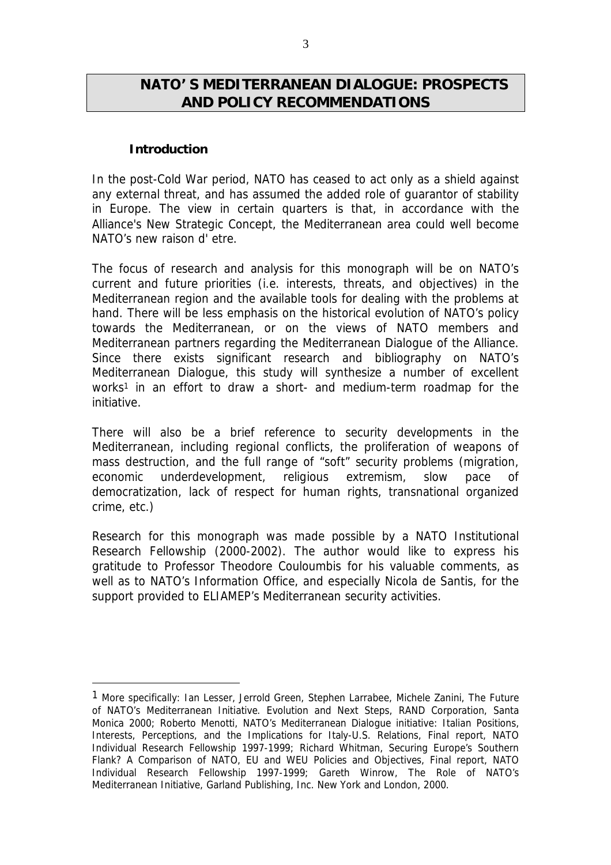## **ΝΑΤΟ' S MEDITERRANEAN DIALOGUE: PROSPECTS AND POLICY RECOMMENDATIONS**

### **Introduction**

 $\overline{a}$ 

In the post-Cold War period, NATO has ceased to act only as a shield against any external threat, and has assumed the added role of guarantor of stability in Europe. The view in certain quarters is that, in accordance with the Alliance's New Strategic Concept, the Mediterranean area could well become NATO's new raison d' etre.

The focus of research and analysis for this monograph will be on NATO's current and future priorities (i.e. interests, threats, and objectives) in the Mediterranean region and the available tools for dealing with the problems at hand. There will be less emphasis on the historical evolution of NATO's policy towards the Mediterranean, or on the views of NATO members and Mediterranean partners regarding the Mediterranean Dialogue of the Alliance. Since there exists significant research and bibliography on NATO's Mediterranean Dialogue, this study will synthesize a number of excellent works<sup>1</sup> in an effort to draw a short- and medium-term roadmap for the initiative.

There will also be a brief reference to security developments in the Mediterranean, including regional conflicts, the proliferation of weapons of mass destruction, and the full range of "soft" security problems (migration, economic underdevelopment, religious extremism, slow pace of democratization, lack of respect for human rights, transnational organized crime, etc.)

Research for this monograph was made possible by a NATO Institutional Research Fellowship (2000-2002). The author would like to express his gratitude to Professor Theodore Couloumbis for his valuable comments, as well as to NATO's Information Office, and especially Nicola de Santis, for the support provided to ELIAMEP's Mediterranean security activities.

<sup>1</sup> More specifically: Ian Lesser, Jerrold Green, Stephen Larrabee, Michele Zanini, *The Future of NATO's Mediterranean Initiative. Evolution and Next Steps,* RAND Corporation, Santa Monica 2000; Roberto Menotti, *NATO's Mediterranean Dialogue initiative: Italian Positions, Interests, Perceptions, and the Implications for Italy-U.S. Relations*, Final report, NATO Individual Research Fellowship 1997-1999; Richard Whitman, *Securing Europe's Southern Flank? A Comparison of NATO, EU and WEU Policies and Objectives*, Final report, NATO Individual Research Fellowship 1997-1999; Gareth Winrow, *The Role of NATO's Mediterranean Initiative*, Garland Publishing, Inc. New York and London, 2000.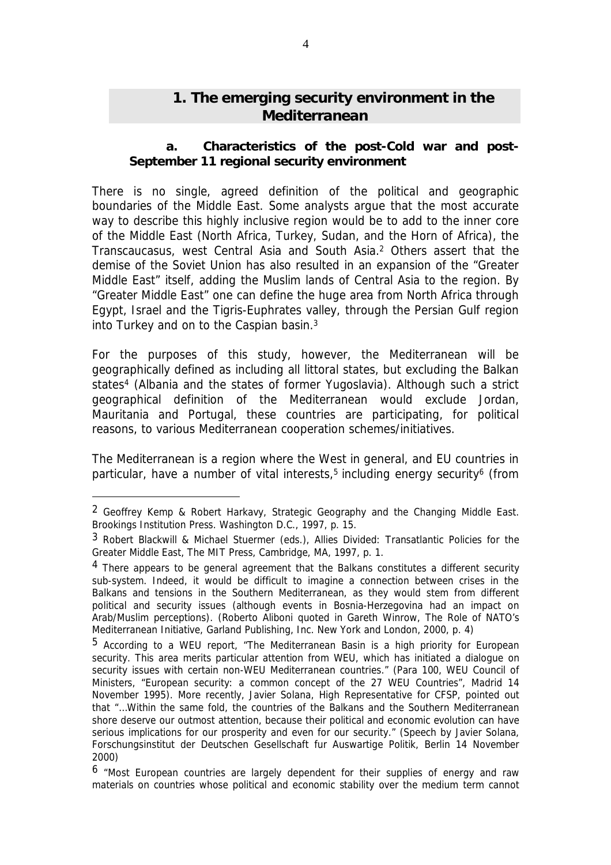# **1. The emerging security environment in the Mediterranean**

#### *a. Characteristics of the post-Cold war and post-September 11 regional security environment*

There is no single, agreed definition of the political and geographic boundaries of the Middle East. Some analysts argue that the most accurate way to describe this highly inclusive region would be to add to the inner core of the Middle East (North Africa, Turkey, Sudan, and the Horn of Africa), the Transcaucasus, west Central Asia and South Asia.<sup>2</sup> Others assert that the demise of the Soviet Union has also resulted in an expansion of the "Greater Middle East" itself, adding the Muslim lands of Central Asia to the region. By "Greater Middle East" one can define the huge area from North Africa through Egypt, Israel and the Tigris-Euphrates valley, through the Persian Gulf region into Turkey and on to the Caspian basin.<sup>3</sup>

For the purposes of this study, however, the Mediterranean will be geographically defined as including all littoral states, but excluding the Balkan states<sup>4</sup> (Albania and the states of former Yugoslavia). Although such a strict geographical definition of the Mediterranean would exclude Jordan, Mauritania and Portugal, these countries are participating, for political reasons, to various Mediterranean cooperation schemes/initiatives.

The Mediterranean is a region where the West in general, and EU countries in particular, have a number of vital interests,<sup>5</sup> including energy security<sup>6</sup> (from

<sup>2</sup> Geoffrey Kemp & Robert Harkavy, *Strategic Geography and the Changing Middle East*. Brookings Institution Press. Washington D.C., 1997, p. 15.

<sup>3</sup> Robert Blackwill & Michael Stuermer (eds.), *Allies Divided: Transatlantic Policies for the Greater Middle East,* The MIT Press, Cambridge, MA, 1997, p. 1.

<sup>&</sup>lt;sup>4</sup> There appears to be general agreement that the Balkans constitutes a different security sub-system. Indeed, it would be difficult to imagine a connection between crises in the Balkans and tensions in the Southern Mediterranean, as they would stem from different political and security issues (although events in Bosnia-Herzegovina had an impact on Arab/Muslim perceptions). (Roberto Aliboni quoted in Gareth Winrow, *The Role of NATO's Mediterranean Initiative*, Garland Publishing, Inc. New York and London, 2000, p. 4)

<sup>5</sup> According to a WEU report, "The Mediterranean Basin is a high priority for European security. This area merits particular attention from WEU, which has initiated a dialogue on security issues with certain non-WEU Mediterranean countries." (Para 100, WEU Council of Ministers, "*European security: a common concept of the 27 WEU Countries*", Madrid 14 November 1995). More recently, Javier Solana, High Representative for CFSP, pointed out that "…Within the same fold, the countries of the Balkans and the Southern Mediterranean shore deserve our outmost attention, because their political and economic evolution can have serious implications for our prosperity and even for our security." (Speech by Javier Solana, Forschungsinstitut der Deutschen Gesellschaft fur Auswartige Politik, Berlin 14 November 2000)

<sup>6</sup> "Most European countries are largely dependent for their supplies of energy and raw materials on countries whose political and economic stability over the medium term cannot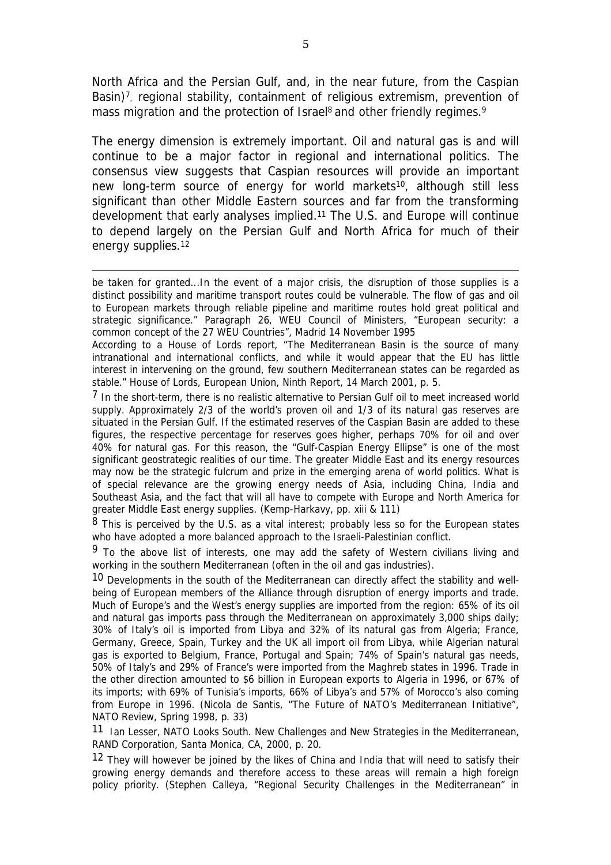North Africa and the Persian Gulf, and, in the near future, from the Caspian Basin)<sup>7</sup>, regional stability, containment of religious extremism, prevention of mass migration and the protection of Israel<sup>8</sup> and other friendly regimes.<sup>9</sup>

The energy dimension is extremely important. Oil and natural gas is and will continue to be a major factor in regional and international politics. The consensus view suggests that Caspian resources will provide an important new long-term source of energy for world markets<sup>10</sup>, although still less significant than other Middle Eastern sources and far from the transforming development that early analyses implied.<sup>11</sup> The U.S. and Europe will continue to depend largely on the Persian Gulf and North Africa for much of their energy supplies.<sup>12</sup>

be taken for granted...In the event of a major crisis, the disruption of those supplies is a distinct possibility and maritime transport routes could be vulnerable. The flow of gas and oil to European markets through reliable pipeline and maritime routes hold great political and strategic significance." Paragraph 26, WEU Council of Ministers, "*European security: a common concept of the 27 WEU Countries*", Madrid 14 November 1995

 $\overline{a}$ 

According to a House of Lords report, "The Mediterranean Basin is the source of many intranational and international conflicts, and while it would appear that the EU has little interest in intervening on the ground, few southern Mediterranean states can be regarded as stable." House of Lords, European Union, Ninth Report, 14 March 2001, p. 5.

<sup>7</sup> In the short-term, there is no realistic alternative to Persian Gulf oil to meet increased world supply. Approximately 2/3 of the world's proven oil and 1/3 of its natural gas reserves are situated in the Persian Gulf. If the estimated reserves of the Caspian Basin are added to these figures, the respective percentage for reserves goes higher, perhaps 70% for oil and over 40% for natural gas. For this reason, the "Gulf-Caspian Energy Ellipse" is one of the most significant geostrategic realities of our time. The greater Middle East and its energy resources may now be the strategic fulcrum and prize in the emerging arena of world politics. What is of special relevance are the growing energy needs of Asia, including China, India and Southeast Asia, and the fact that will all have to compete with Europe and North America for greater Middle East energy supplies. (Kemp-Harkavy, pp. xiii & 111)

 $8$  This is perceived by the U.S. as a vital interest; probably less so for the European states who have adopted a more balanced approach to the Israeli-Palestinian conflict.

<sup>9</sup> To the above list of interests, one may add the safety of Western civilians living and working in the southern Mediterranean (often in the oil and gas industries).

10 Developments in the south of the Mediterranean can directly affect the stability and wellbeing of European members of the Alliance through disruption of energy imports and trade. Much of Europe's and the West's energy supplies are imported from the region: 65% of its oil and natural gas imports pass through the Mediterranean on approximately 3,000 ships daily; 30% of Italy's oil is imported from Libya and 32% of its natural gas from Algeria; France, Germany, Greece, Spain, Turkey and the UK all import oil from Libya, while Algerian natural gas is exported to Belgium, France, Portugal and Spain; 74% of Spain's natural gas needs, 50% of Italy's and 29% of France's were imported from the Maghreb states in 1996. Trade in the other direction amounted to \$6 billion in European exports to Algeria in 1996, or 67% of its imports; with 69% of Tunisia's imports, 66% of Libya's and 57% of Morocco's also coming from Europe in 1996. (Nicola de Santis, "The Future of NATO's Mediterranean Initiative", *NATO Review*, Spring 1998, p. 33)

11 Ian Lesser, *NATO Looks South. New Challenges and New Strategies in the Mediterranean*, RAND Corporation, Santa Monica, CA, 2000, p. 20.

<sup>12</sup> They will however be joined by the likes of China and India that will need to satisfy their growing energy demands and therefore access to these areas will remain a high foreign policy priority. (Stephen Calleya, "Regional Security Challenges in the Mediterranean" in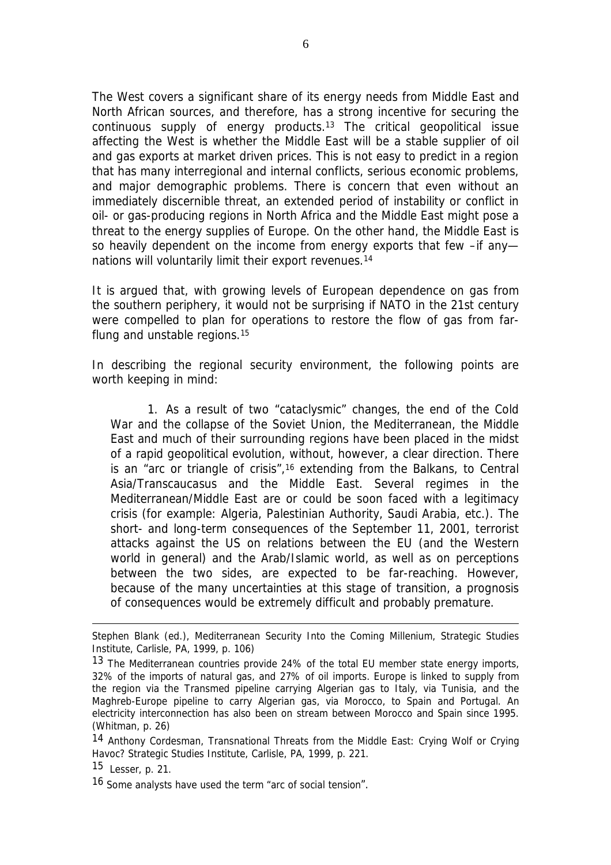The West covers a significant share of its energy needs from Middle East and North African sources, and therefore, has a strong incentive for securing the continuous supply of energy products.<sup>13</sup> The critical geopolitical issue affecting the West is whether the Middle East will be a stable supplier of oil and gas exports at market driven prices. This is not easy to predict in a region that has many interregional and internal conflicts, serious economic problems, and major demographic problems. There is concern that even without an immediately discernible threat, an extended period of instability or conflict in oil- or gas-producing regions in North Africa and the Middle East might pose a threat to the energy supplies of Europe. On the other hand, the Middle East is so heavily dependent on the income from energy exports that few –if anynations will voluntarily limit their export revenues.<sup>14</sup>

It is argued that, with growing levels of European dependence on gas from the southern periphery, it would not be surprising if NATO in the 21st century were compelled to plan for operations to restore the flow of gas from farflung and unstable regions.<sup>15</sup>

In describing the regional security environment, the following points are worth keeping in mind:

1. As a result of two "cataclysmic" changes, the end of the Cold War and the collapse of the Soviet Union, the Mediterranean, the Middle East and much of their surrounding regions have been placed in the midst of a rapid geopolitical evolution, without, however, a clear direction. There is an "arc or triangle of crisis",<sup>16</sup> extending from the Balkans, to Central Asia/Transcaucasus and the Middle East. Several regimes in the Mediterranean/Middle East are or could be soon faced with a legitimacy crisis (for example: Algeria, Palestinian Authority, Saudi Arabia, etc.). The short- and long-term consequences of the September 11, 2001, terrorist attacks against the US on relations between the EU (and the Western world in general) and the Arab/Islamic world, as well as on perceptions between the two sides, are expected to be far-reaching. However, because of the many uncertainties at this stage of transition, a prognosis of consequences would be extremely difficult and probably premature.

Stephen Blank (ed.), *Mediterranean Security Into the Coming Millenium*, Strategic Studies Institute, Carlisle, PA, 1999, p. 106)

<sup>13</sup> The Mediterranean countries provide 24% of the total EU member state energy imports, 32% of the imports of natural gas, and 27% of oil imports. Europe is linked to supply from the region via the Transmed pipeline carrying Algerian gas to Italy, via Tunisia, and the Maghreb-Europe pipeline to carry Algerian gas, via Morocco, to Spain and Portugal. An electricity interconnection has also been on stream between Morocco and Spain since 1995. (Whitman, p. 26)

<sup>14</sup> Anthony Cordesman, *Transnational Threats from the Middle East: Crying Wolf or Crying Havoc?* Strategic Studies Institute, Carlisle, PA, 1999, p. 221.

 $15$  Lesser, p. 21.

<sup>16</sup> Some analysts have used the term "arc of social tension".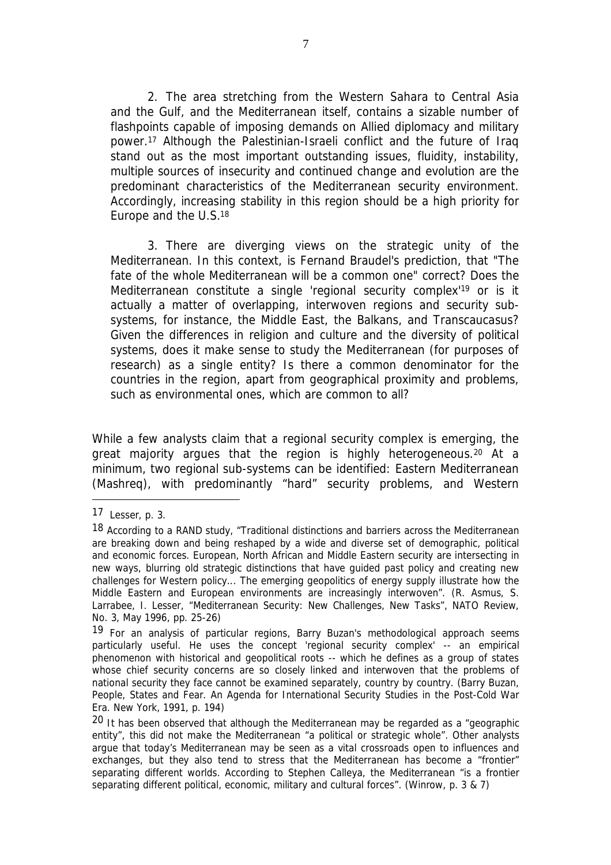2. The area stretching from the Western Sahara to Central Asia and the Gulf, and the Mediterranean itself, contains a sizable number of flashpoints capable of imposing demands on Allied diplomacy and military power.<sup>17</sup> Although the Palestinian-Israeli conflict and the future of Iraq stand out as the most important outstanding issues, fluidity, instability, multiple sources of insecurity and continued change and evolution are the predominant characteristics of the Mediterranean security environment. Accordingly, increasing stability in this region should be a high priority for Europe and the U.S.<sup>18</sup>

3. There are diverging views on the strategic unity of the Mediterranean. In this context, is Fernand Braudel's prediction, that "The fate of the whole Mediterranean will be a common one" correct? Does the Mediterranean constitute a single 'regional security complex'<sup>19</sup> or is it actually a matter of overlapping, interwoven regions and security subsystems, for instance, the Middle East, the Balkans, and Transcaucasus? Given the differences in religion and culture and the diversity of political systems, does it make sense to study the Mediterranean (for purposes of research) as a single entity? Is there a common denominator for the countries in the region, apart from geographical proximity and problems, such as environmental ones, which are common to all?

While a few analysts claim that a regional security complex is emerging, the great majority argues that the region is highly heterogeneous.<sup>20</sup> At a minimum, two regional sub-systems can be identified: Eastern Mediterranean (Mashreq), with predominantly "hard" security problems, and Western

<sup>17</sup> Lesser, p. 3.

<sup>18</sup> According to a RAND study, "Traditional distinctions and barriers across the Mediterranean are breaking down and being reshaped by a wide and diverse set of demographic, political and economic forces. European, North African and Middle Eastern security are intersecting in new ways, blurring old strategic distinctions that have guided past policy and creating new challenges for Western policy... The emerging geopolitics of energy supply illustrate how the Middle Eastern and European environments are increasingly interwoven". (R. Asmus, S. Larrabee, I. Lesser, "Mediterranean Security: New Challenges, New Tasks", *NATO Review*, No. 3, May 1996, pp. 25-26)

<sup>19</sup> For an analysis of particular regions, Barry Buzan's methodological approach seems particularly useful. He uses the concept 'regional security complex' -- an empirical phenomenon with historical and geopolitical roots -- which he defines as a group of states whose chief security concerns are so closely linked and interwoven that the problems of national security they face cannot be examined separately, country by country. (Barry Buzan, People, *States and Fear. An Agenda for International Security Studies in the Post-Cold War Era*. New York, 1991, p. 194)

 $20$  It has been observed that although the Mediterranean may be regarded as a "geographic entity", this did not make the Mediterranean "a political or strategic whole". Other analysts argue that today's Mediterranean may be seen as a vital crossroads open to influences and exchanges, but they also tend to stress that the Mediterranean has become a "frontier" separating different worlds. According to Stephen Calleya, the Mediterranean "is a frontier separating different political, economic, military and cultural forces". (Winrow, p. 3 & 7)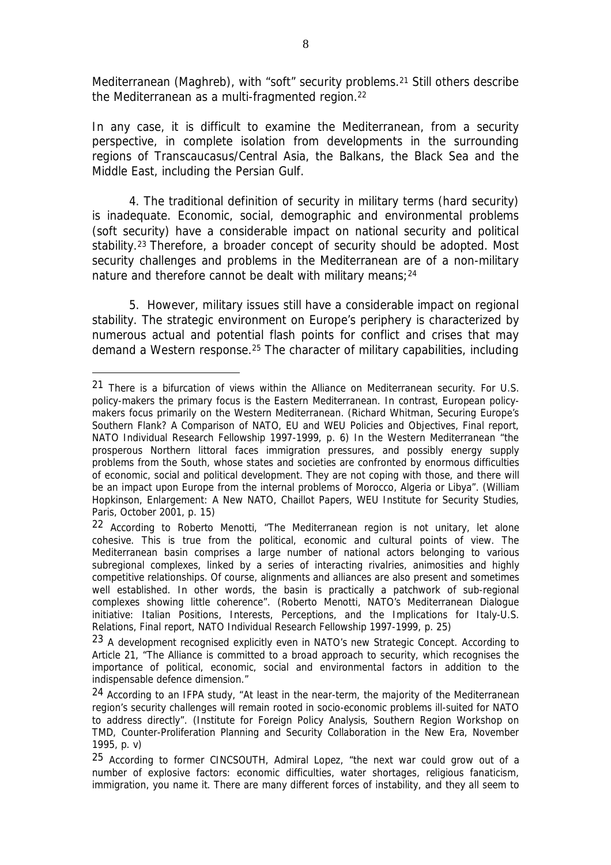Mediterranean (Maghreb), with "soft" security problems.<sup>21</sup> Still others describe the Mediterranean as a multi-fragmented region.<sup>22</sup>

In any case, it is difficult to examine the Mediterranean, from a security perspective, in complete isolation from developments in the surrounding regions of Transcaucasus/Central Asia, the Balkans, the Black Sea and the Middle East, including the Persian Gulf.

4. The traditional definition of security in military terms (hard security) is inadequate. Economic, social, demographic and environmental problems (soft security) have a considerable impact on national security and political stability.<sup>23</sup> Therefore, a broader concept of security should be adopted. Most security challenges and problems in the Mediterranean are of a non-military nature and therefore cannot be dealt with military means;<sup>24</sup>

5. However, military issues still have a considerable impact on regional stability. The strategic environment on Europe's periphery is characterized by numerous actual and potential flash points for conflict and crises that may demand a Western response.<sup>25</sup> The character of military capabilities, including

<sup>21</sup> There is a bifurcation of views within the Alliance on Mediterranean security. For U.S. policy-makers the primary focus is the Eastern Mediterranean. In contrast, European policymakers focus primarily on the Western Mediterranean. (Richard Whitman, *Securing Europe's Southern Flank? A Comparison of NATO, EU and WEU Policies and Objectives*, Final report, NATO Individual Research Fellowship 1997-1999, p. 6) In the Western Mediterranean "the prosperous Northern littoral faces immigration pressures, and possibly energy supply problems from the South, whose states and societies are confronted by enormous difficulties of economic, social and political development. They are not coping with those, and there will be an impact upon Europe from the internal problems of Morocco, Algeria or Libya". (William Hopkinson, *Enlargement: A New NATO*, Chaillot Papers, WEU Institute for Security Studies, Paris, October 2001, p. 15)

<sup>22</sup> According to Roberto Menotti, "The Mediterranean region is not unitary, let alone cohesive. This is true from the political, economic and cultural points of view. The Mediterranean basin comprises a large number of national actors belonging to various subregional complexes, linked by a series of interacting rivalries, animosities and highly competitive relationships. Of course, alignments and alliances are also present and sometimes well established. In other words, the basin is practically a patchwork of sub-regional complexes showing little coherence". (Roberto Menotti, *NATO's Mediterranean Dialogue initiative: Italian Positions, Interests, Perceptions, and the Implications for Italy-U.S. Relations*, Final report, NATO Individual Research Fellowship 1997-1999, p. 25)

<sup>&</sup>lt;sup>23</sup> A development recognised explicitly even in NATO's new Strategic Concept. According to Article 21, "The Alliance is committed to a broad approach to security, which recognises the importance of political, economic, social and environmental factors in addition to the indispensable defence dimension."

 $24$  According to an IFPA study, "At least in the near-term, the majority of the Mediterranean region's security challenges will remain rooted in socio-economic problems ill-suited for NATO to address directly". (Institute for Foreign Policy Analysis, *Southern Region Workshop on TMD, Counter-Proliferation Planning and Security Collaboration in the New Era,* November 1995, p. v)

<sup>25</sup> According to former CINCSOUTH, Admiral Lopez, "the next war could grow out of a number of explosive factors: economic difficulties, water shortages, religious fanaticism, immigration, you name it. There are many different forces of instability, and they all seem to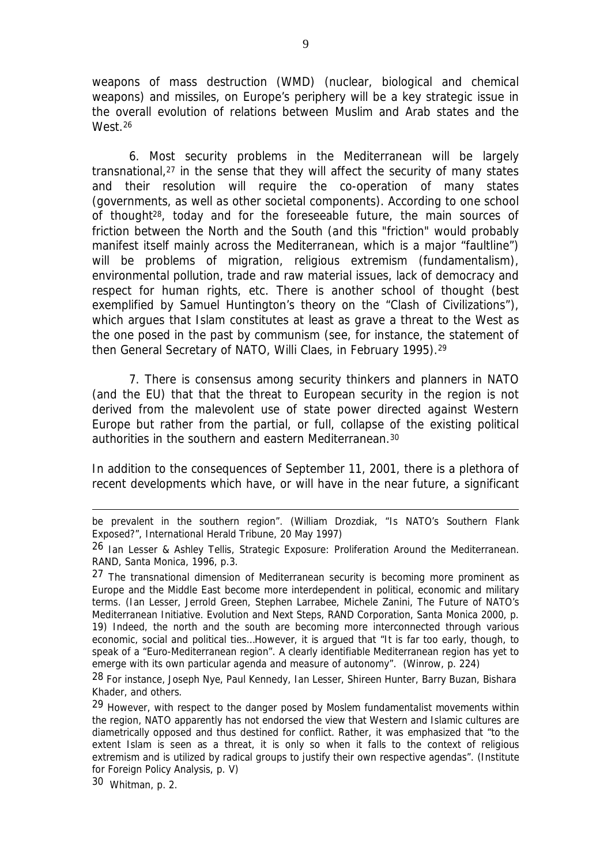weapons of mass destruction (WMD) (nuclear, biological and chemical weapons) and missiles, on Europe's periphery will be a key strategic issue in the overall evolution of relations between Muslim and Arab states and the West.<sup>26</sup>

6. Most security problems in the Mediterranean will be largely transnational,<sup>27</sup> in the sense that they will affect the security of many states and their resolution will require the co-operation of many states (governments, as well as other societal components). According to one school of thought<sup>28</sup>, today and for the foreseeable future, the main sources of friction between the North and the South (and this "friction" would probably manifest itself mainly across the Mediterranean, which is a major "faultline") will be problems of migration, religious extremism (fundamentalism), environmental pollution, trade and raw material issues, lack of democracy and respect for human rights, etc. There is another school of thought (best exemplified by Samuel Huntington's theory on the "Clash of Civilizations"), which argues that Islam constitutes at least as grave a threat to the West as the one posed in the past by communism (see, for instance, the statement of then General Secretary of NATO, Willi Claes, in February 1995).<sup>29</sup>

7. There is consensus among security thinkers and planners in NATO (and the EU) that that the threat to European security in the region is not derived from the malevolent use of state power directed against Western Europe but rather from the partial, or full, collapse of the existing political authorities in the southern and eastern Mediterranean.<sup>30</sup>

In addition to the consequences of September 11, 2001, there is a plethora of recent developments which have, or will have in the near future, a significant

30 Whitman, p. 2.

be prevalent in the southern region". (William Drozdiak, "Is NATO's Southern Flank Exposed?", *International Herald Tribune*, 20 May 1997)

<sup>26</sup> Ian Lesser & Ashley Tellis, *Strategic Exposure: Proliferation Around the Mediterranean.* RAND, Santa Monica, 1996, p.3.

<sup>27</sup> The transnational dimension of Mediterranean security is becoming more prominent as Europe and the Middle East become more interdependent in political, economic and military terms. (Ian Lesser, Jerrold Green, Stephen Larrabee, Michele Zanini, *The Future of NATO's Mediterranean Initiative. Evolution and Next Steps,* RAND Corporation, Santa Monica 2000, p. 19) Indeed, the north and the south are becoming more interconnected through various economic, social and political ties…However, it is argued that "It is far too early, though, to speak of a "Euro-Mediterranean region". A clearly identifiable Mediterranean region has yet to emerge with its own particular agenda and measure of autonomy". (Winrow, p. 224)

<sup>&</sup>lt;sup>28</sup> For instance, Joseph Nye, Paul Kennedy, Ian Lesser, Shireen Hunter, Barry Buzan, Bishara Khader, and others.

<sup>29</sup> However, with respect to the danger posed by Moslem fundamentalist movements within the region, NATO apparently has not endorsed the view that Western and Islamic cultures are diametrically opposed and thus destined for conflict. Rather, it was emphasized that "to the extent Islam is seen as a threat, it is only so when it falls to the context of religious extremism and is utilized by radical groups to justify their own respective agendas". (Institute for Foreign Policy Analysis, p. V)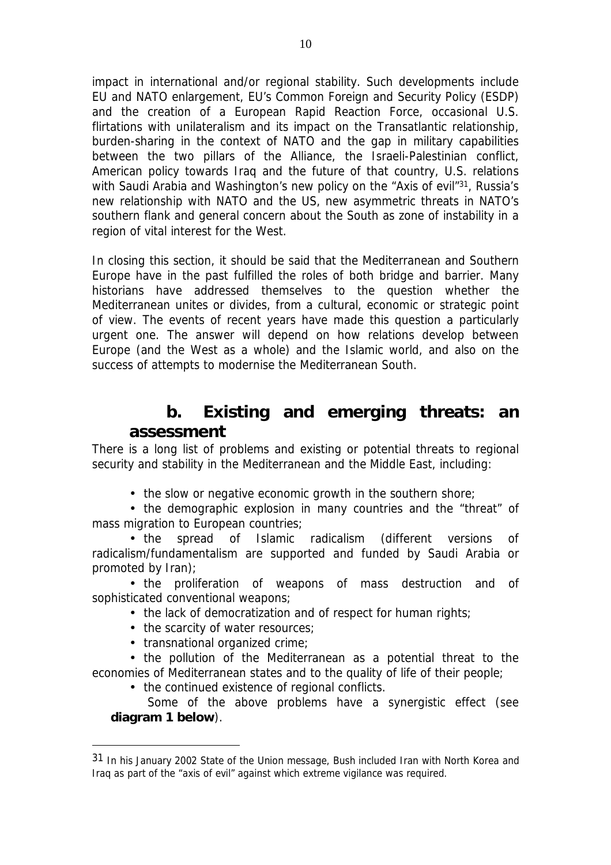impact in international and/or regional stability. Such developments include EU and NATO enlargement, EU's Common Foreign and Security Policy (ESDP) and the creation of a European Rapid Reaction Force, occasional U.S. flirtations with unilateralism and its impact on the Transatlantic relationship, burden-sharing in the context of NATO and the gap in military capabilities between the two pillars of the Alliance, the Israeli-Palestinian conflict, American policy towards Iraq and the future of that country, U.S. relations with Saudi Arabia and Washington's new policy on the "Axis of evil"<sup>31</sup>, Russia's new relationship with NATO and the US, new asymmetric threats in NATO's southern flank and general concern about the South as zone of instability in a region of vital interest for the West.

In closing this section, it should be said that the Mediterranean and Southern Europe have in the past fulfilled the roles of both bridge and barrier. Many historians have addressed themselves to the question whether the Mediterranean unites or divides, from a cultural, economic or strategic point of view. The events of recent years have made this question a particularly urgent one. The answer will depend on how relations develop between Europe (and the West as a whole) and the Islamic world, and also on the success of attempts to modernise the Mediterranean South.

# *b. Existing and emerging threats: an assessment*

There is a long list of problems and existing or potential threats to regional security and stability in the Mediterranean and the Middle East, including:

• the slow or negative economic growth in the southern shore;

• the demographic explosion in many countries and the "threat" of mass migration to European countries;

• the spread of Islamic radicalism (different versions of radicalism/fundamentalism are supported and funded by Saudi Arabia or promoted by Iran);

• the proliferation of weapons of mass destruction and of sophisticated conventional weapons;

- the lack of democratization and of respect for human rights;
- the scarcity of water resources;
- transnational organized crime;

 $\overline{a}$ 

• the pollution of the Mediterranean as a potential threat to the economies of Mediterranean states and to the quality of life of their people;

• the continued existence of regional conflicts.

*Some of the above problems have a synergistic effect (see diagram 1 below).* 

<sup>31</sup> In his January 2002 State of the Union message, Bush included Iran with North Korea and Iraq as part of the "axis of evil" against which extreme vigilance was required.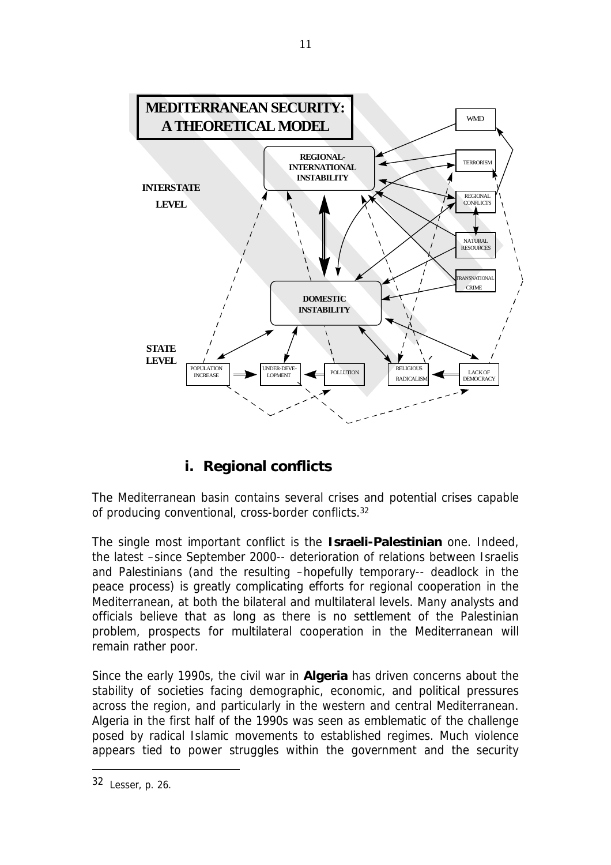

# **i. Regional conflicts**

The Mediterranean basin contains several crises and potential crises capable of producing conventional, cross-border conflicts.<sup>32</sup>

The single most important conflict is the **Israeli-Palestinian** one. Indeed, the latest –since September 2000-- deterioration of relations between Israelis and Palestinians (and the resulting –hopefully temporary-- deadlock in the peace process) is greatly complicating efforts for regional cooperation in the Mediterranean, at both the bilateral and multilateral levels. Many analysts and officials believe that as long as there is no settlement of the Palestinian problem, prospects for multilateral cooperation in the Mediterranean will remain rather poor.

Since the early 1990s, the civil war in **Algeria** has driven concerns about the stability of societies facing demographic, economic, and political pressures across the region, and particularly in the western and central Mediterranean. Algeria in the first half of the 1990s was seen as emblematic of the challenge posed by radical Islamic movements to established regimes. Much violence appears tied to power struggles within the government and the security

<sup>32</sup> Lesser, p. 26.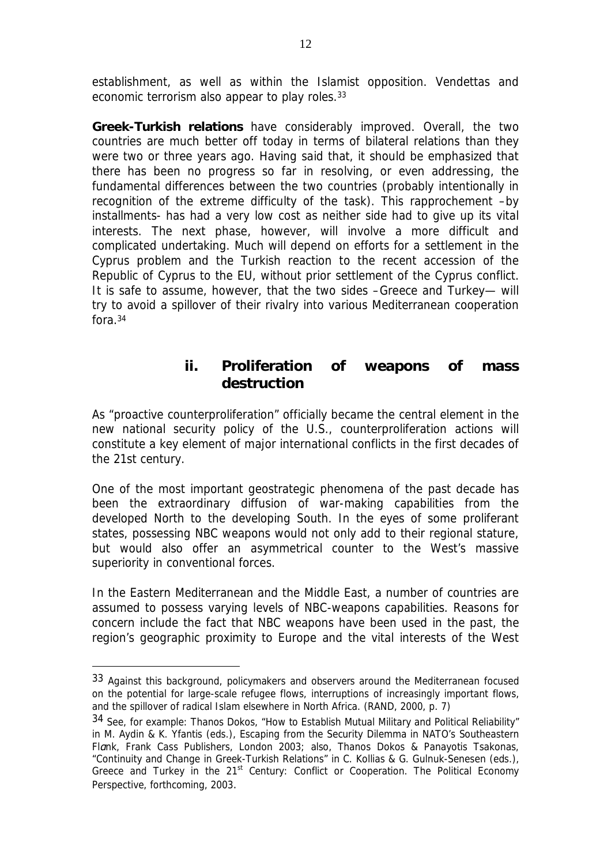establishment, as well as within the Islamist opposition. Vendettas and economic terrorism also appear to play roles.<sup>33</sup>

**Greek-Turkish relations** have considerably improved. Overall, the two countries are much better off today in terms of bilateral relations than they were two or three years ago. Having said that, it should be emphasized that there has been no progress so far in resolving, or even addressing, the fundamental differences between the two countries (probably intentionally in recognition of the extreme difficulty of the task). This rapprochement –by installments- has had a very low cost as neither side had to give up its vital interests. The next phase, however, will involve a more difficult and complicated undertaking. Much will depend on efforts for a settlement in the Cyprus problem and the Turkish reaction to the recent accession of the Republic of Cyprus to the EU, without prior settlement of the Cyprus conflict. It is safe to assume, however, that the two sides –Greece and Turkey— will try to avoid a spillover of their rivalry into various Mediterranean cooperation fora.<sup>34</sup>

## **ii. Proliferation of weapons of mass destruction**

As "proactive counterproliferation" officially became the central element in the new national security policy of the U.S., counterproliferation actions will constitute a key element of major international conflicts in the first decades of the 21st century.

One of the most important geostrategic phenomena of the past decade has been the extraordinary diffusion of war-making capabilities from the developed North to the developing South. In the eyes of some proliferant states, possessing NBC weapons would not only add to their regional stature, but would also offer an asymmetrical counter to the West's massive superiority in conventional forces.

In the Eastern Mediterranean and the Middle East, a number of countries are assumed to possess varying levels of NBC-weapons capabilities. Reasons for concern include the fact that NBC weapons have been used in the past, the region's geographic proximity to Europe and the vital interests of the West

<sup>33</sup> Against this background, policymakers and observers around the Mediterranean focused on the potential for large-scale refugee flows, interruptions of increasingly important flows, and the spillover of radical Islam elsewhere in North Africa. (RAND, 2000, p. 7)

<sup>34</sup> See, for example: Thanos Dokos, "How to Establish Mutual Military and Political Reliability" in M. Aydin & K. Yfantis (eds.), *Escaping from the Security Dilemma in NATO's Southeastern Flαnk,* Frank Cass Publishers, London 2003; also, Thanos Dokos & Panayotis Tsakonas, "Continuity and Change in Greek-Turkish Relations" in C. Kollias & G. Gulnuk-Senesen (eds.), *Greece and Turkey in the 21st Century: Conflict or Cooperation. The Political Economy Perspective*, forthcoming, 2003.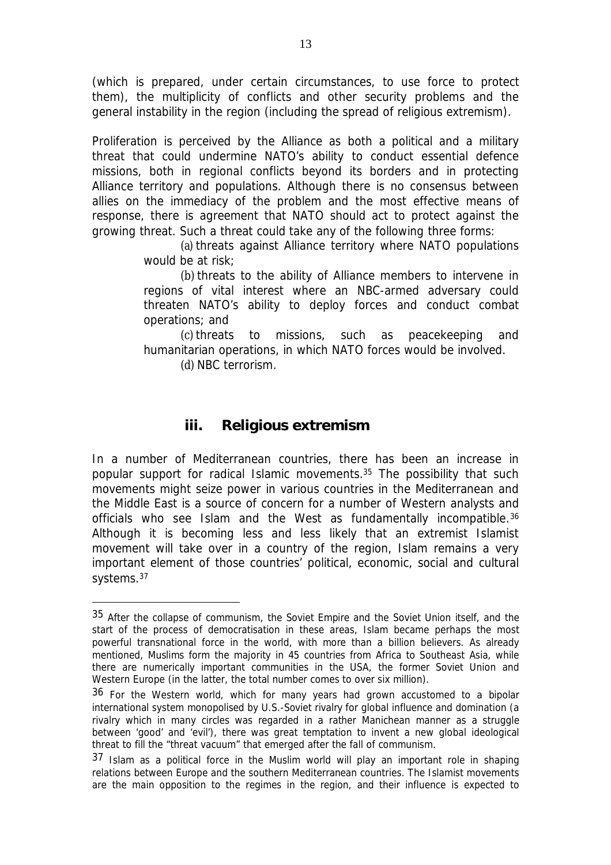(which is prepared, under certain circumstances, to use force to protect them), the multiplicity of conflicts and other security problems and the general instability in the region (including the spread of religious extremism).

Proliferation is perceived by the Alliance as both a political and a military threat that could undermine NATO's ability to conduct essential defence missions, both in regional conflicts beyond its borders and in protecting Alliance territory and populations. Although there is no consensus between allies on the immediacy of the problem and the most effective means of response, there is agreement that NATO should act to protect against the growing threat. Such a threat could take any of the following three forms:

> (a) threats against Alliance territory where NATO populations would be at risk;

> (b) threats to the ability of Alliance members to intervene in regions of vital interest where an NBC-armed adversary could threaten NATO's ability to deploy forces and conduct combat operations; and

> (c) threats to missions, such as peacekeeping and humanitarian operations, in which NATO forces would be involved.

(d) NBC terrorism.

 $\overline{a}$ 

## **iii. Religious extremism**

In a number of Mediterranean countries, there has been an increase in popular support for radical Islamic movements.<sup>35</sup> The possibility that such movements might seize power in various countries in the Mediterranean and the Middle East is a source of concern for a number of Western analysts and officials who see Islam and the West as fundamentally incompatible.<sup>36</sup> Although it is becoming less and less likely that an extremist Islamist movement will take over in a country of the region, Islam remains a very important element of those countries' political, economic, social and cultural systems.<sup>37</sup>

<sup>35</sup> After the collapse of communism, the Soviet Empire and the Soviet Union itself, and the start of the process of democratisation in these areas, Islam became perhaps the most powerful transnational force in the world, with more than a billion believers. As already mentioned, Muslims form the majority in 45 countries from Africa to Southeast Asia, while there are numerically important communities in the USA, the former Soviet Union and Western Europe (in the latter, the total number comes to over six million).

<sup>36</sup> For the Western world, which for many years had grown accustomed to a bipolar international system monopolised by U.S.-Soviet rivalry for global influence and domination (a rivalry which in many circles was regarded in a rather Manichean manner as a struggle between 'good' and 'evil'), there was great temptation to invent a new global ideological threat to fill the "threat vacuum" that emerged after the fall of communism.

<sup>37</sup> Islam as a political force in the Muslim world will play an important role in shaping relations between Europe and the southern Mediterranean countries. The Islamist movements are the main opposition to the regimes in the region, and their influence is expected to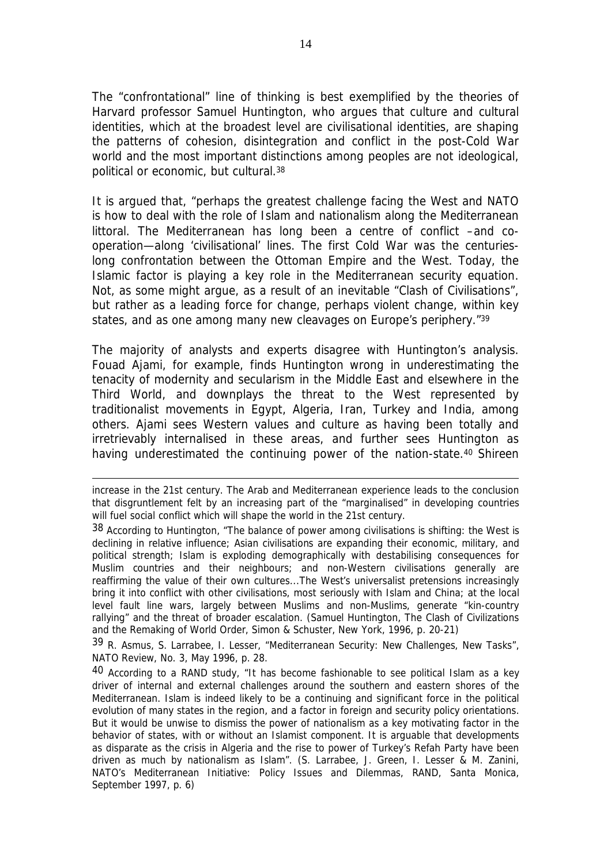The "confrontational" line of thinking is best exemplified by the theories of Harvard professor Samuel Huntington, who argues that culture and cultural identities, which at the broadest level are civilisational identities, are shaping the patterns of cohesion, disintegration and conflict in the post-Cold War world and the most important distinctions among peoples are not ideological, political or economic, but cultural.<sup>38</sup>

It is argued that, "perhaps the greatest challenge facing the West and NATO is how to deal with the role of Islam and nationalism along the Mediterranean littoral. The Mediterranean has long been a centre of conflict –and cooperation—along 'civilisational' lines. The first Cold War was the centurieslong confrontation between the Ottoman Empire and the West. Today, the Islamic factor is playing a key role in the Mediterranean security equation. Not, as some might argue, as a result of an inevitable "Clash of Civilisations", but rather as a leading force for change, perhaps violent change, within key states, and as one among many new cleavages on Europe's periphery."<sup>39</sup>

The majority of analysts and experts disagree with Huntington's analysis. Fouad Ajami, for example, finds Huntington wrong in underestimating the tenacity of modernity and secularism in the Middle East and elsewhere in the Third World, and downplays the threat to the West represented by traditionalist movements in Egypt, Algeria, Iran, Turkey and India, among others. Ajami sees Western values and culture as having been totally and irretrievably internalised in these areas, and further sees Huntington as having underestimated the continuing power of the nation-state.<sup>40</sup> Shireen

 $\overline{a}$ 

39 R. Asmus, S. Larrabee, I. Lesser, "Mediterranean Security: New Challenges, New Tasks", *NATO Review*, No. 3, May 1996, p. 28.

 $40$  According to a RAND study, "It has become fashionable to see political Islam as a key driver of internal and external challenges around the southern and eastern shores of the Mediterranean. Islam is indeed likely to be a continuing and significant force in the political evolution of many states in the region, and a factor in foreign and security policy orientations. But it would be unwise to dismiss the power of nationalism as a key motivating factor in the behavior of states, with or without an Islamist component. It is arguable that developments as disparate as the crisis in Algeria and the rise to power of Turkey's Refah Party have been driven as much by nationalism as Islam". (S. Larrabee, J. Green, I. Lesser & M. Zanini, *NATO's Mediterranean Initiative: Policy Issues and Dilemmas,* RAND, Santa Monica, September 1997, p. 6)

increase in the 21st century. The Arab and Mediterranean experience leads to the conclusion that disgruntlement felt by an increasing part of the "marginalised" in developing countries will fuel social conflict which will shape the world in the 21st century.

<sup>38</sup> According to Huntington, "The balance of power among civilisations is shifting: the West is declining in relative influence; Asian civilisations are expanding their economic, military, and political strength; Islam is exploding demographically with destabilising consequences for Muslim countries and their neighbours; and non-Western civilisations generally are reaffirming the value of their own cultures...The West's universalist pretensions increasingly bring it into conflict with other civilisations, most seriously with Islam and China; at the local level fault line wars, largely between Muslims and non-Muslims, generate "kin-country rallying" and the threat of broader escalation. (Samuel Huntington, *The Clash of Civilizations and the Remaking of World Order,* Simon & Schuster, New York, 1996, p. 20-21)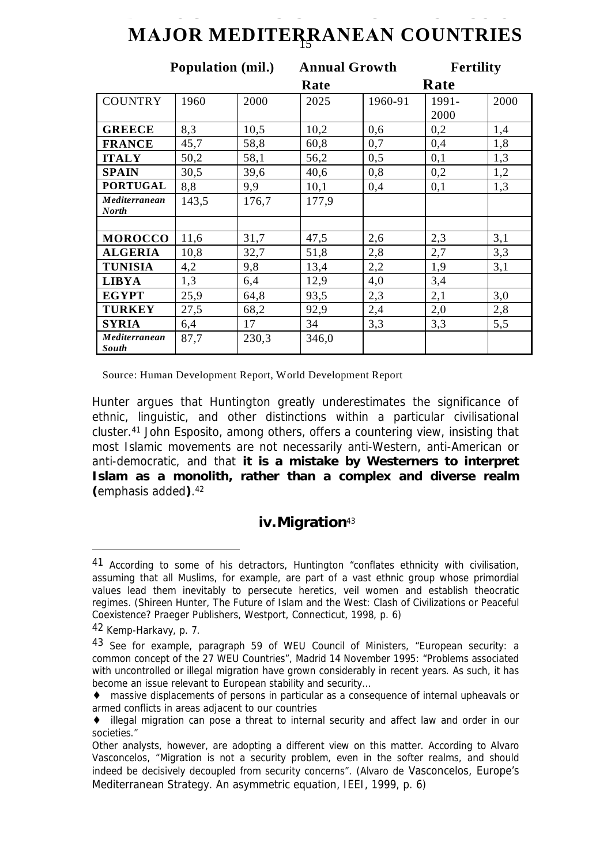# 15 **ΜΑJOR MEDITERRAΝΕΑΝ COUNTRIES DEMOGRAPHIC CHARACTERISTICS OF**

|                        | <b>Population (mil.)</b> |       | <b>Annual Growth</b> |         | <b>Fertility</b> |      |
|------------------------|--------------------------|-------|----------------------|---------|------------------|------|
|                        |                          |       | Rate                 |         | Rate             |      |
| <b>COUNTRY</b>         | 1960                     | 2000  | 2025                 | 1960-91 | 1991-            | 2000 |
|                        |                          |       |                      |         | 2000             |      |
| <b>GREECE</b>          | 8,3                      | 10,5  | 10,2                 | 0,6     | 0,2              | 1,4  |
| <b>FRANCE</b>          | 45,7                     | 58,8  | 60,8                 | 0,7     | 0,4              | 1,8  |
| <b>ITALY</b>           | 50,2                     | 58,1  | 56,2                 | 0,5     | 0,1              | 1,3  |
| <b>SPAIN</b>           | 30,5                     | 39,6  | 40,6                 | 0,8     | 0,2              | 1,2  |
| <b>PORTUGAL</b>        | 8,8                      | 9,9   | 10,1                 | 0,4     | 0,1              | 1,3  |
| Mediterranean          | 143,5                    | 176,7 | 177,9                |         |                  |      |
| <b>North</b>           |                          |       |                      |         |                  |      |
|                        |                          |       |                      |         |                  |      |
| <b>MOROCCO</b>         | 11,6                     | 31,7  | 47,5                 | 2,6     | 2,3              | 3,1  |
| <b>ALGERIA</b>         | 10,8                     | 32,7  | 51,8                 | 2,8     | 2,7              | 3,3  |
| <b>TUNISIA</b>         | 4,2                      | 9,8   | 13,4                 | 2,2     | 1,9              | 3,1  |
| <b>LIBYA</b>           | 1,3                      | 6,4   | 12,9                 | 4,0     | 3,4              |      |
| <b>EGYPT</b>           | 25,9                     | 64,8  | 93,5                 | 2,3     | 2,1              | 3,0  |
| <b>TURKEY</b>          | 27,5                     | 68,2  | 92,9                 | 2,4     | 2,0              | 2,8  |
| <b>SYRIA</b>           | 6,4                      | 17    | 34                   | 3,3     | 3,3              | 5,5  |
| Mediterranean<br>South | 87,7                     | 230,3 | 346,0                |         |                  |      |

Source: Human Development Report, World Development Report

Hunter argues that Huntington greatly underestimates the significance of ethnic, linguistic, and other distinctions within a particular civilisational cluster.<sup>41</sup> John Esposito, among others, offers a countering view, insisting that most Islamic movements are not necessarily anti-Western, anti-American or anti-democratic, and that *it is a mistake by Westerners to interpret Islam as a monolith, rather than a complex and diverse realm (*emphasis added*)*. 42

## **iv.Migration**<sup>43</sup>

<sup>41</sup> According to some of his detractors, Huntington "conflates ethnicity with civilisation, assuming that all Muslims, for example, are part of a vast ethnic group whose primordial values lead them inevitably to persecute heretics, veil women and establish theocratic regimes. (Shireen Hunter, *The Future of Islam and the West: Clash of Civilizations or Peaceful Coexistence*? Praeger Publishers, Westport, Connecticut, 1998, p. 6)

<sup>42</sup> Kemp-Harkavy, p. 7.

<sup>43</sup> See for example, paragraph 59 of WEU Council of Ministers, "European security: a common concept of the 27 WEU Countries", Madrid 14 November 1995: "Problems associated with uncontrolled or illegal migration have grown considerably in recent years. As such, it has become an issue relevant to European stability and security…

<sup>♦</sup> massive displacements of persons in particular as a consequence of internal upheavals or armed conflicts in areas adjacent to our countries

<sup>♦</sup> illegal migration can pose a threat to internal security and affect law and order in our societies."

Other analysts, however, are adopting a different view on this matter. According to Alvaro Vasconcelos, "Migration is not a security problem, even in the softer realms, and should indeed be decisively decoupled from security concerns". (Alvaro de Vasconcelos, *Europe's Mediterranean Strategy. An asymmetric equation*, IEEI, 1999, p. 6)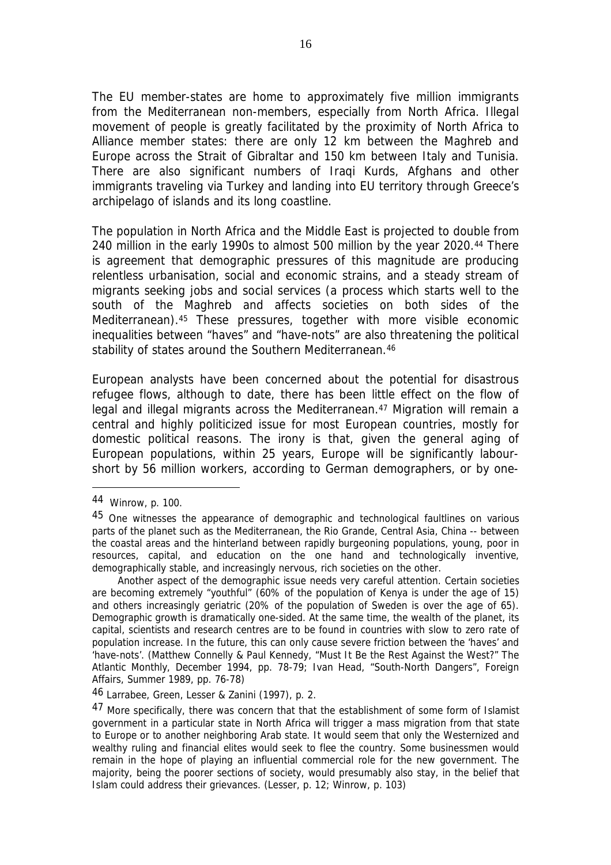The EU member-states are home to approximately five million immigrants from the Mediterranean non-members, especially from North Africa. Illegal movement of people is greatly facilitated by the proximity of North Africa to Alliance member states: there are only 12 km between the Maghreb and Europe across the Strait of Gibraltar and 150 km between Italy and Tunisia. There are also significant numbers of Iraqi Kurds, Afghans and other immigrants traveling via Turkey and landing into EU territory through Greece's archipelago of islands and its long coastline.

The population in North Africa and the Middle East is projected to double from 240 million in the early 1990s to almost 500 million by the year 2020.<sup>44</sup> There is agreement that demographic pressures of this magnitude are producing relentless urbanisation, social and economic strains, and a steady stream of migrants seeking jobs and social services (a process which starts well to the south of the Maghreb and affects societies on both sides of the Mediterranean).<sup>45</sup> These pressures, together with more visible economic inequalities between "haves" and "have-nots" are also threatening the political stability of states around the Southern Mediterranean.<sup>46</sup>

European analysts have been concerned about the potential for disastrous refugee flows, although to date, there has been little effect on the flow of legal and illegal migrants across the Mediterranean.<sup>47</sup> Migration will remain a central and highly politicized issue for most European countries, mostly for domestic political reasons. The irony is that, given the general aging of European populations, within 25 years, Europe will be significantly labourshort by 56 million workers, according to German demographers, or by one-

<sup>44</sup> Winrow, p. 100.

<sup>45</sup> One witnesses the appearance of demographic and technological faultlines on various parts of the planet such as the Mediterranean, the Rio Grande, Central Asia, China -- between the coastal areas and the hinterland between rapidly burgeoning populations, young, poor in resources, capital, and education on the one hand and technologically inventive, demographically stable, and increasingly nervous, rich societies on the other.

Another aspect of the demographic issue needs very careful attention. Certain societies are becoming extremely "youthful" (60% of the population of Kenya is under the age of 15) and others increasingly geriatric (20% of the population of Sweden is over the age of 65). Demographic growth is dramatically one-sided. At the same time, the wealth of the planet, its capital, scientists and research centres are to be found in countries with slow to zero rate of population increase. In the future, this can only cause severe friction between the 'haves' and 'have-nots'. (Matthew Connelly & Paul Kennedy, "Must It Be the Rest Against the West?" *The Atlantic Monthly*, December 1994, pp. 78-79; Ivan Head, "South-North Dangers", *Foreign Affairs*, Summer 1989, pp. 76-78)

<sup>46</sup> Larrabee, Green, Lesser & Zanini (1997), p. 2.

<sup>47</sup> More specifically, there was concern that that the establishment of some form of Islamist government in a particular state in North Africa will trigger a mass migration from that state to Europe or to another neighboring Arab state. It would seem that only the Westernized and wealthy ruling and financial elites would seek to flee the country. Some businessmen would remain in the hope of playing an influential commercial role for the new government. The majority, being the poorer sections of society, would presumably also stay, in the belief that Islam could address their grievances. (Lesser, p. 12; Winrow, p. 103)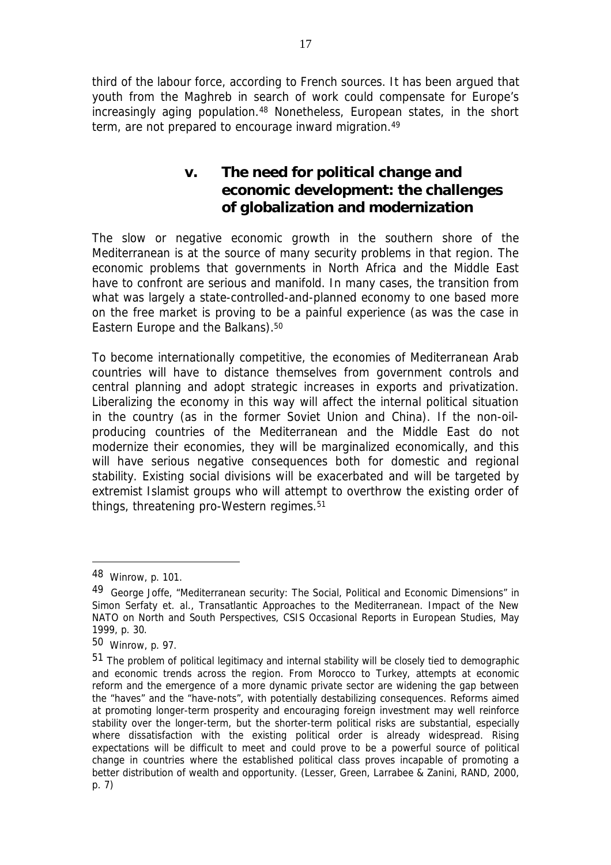third of the labour force, according to French sources. It has been argued that youth from the Maghreb in search of work could compensate for Europe's increasingly aging population.<sup>48</sup> Nonetheless, European states, in the short term, are not prepared to encourage inward migration.<sup>49</sup>

# **v. The need for political change and economic development: the challenges of globalization and modernization**

The slow or negative economic growth in the southern shore of the Mediterranean is at the source of many security problems in that region. The economic problems that governments in North Africa and the Middle East have to confront are serious and manifold. In many cases, the transition from what was largely a state-controlled-and-planned economy to one based more on the free market is proving to be a painful experience (as was the case in Eastern Europe and the Balkans).<sup>50</sup>

To become internationally competitive, the economies of Mediterranean Arab countries will have to distance themselves from government controls and central planning and adopt strategic increases in exports and privatization. Liberalizing the economy in this way will affect the internal political situation in the country (as in the former Soviet Union and China). If the non-oilproducing countries of the Mediterranean and the Middle East do not modernize their economies, they will be marginalized economically, and this will have serious negative consequences both for domestic and regional stability. Existing social divisions will be exacerbated and will be targeted by extremist Islamist groups who will attempt to overthrow the existing order of things, threatening pro-Western regimes.<sup>51</sup>

<sup>48</sup> Winrow, p. 101.

<sup>49</sup> George Joffe, "Mediterranean security: The Social, Political and Economic Dimensions" in Simon Serfaty et. al., *Transatlantic Approaches to the Mediterranean. Impact of the New NATO on North and South Perspectives*, CSIS Occasional Reports in European Studies, May 1999, p. 30.

<sup>50</sup> Winrow, p. 97.

<sup>51</sup> The problem of political legitimacy and internal stability will be closely tied to demographic and economic trends across the region. From Morocco to Turkey, attempts at economic reform and the emergence of a more dynamic private sector are widening the gap between the "haves" and the "have-nots", with potentially destabilizing consequences. Reforms aimed at promoting longer-term prosperity and encouraging foreign investment may well reinforce stability over the longer-term, but the shorter-term political risks are substantial, especially where dissatisfaction with the existing political order is already widespread. Rising expectations will be difficult to meet and could prove to be a powerful source of political change in countries where the established political class proves incapable of promoting a better distribution of wealth and opportunity. (Lesser, Green, Larrabee & Zanini, RAND, 2000, p. 7)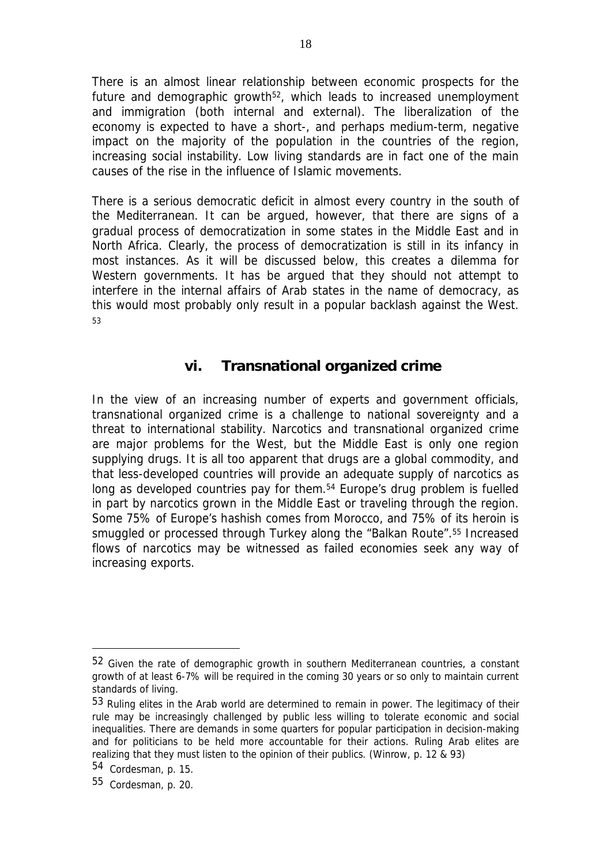There is an almost linear relationship between economic prospects for the future and demographic growth<sup>52</sup>, which leads to increased unemployment and immigration (both internal and external). The liberalization of the economy is expected to have a short-, and perhaps medium-term, negative impact on the majority of the population in the countries of the region, increasing social instability. Low living standards are in fact one of the main causes of the rise in the influence of Islamic movements.

There is a serious democratic deficit in almost every country in the south of the Mediterranean. It can be argued, however, that there are signs of a gradual process of democratization in some states in the Middle East and in North Africa. Clearly, the process of democratization is still in its infancy in most instances. As it will be discussed below, this creates a dilemma for Western governments. It has be argued that they should not attempt to interfere in the internal affairs of Arab states in the name of democracy, as this would most probably only result in a popular backlash against the West. <sup>53</sup>

### **vi. Transnational organized crime**

In the view of an increasing number of experts and government officials, transnational organized crime is a challenge to national sovereignty and a threat to international stability. Narcotics and transnational organized crime are major problems for the West, but the Middle East is only one region supplying drugs. It is all too apparent that drugs are a global commodity, and that less-developed countries will provide an adequate supply of narcotics as long as developed countries pay for them.<sup>54</sup> Europe's drug problem is fuelled in part by narcotics grown in the Middle East or traveling through the region. Some 75% of Europe's hashish comes from Morocco, and 75% of its heroin is smuggled or processed through Turkey along the "Balkan Route".<sup>55</sup> Increased flows of narcotics may be witnessed as failed economies seek any way of increasing exports.

<sup>52</sup> Given the rate of demographic growth in southern Mediterranean countries, a constant growth of at least 6-7% will be required in the coming 30 years or so only to maintain current standards of living.

<sup>53</sup> Ruling elites in the Arab world are determined to remain in power. The legitimacy of their rule may be increasingly challenged by public less willing to tolerate economic and social inequalities. There are demands in some quarters for popular participation in decision-making and for politicians to be held more accountable for their actions. Ruling Arab elites are realizing that they must listen to the opinion of their publics. (Winrow, p. 12 & 93)

<sup>54</sup> Cordesman, p. 15.

<sup>55</sup> Cordesman, p. 20.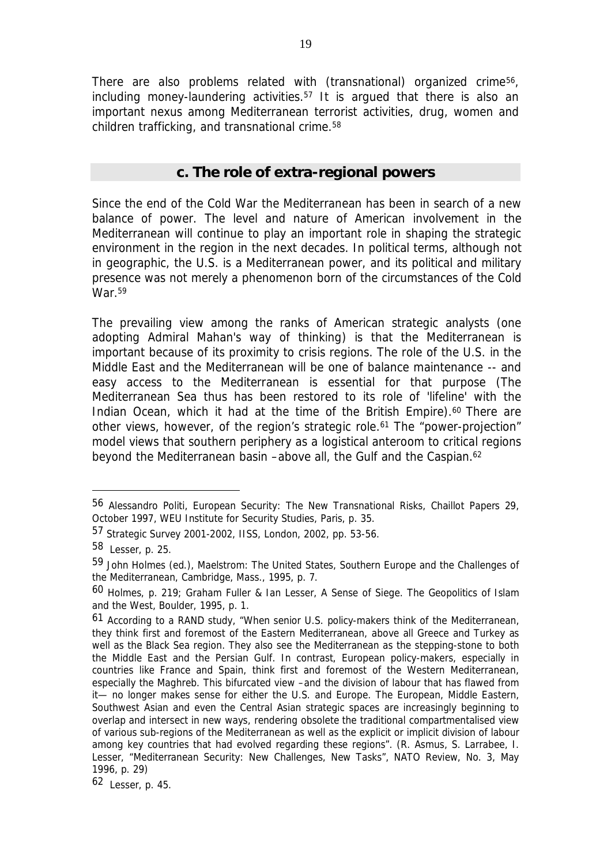There are also problems related with (transnational) organized crime56, including money-laundering activities.<sup>57</sup> It is argued that there is also an important nexus among Mediterranean terrorist activities, drug, women and children trafficking, and transnational crime.<sup>58</sup>

19

#### *c. The role of extra-regional powers*

Since the end of the Cold War the Mediterranean has been in search of a new balance of power. The level and nature of American involvement in the Mediterranean will continue to play an important role in shaping the strategic environment in the region in the next decades. In political terms, although not in geographic, the U.S. is a Mediterranean power, and its political and military presence was not merely a phenomenon born of the circumstances of the Cold War.<sup>59</sup>

The prevailing view among the ranks of American strategic analysts (one adopting Admiral Mahan's way of thinking) is that the Mediterranean is important because of its proximity to crisis regions. The role of the U.S. in the Middle East and the Mediterranean will be one of balance maintenance -- and easy access to the Mediterranean is essential for that purpose (The Mediterranean Sea thus has been restored to its role of 'lifeline' with the Indian Ocean, which it had at the time of the British Empire).<sup>60</sup> There are other views, however, of the region's strategic role.<sup>61</sup> The "power-projection" model views that southern periphery as a logistical anteroom to critical regions beyond the Mediterranean basin –above all, the Gulf and the Caspian.<sup>62</sup>

<sup>56</sup> Alessandro Politi, *European Security: The New Transnational Risks*, Chaillot Papers 29, October 1997, WEU Institute for Security Studies, Paris, p. 35.

<sup>57</sup> *Strategic Survey 2001-2002*, IISS, London, 2002, pp. 53-56.

<sup>58</sup> Lesser, p. 25.

<sup>59</sup> John Holmes (ed.), *Maelstrom: The United States, Southern Europe and the Challenges of the Mediterranean*, Cambridge, Mass., 1995, p. 7.

<sup>60</sup> Holmes, p. 219; Graham Fuller & Ian Lesser, *A Sense of Siege. The Geopolitics of Islam and the West*, Boulder, 1995, p. 1.

<sup>61</sup> According to a RAND study, "When senior U.S. policy-makers think of the Mediterranean, they think first and foremost of the Eastern Mediterranean, above all Greece and Turkey as well as the Black Sea region. They also see the Mediterranean as the stepping-stone to both the Middle East and the Persian Gulf. In contrast, European policy-makers, especially in countries like France and Spain, think first and foremost of the Western Mediterranean, especially the Maghreb. This bifurcated view –and the division of labour that has flawed from it— no longer makes sense for either the U.S. and Europe. The European, Middle Eastern, Southwest Asian and even the Central Asian strategic spaces are increasingly beginning to overlap and intersect in new ways, rendering obsolete the traditional compartmentalised view of various sub-regions of the Mediterranean as well as the explicit or implicit division of labour among key countries that had evolved regarding these regions". (R. Asmus, S. Larrabee, I. Lesser, "Mediterranean Security: New Challenges, New Tasks", *NATO Review*, No. 3, May 1996, p. 29)

<sup>62</sup> Lesser, p. 45.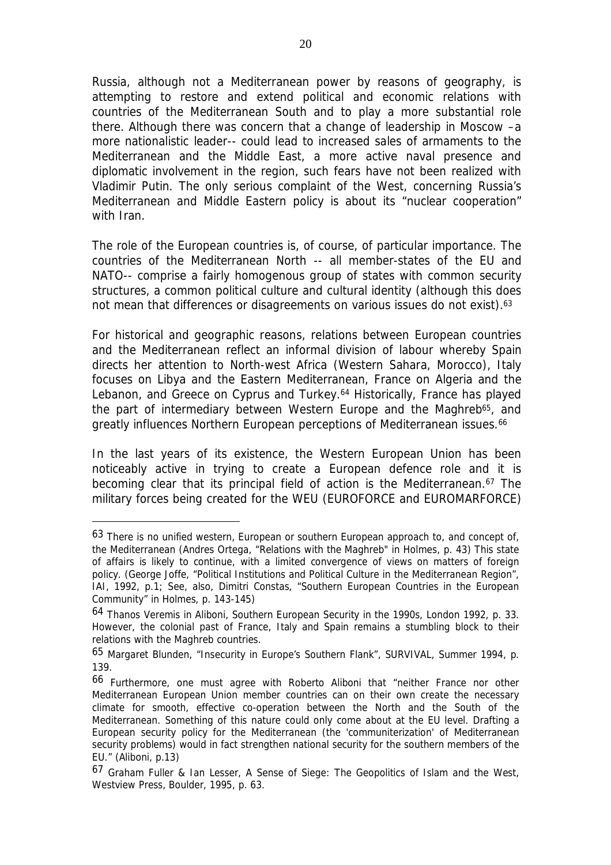Russia, although not a Mediterranean power by reasons of geography, is attempting to restore and extend political and economic relations with countries of the Mediterranean South and to play a more substantial role there. Although there was concern that a change of leadership in Moscow –a more nationalistic leader-- could lead to increased sales of armaments to the Mediterranean and the Middle East, a more active naval presence and diplomatic involvement in the region, such fears have not been realized with Vladimir Putin. The only serious complaint of the West, concerning Russia's Mediterranean and Middle Eastern policy is about its "nuclear cooperation" with Iran.

The role of the European countries is, of course, of particular importance. The countries of the Mediterranean North -- all member-states of the EU and NATO-- comprise a fairly homogenous group of states with common security structures, a common political culture and cultural identity (although this does not mean that differences or disagreements on various issues do not exist).<sup>63</sup>

For historical and geographic reasons, relations between European countries and the Mediterranean reflect an informal division of labour whereby Spain directs her attention to North-west Africa (Western Sahara, Morocco), Italy focuses on Libya and the Eastern Mediterranean, France on Algeria and the Lebanon, and Greece on Cyprus and Turkey.<sup>64</sup> Historically, France has played the part of intermediary between Western Europe and the Maghreb<sup>65</sup>, and greatly influences Northern European perceptions of Mediterranean issues.<sup>66</sup>

In the last years of its existence, the Western European Union has been noticeably active in trying to create a European defence role and it is becoming clear that its principal field of action is the Mediterranean.<sup>67</sup> The military forces being created for the WEU (EUROFORCE and EUROMARFORCE)

<sup>63</sup> There is no unified western, European or southern European approach to, and concept of, the Mediterranean (Andres Ortega, "Relations with the Maghreb" in Holmes, p. 43) This state of affairs is likely to continue, with a limited convergence of views on matters of foreign policy. (George Joffe, "Political Institutions and Political Culture in the Mediterranean Region", IAI, 1992, p.1; See, also, Dimitri Constas, "Southern European Countries in the European Community" in Holmes, p. 143-145)

<sup>64</sup> Thanos Veremis in Aliboni, *Southern European Security in the 1990s*, London 1992, p. 33. However, the colonial past of France, Italy and Spain remains a stumbling block to their relations with the Maghreb countries.

<sup>65</sup> Margaret Blunden, "Insecurity in Europe's Southern Flank", *SURVIVAL*, Summer 1994, p. 139.

<sup>66</sup> Furthermore, one must agree with Roberto Aliboni that "neither France nor other Mediterranean European Union member countries can on their own create the necessary climate for smooth, effective co-operation between the North and the South of the Mediterranean. Something of this nature could only come about at the EU level. Drafting a European security policy for the Mediterranean (the 'communiterization' of Mediterranean security problems) would in fact strengthen national security for the southern members of the EU." (Aliboni, p.13)

<sup>67</sup> Graham Fuller & Ian Lesser, *A Sense of Siege: The Geopolitics of Islam and the West,* Westview Press, Boulder, 1995, p. 63.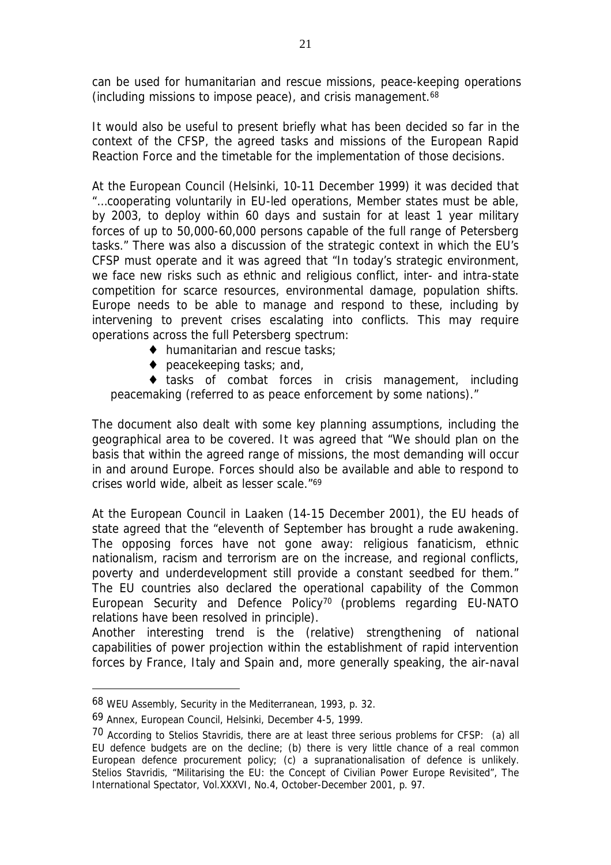can be used for humanitarian and rescue missions, peace-keeping operations (including missions to impose peace), and crisis management.<sup>68</sup>

It would also be useful to present briefly what has been decided so far in the context of the CFSP, the agreed tasks and missions of the European Rapid Reaction Force and the timetable for the implementation of those decisions.

At the European Council (Helsinki, 10-11 December 1999) it was decided that "…cooperating voluntarily in EU-led operations, Member states must be able, by 2003, to deploy within 60 days and sustain for at least 1 year military forces of up to 50,000-60,000 persons capable of the full range of Petersberg tasks." There was also a discussion of the strategic context in which the EU's CFSP must operate and it was agreed that "In today's strategic environment, we face new risks such as ethnic and religious conflict, inter- and intra-state competition for scarce resources, environmental damage, population shifts. Europe needs to be able to manage and respond to these, including by intervening to prevent crises escalating into conflicts. This may require operations across the full Petersberg spectrum:

- ♦ humanitarian and rescue tasks;
- ♦ peacekeeping tasks; and,

♦ tasks of combat forces in crisis management, including peacemaking (referred to as peace enforcement by some nations)."

The document also dealt with some key planning assumptions, including the geographical area to be covered. It was agreed that "We should plan on the basis that within the agreed range of missions, the most demanding will occur in and around Europe. Forces should also be available and able to respond to crises world wide, albeit as lesser scale."<sup>69</sup>

At the European Council in Laaken (14-15 December 2001), the EU heads of state agreed that the "eleventh of September has brought a rude awakening. The opposing forces have not gone away: religious fanaticism, ethnic nationalism, racism and terrorism are on the increase, and regional conflicts, poverty and underdevelopment still provide a constant seedbed for them." The EU countries also declared the operational capability of the Common European Security and Defence Policy<sup>70</sup> (problems regarding EU-NATO relations have been resolved in principle).

Another interesting trend is the (relative) strengthening of national capabilities of power projection within the establishment of rapid intervention forces by France, Italy and Spain and, more generally speaking, the air-naval

<sup>68</sup> WEU Assembly, *Security in the Mediterranean*, 1993, p. 32.

<sup>69</sup> Annex, European Council, Helsinki, December 4-5, 1999.

<sup>70</sup> According to Stelios Stavridis, there are at least three serious problems for CFSP: (a) all EU defence budgets are on the decline; (b) there is very little chance of a real common European defence procurement policy; (c) a supranationalisation of defence is unlikely. Stelios Stavridis, "Militarising the EU: the Concept of Civilian Power Europe Revisited", *The International Spectator*, Vol.XXXVI, No.4, October-December 2001, p. 97.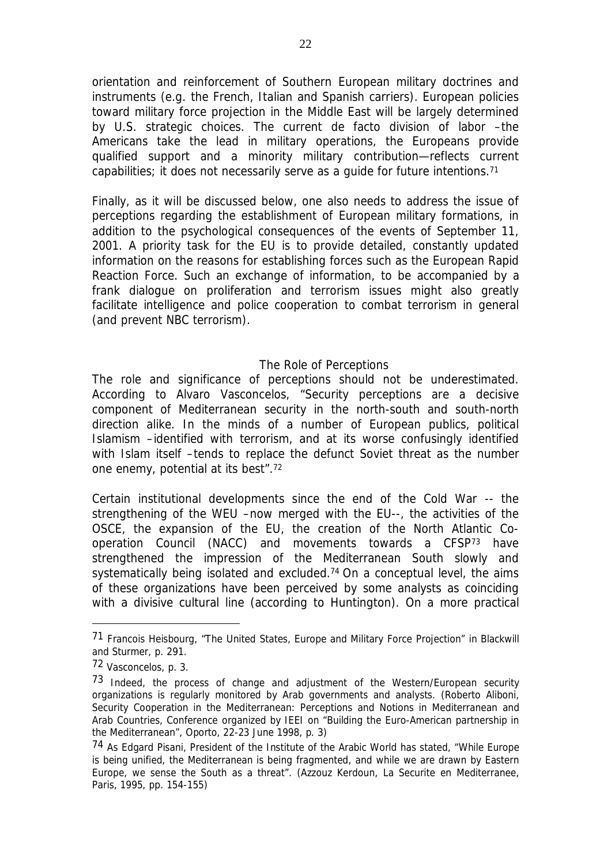orientation and reinforcement of Southern European military doctrines and instruments (e.g. the French, Italian and Spanish carriers). European policies toward military force projection in the Middle East will be largely determined by U.S. strategic choices. The current de facto division of labor –the Americans take the lead in military operations, the Europeans provide qualified support and a minority military contribution—reflects current capabilities; it does not necessarily serve as a guide for future intentions.71

Finally, as it will be discussed below, one also needs to address the issue of perceptions regarding the establishment of European military formations, in addition to the psychological consequences of the events of September 11, 2001. A priority task for the EU is to provide detailed, constantly updated information on the reasons for establishing forces such as the European Rapid Reaction Force. Such an exchange of information, to be accompanied by a frank dialogue on proliferation and terrorism issues might also greatly facilitate intelligence and police cooperation to combat terrorism in general (and prevent NBC terrorism).

#### *The Role of Perceptions*

The role and significance of perceptions should not be underestimated. According to Alvaro Vasconcelos, "Security perceptions are a decisive component of Mediterranean security in the north-south and south-north direction alike. In the minds of a number of European publics, political Islamism –identified with terrorism, and at its worse confusingly identified with Islam itself –tends to replace the defunct Soviet threat as the number one enemy, potential at its best".<sup>72</sup>

Certain institutional developments since the end of the Cold War -- the strengthening of the WEU –now merged with the EU--, the activities of the OSCE, the expansion of the EU, the creation of the North Atlantic Cooperation Council (NACC) and movements towards a CFSP<sup>73</sup> have strengthened the impression of the Mediterranean South slowly and systematically being isolated and excluded.<sup>74</sup> On a conceptual level, the aims of these organizations have been perceived by some analysts as coinciding with a divisive cultural line (according to Huntington). On a more practical

<sup>71</sup> Francois Heisbourg, "The United States, Europe and Military Force Projection" in Blackwill and Sturmer, p. 291.

<sup>72</sup> Vasconcelos, p. 3.

<sup>73</sup> Indeed, the process of change and adjustment of the Western/European security organizations is regularly monitored by Arab governments and analysts. (Roberto Aliboni, *Security Cooperation in the Mediterranean: Perceptions and Notions in Mediterranean and Arab Countries*, Conference organized by IEEI on "Building the Euro-American partnership in the Mediterranean", Oporto, 22-23 June 1998, p. 3)

<sup>74</sup> As Edgard Pisani, President of the Institute of the Arabic World has stated, "While Europe is being unified, the Mediterranean is being fragmented, and while we are drawn by Eastern Europe, we sense the South as a threat". (Azzouz Kerdoun, *La Securite en Mediterranee*, Paris, 1995, pp. 154-155)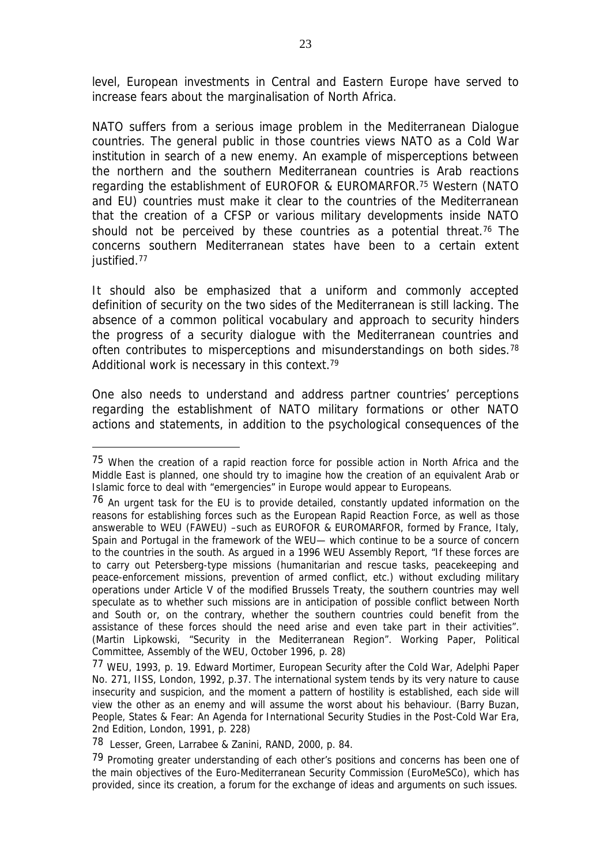level, European investments in Central and Eastern Europe have served to increase fears about the marginalisation of North Africa.

NATO suffers from a serious image problem in the Mediterranean Dialogue countries. The general public in those countries views NATO as a Cold War institution in search of a new enemy. An example of misperceptions between the northern and the southern Mediterranean countries is Arab reactions regarding the establishment of EUROFOR & EUROMARFOR.<sup>75</sup> Western (NATO and EU) countries must make it clear to the countries of the Mediterranean that the creation of a CFSP or various military developments inside NATO should not be perceived by these countries as a potential threat.<sup>76</sup> The concerns southern Mediterranean states have been to a certain extent justified.<sup>77</sup>

It should also be emphasized that a uniform and commonly accepted definition of security on the two sides of the Mediterranean is still lacking. The absence of a common political vocabulary and approach to security hinders the progress of a security dialogue with the Mediterranean countries and often contributes to misperceptions and misunderstandings on both sides.<sup>78</sup> Additional work is necessary in this context.<sup>79</sup>

One also needs to understand and address partner countries' perceptions regarding the establishment of NATO military formations or other NATO actions and statements, in addition to the psychological consequences of the

<sup>75</sup> When the creation of a rapid reaction force for possible action in North Africa and the Middle East is planned, one should try to imagine how the creation of an equivalent Arab or Islamic force to deal with "emergencies" in Europe would appear to Europeans.

<sup>76</sup> An urgent task for the EU is to provide detailed, constantly updated information on the reasons for establishing forces such as the European Rapid Reaction Force, as well as those answerable to WEU (FAWEU) –such as EUROFOR & EUROMARFOR, formed by France, Italy, Spain and Portugal in the framework of the WEU— which continue to be a source of concern to the countries in the south. As argued in a 1996 WEU Assembly Report, "If these forces are to carry out Petersberg-type missions (humanitarian and rescue tasks, peacekeeping and peace-enforcement missions, prevention of armed conflict, etc.) without excluding military operations under Article V of the modified Brussels Treaty, the southern countries may well speculate as to whether such missions are in anticipation of possible conflict between North and South or, on the contrary, whether the southern countries could benefit from the assistance of these forces should the need arise and even take part in their activities". (Martin Lipkowski, "Security in the Mediterranean Region". Working Paper, Political Committee, Assembly of the WEU, October 1996, p. 28)

<sup>77</sup> WEU, 1993, p. 19. Edward Mortimer, *European Security after the Cold War*, Adelphi Paper No. 271, IISS, London, 1992, p.37. The international system tends by its very nature to cause insecurity and suspicion, and the moment a pattern of hostility is established, each side will view the other as an enemy and will assume the worst about his behaviour. (Barry Buzan, *People, States & Fear: An Agenda for International Security Studies in the Post-Cold War Era*, 2nd Edition, London, 1991, p. 228)

<sup>78</sup> Lesser, Green, Larrabee & Zanini, RAND, 2000, p. 84.

<sup>79</sup> Promoting greater understanding of each other's positions and concerns has been one of the main objectives of the Euro-Mediterranean Security Commission (EuroMeSCo), which has provided, since its creation, a forum for the exchange of ideas and arguments on such issues.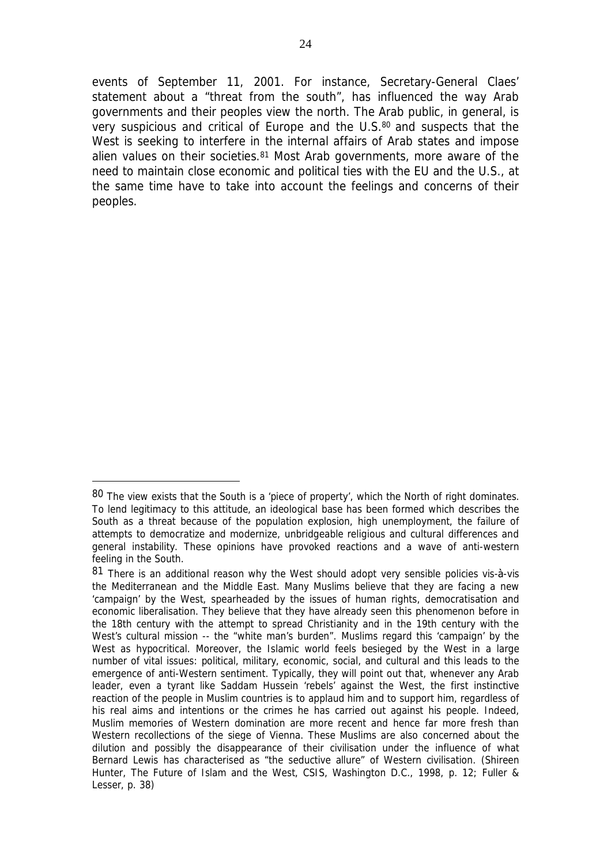events of September 11, 2001. For instance, Secretary-General Claes' statement about a "threat from the south", has influenced the way Arab governments and their peoples view the north. The Arab public, in general, is very suspicious and critical of Europe and the U.S.<sup>80</sup> and suspects that the West is seeking to interfere in the internal affairs of Arab states and impose alien values on their societies.<sup>81</sup> Most Arab governments, more aware of the need to maintain close economic and political ties with the EU and the U.S., at the same time have to take into account the feelings and concerns of their peoples.

<sup>80</sup> The view exists that the South is a 'piece of property', which the North of right dominates. To lend legitimacy to this attitude, an ideological base has been formed which describes the South as a threat because of the population explosion, high unemployment, the failure of attempts to democratize and modernize, unbridgeable religious and cultural differences and general instability. These opinions have provoked reactions and a wave of anti-western feeling in the South.

<sup>81</sup> There is an additional reason why the West should adopt very sensible policies vis-à-vis the Mediterranean and the Middle East. Many Muslims believe that they are facing a new 'campaign' by the West, spearheaded by the issues of human rights, democratisation and economic liberalisation. They believe that they have already seen this phenomenon before in the 18th century with the attempt to spread Christianity and in the 19th century with the West's cultural mission -- the "white man's burden". Muslims regard this 'campaign' by the West as hypocritical. Moreover, the Islamic world feels besieged by the West in a large number of vital issues: political, military, economic, social, and cultural and this leads to the emergence of anti-Western sentiment. Typically, they will point out that, whenever any Arab leader, even a tyrant like Saddam Hussein 'rebels' against the West, the first instinctive reaction of the people in Muslim countries is to applaud him and to support him, regardless of his real aims and intentions or the crimes he has carried out against his people. Indeed, Muslim memories of Western domination are more recent and hence far more fresh than Western recollections of the siege of Vienna. These Muslims are also concerned about the dilution and possibly the disappearance of their civilisation under the influence of what Bernard Lewis has characterised as "the seductive allure" of Western civilisation. (Shireen Hunter, *The Future of Islam and the West*, CSIS, Washington D.C., 1998, p. 12; Fuller & Lesser, p. 38)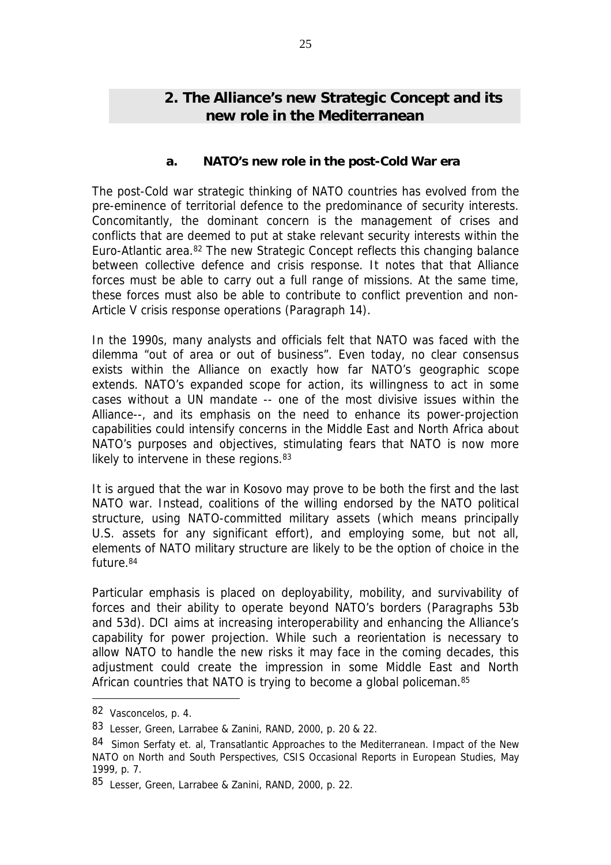# *2.* **The Alliance's new Strategic Concept and its new role in the Mediterranean**

### *a. NATO's new role in the post-Cold War era*

The post-Cold war strategic thinking of NATO countries has evolved from the pre-eminence of territorial defence to the predominance of security interests. Concomitantly, the dominant concern is the management of crises and conflicts that are deemed to put at stake relevant security interests within the Euro-Atlantic area.<sup>82</sup> The new Strategic Concept reflects this changing balance between collective defence and crisis response. It notes that that Alliance forces must be able to carry out a full range of missions. At the same time, these forces must also be able to contribute to conflict prevention and non-Article V crisis response operations (Paragraph 14).

In the 1990s, many analysts and officials felt that NATO was faced with the dilemma "out of area or out of business". Even today, no clear consensus exists within the Alliance on exactly how far NATO's geographic scope extends. NATO's expanded scope for action, its willingness to act in some cases without a UN mandate -- one of the most divisive issues within the Alliance--, and its emphasis on the need to enhance its power-projection capabilities could intensify concerns in the Middle East and North Africa about NATO's purposes and objectives, stimulating fears that NATO is now more likely to intervene in these regions. 83

It is argued that the war in Kosovo may prove to be both the first and the last NATO war. Instead, coalitions of the willing endorsed by the NATO political structure, using NATO-committed military assets (which means principally U.S. assets for any significant effort), and employing some, but not all, elements of NATO military structure are likely to be the option of choice in the future.<sup>84</sup>

Particular emphasis is placed on deployability, mobility, and survivability of forces and their ability to operate beyond NATO's borders (Paragraphs 53b and 53d). DCI aims at increasing interoperability and enhancing the Alliance's capability for power projection. While such a reorientation is necessary to allow NATO to handle the new risks it may face in the coming decades, this adjustment could create the impression in some Middle East and North African countries that NATO is trying to become a global policeman.<sup>85</sup>

<sup>82</sup> Vasconcelos, p. 4.

<sup>83</sup> Lesser, Green, Larrabee & Zanini, RAND, 2000, p. 20 & 22.

<sup>84</sup> Simon Serfaty et. al, *Transatlantic Approaches to the Mediterranean. Impact of the New NATO on North and South Perspectives*, CSIS Occasional Reports in European Studies, May 1999, p. 7.

<sup>85</sup> Lesser, Green, Larrabee & Zanini, RAND, 2000, p. 22.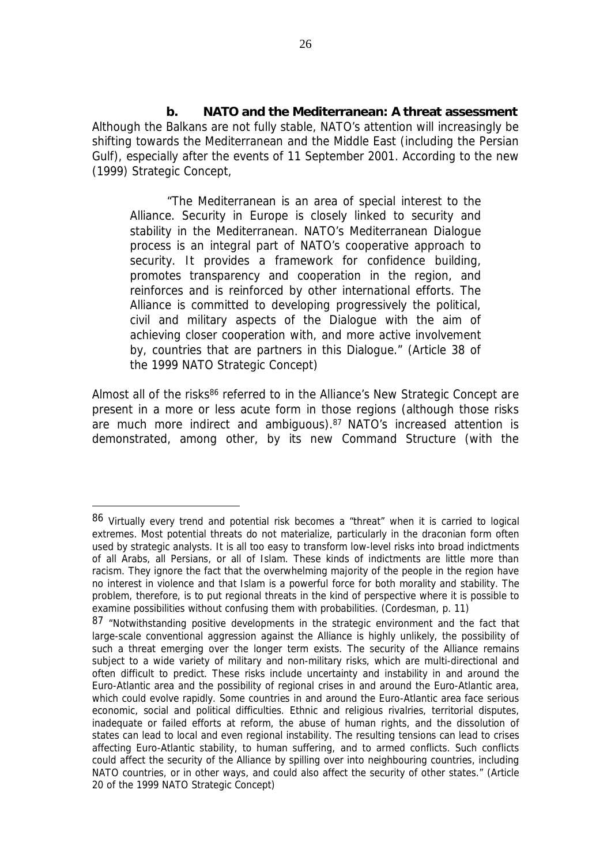*b. NATO and the Mediterranean: A threat assessment*  Although the Balkans are not fully stable, NATO's attention will increasingly be shifting towards the Mediterranean and the Middle East (including the Persian Gulf), especially after the events of 11 September 2001. According to the new (1999) Strategic Concept,

"The Mediterranean is an area of special interest to the Alliance. Security in Europe is closely linked to security and stability in the Mediterranean. NATO's Mediterranean Dialogue process is an integral part of NATO's cooperative approach to security. It provides a framework for confidence building, promotes transparency and cooperation in the region, and reinforces and is reinforced by other international efforts. The Alliance is committed to developing progressively the political, civil and military aspects of the Dialogue with the aim of achieving closer cooperation with, and more active involvement by, countries that are partners in this Dialogue." (Article 38 of the 1999 NATO Strategic Concept)

Almost all of the risks<sup>86</sup> referred to in the Alliance's New Strategic Concept are present in a more or less acute form in those regions (although those risks are much more indirect and ambiguous).<sup>87</sup> NATO's increased attention is demonstrated, among other, by its new Command Structure (with the

<sup>86</sup> Virtually every trend and potential risk becomes a "threat" when it is carried to logical extremes. Most potential threats do not materialize, particularly in the draconian form often used by strategic analysts. It is all too easy to transform low-level risks into broad indictments of all Arabs, all Persians, or all of Islam. These kinds of indictments are little more than racism. They ignore the fact that the overwhelming majority of the people in the region have no interest in violence and that Islam is a powerful force for both morality and stability. The problem, therefore, is to put regional threats in the kind of perspective where it is possible to examine possibilities without confusing them with probabilities. (Cordesman, p. 11)

<sup>87 &</sup>quot;Notwithstanding positive developments in the strategic environment and the fact that large-scale conventional aggression against the Alliance is highly unlikely, the possibility of such a threat emerging over the longer term exists. The security of the Alliance remains subject to a wide variety of military and non-military risks, which are multi-directional and often difficult to predict. These risks include uncertainty and instability in and around the Euro-Atlantic area and the possibility of regional crises in and around the Euro-Atlantic area, which could evolve rapidly. Some countries in and around the Euro-Atlantic area face serious economic, social and political difficulties. Ethnic and religious rivalries, territorial disputes, inadequate or failed efforts at reform, the abuse of human rights, and the dissolution of states can lead to local and even regional instability. The resulting tensions can lead to crises affecting Euro-Atlantic stability, to human suffering, and to armed conflicts. Such conflicts could affect the security of the Alliance by spilling over into neighbouring countries, including NATO countries, or in other ways, and could also affect the security of other states." (Article 20 of the 1999 NATO Strategic Concept)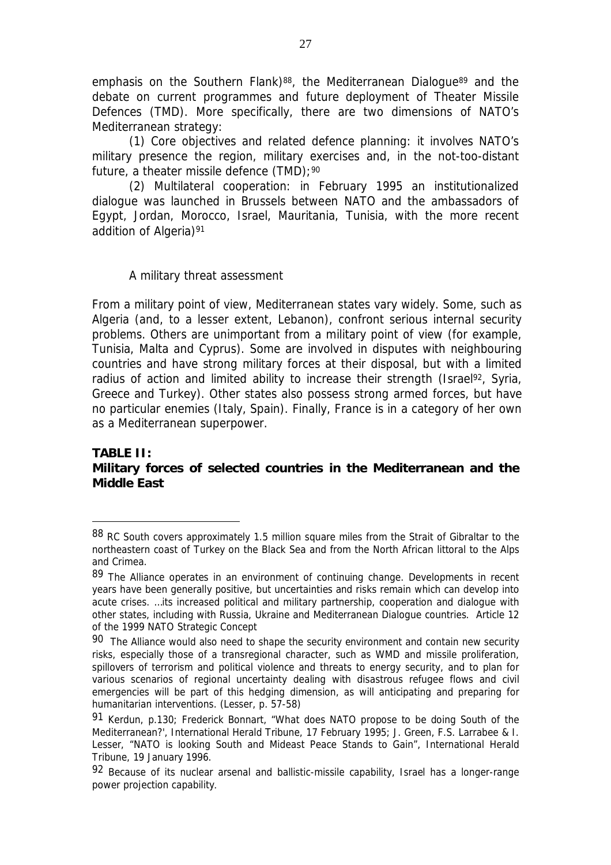emphasis on the Southern Flank)<sup>88</sup>, the Mediterranean Dialogue<sup>89</sup> and the debate on current programmes and future deployment of Theater Missile Defences (TMD). More specifically, there are two dimensions of NATO's Mediterranean strategy:

(1) *Core objectives and related defence planning*: it involves NATO's military presence the region, military exercises and, in the not-too-distant future, a theater missile defence (TMD);<sup>90</sup>

(2) *Multilateral cooperation*: in February 1995 an institutionalized dialogue was launched in Brussels between NATO and the ambassadors of Egypt, Jordan, Morocco, Israel, Mauritania, Tunisia, with the more recent addition of Algeria)<sup>91</sup>

#### *A military threat assessment*

 $\overline{a}$ 

From a military point of view, Mediterranean states vary widely. Some, such as Algeria (and, to a lesser extent, Lebanon), confront serious internal security problems. Others are unimportant from a military point of view (for example, Tunisia, Malta and Cyprus). Some are involved in disputes with neighbouring countries and have strong military forces at their disposal, but with a limited radius of action and limited ability to increase their strength (Israel<sup>92</sup>, Syria, Greece and Turkey). Other states also possess strong armed forces, but have no particular enemies (Italy, Spain). Finally, France is in a category of her own as a Mediterranean superpower.

### **TABLE II: Military forces of selected countries in the Mediterranean and the Middle East**

<sup>88</sup> RC South covers approximately 1.5 million square miles from the Strait of Gibraltar to the northeastern coast of Turkey on the Black Sea and from the North African littoral to the Alps and Crimea.

<sup>89</sup> The Alliance operates in an environment of continuing change. Developments in recent years have been generally positive, but uncertainties and risks remain which can develop into acute crises. …its increased political and military partnership, cooperation and dialogue with other states, including with Russia, Ukraine and Mediterranean Dialogue countries. Article 12 of the 1999 NATO Strategic Concept

 $90$  The Alliance would also need to shape the security environment and contain new security risks, especially those of a transregional character, such as WMD and missile proliferation, spillovers of terrorism and political violence and threats to energy security, and to plan for various scenarios of regional uncertainty dealing with disastrous refugee flows and civil emergencies will be part of this hedging dimension, as will anticipating and preparing for humanitarian interventions. (Lesser, p. 57-58)

<sup>91</sup> Kerdun, p.130; Frederick Bonnart, "What does NATO propose to be doing South of the Mediterranean?', *International Herald Tribune*, 17 February 1995; J. Green, F.S. Larrabee & I. Lesser, "NATO is looking South and Mideast Peace Stands to Gain", *International Herald Tribune*, 19 January 1996.

<sup>92</sup> Because of its nuclear arsenal and ballistic-missile capability, Israel has a longer-range power projection capability.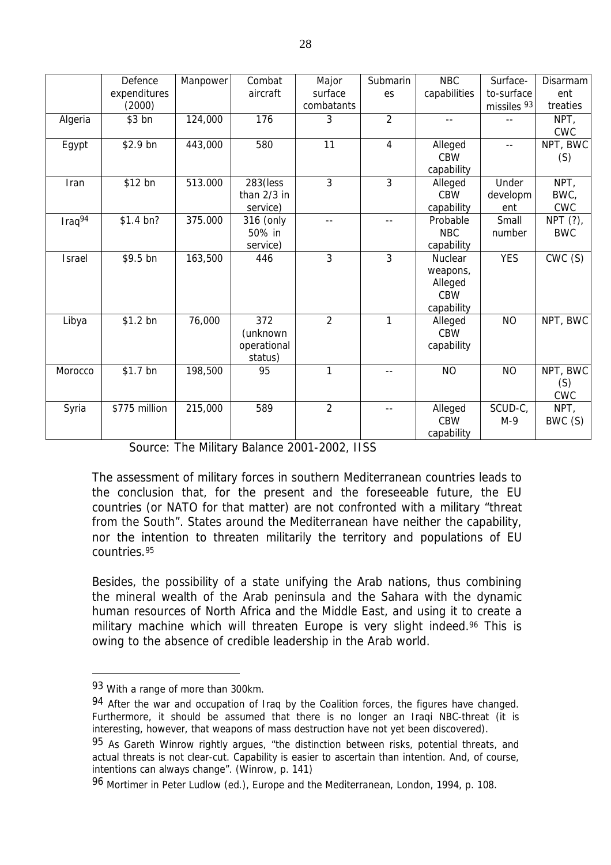| expenditures<br>aircraft<br>surface<br>capabilities<br>to-surface<br>ent<br>es<br>combatants<br>missiles 93<br>(2000)<br>$\overline{2}$<br>124,000<br>176<br>Algeria<br>\$3 bn<br>3<br>NPT,<br>--<br>--<br><b>CWC</b><br>\$2.9 bn<br>580<br>11<br>4<br>443,000<br>Egypt<br>Alleged<br>$-$<br><b>CBW</b><br>(S) | Defence | Manpower | Combat | Major | Submarin | <b>NBC</b> | Surface- | Disarmam |
|----------------------------------------------------------------------------------------------------------------------------------------------------------------------------------------------------------------------------------------------------------------------------------------------------------------|---------|----------|--------|-------|----------|------------|----------|----------|
|                                                                                                                                                                                                                                                                                                                |         |          |        |       |          |            |          |          |
|                                                                                                                                                                                                                                                                                                                |         |          |        |       |          |            |          | treaties |
|                                                                                                                                                                                                                                                                                                                |         |          |        |       |          |            |          |          |
|                                                                                                                                                                                                                                                                                                                |         |          |        |       |          |            |          |          |
|                                                                                                                                                                                                                                                                                                                |         |          |        |       |          |            |          | NPT, BWC |
|                                                                                                                                                                                                                                                                                                                |         |          |        |       |          |            |          |          |
|                                                                                                                                                                                                                                                                                                                |         |          |        |       |          | capability |          |          |
| 3<br>3<br>\$12 bn<br>513.000<br>283(less<br>NPT,<br>Alleged<br>Under<br>Iran                                                                                                                                                                                                                                   |         |          |        |       |          |            |          |          |
| <b>CBW</b><br>than $2/3$ in<br>BWC,<br>developm                                                                                                                                                                                                                                                                |         |          |        |       |          |            |          |          |
| <b>CWC</b><br>service)<br>capability<br>ent                                                                                                                                                                                                                                                                    |         |          |        |       |          |            |          |          |
| $Iraq^{94}$<br>$$1.4$ bn?<br>375.000<br>Probable<br>Small<br>316 (only<br>--                                                                                                                                                                                                                                   |         |          |        |       |          |            |          | NPT (?), |
| 50% in<br><b>NBC</b><br><b>BWC</b><br>number                                                                                                                                                                                                                                                                   |         |          |        |       |          |            |          |          |
| service)<br>capability                                                                                                                                                                                                                                                                                         |         |          |        |       |          |            |          |          |
| $\overline{3}$<br>3<br><b>YES</b><br>\$9.5 bn<br>163,500<br><b>Israel</b><br>446<br>Nuclear                                                                                                                                                                                                                    |         |          |        |       |          |            |          | CWC(S)   |
| weapons,                                                                                                                                                                                                                                                                                                       |         |          |        |       |          |            |          |          |
| Alleged                                                                                                                                                                                                                                                                                                        |         |          |        |       |          |            |          |          |
| <b>CBW</b>                                                                                                                                                                                                                                                                                                     |         |          |        |       |          |            |          |          |
| capability                                                                                                                                                                                                                                                                                                     |         |          |        |       |          |            |          |          |
| $\overline{2}$<br>1<br>$$1.2$ bn<br>76,000<br>372<br><b>NO</b><br>Libya<br>Alleged                                                                                                                                                                                                                             |         |          |        |       |          |            |          | NPT, BWC |
| <b>CBW</b><br>(unknown                                                                                                                                                                                                                                                                                         |         |          |        |       |          |            |          |          |
| operational<br>capability                                                                                                                                                                                                                                                                                      |         |          |        |       |          |            |          |          |
| status)<br>$\mathbf{1}$<br>95                                                                                                                                                                                                                                                                                  |         |          |        |       |          |            |          |          |
| \$1.7 bn<br>198,500<br><b>NO</b><br><b>NO</b><br>Morocco<br>--                                                                                                                                                                                                                                                 |         |          |        |       |          |            |          | NPT, BWC |
| (S)<br><b>CWC</b>                                                                                                                                                                                                                                                                                              |         |          |        |       |          |            |          |          |
| $\overline{2}$<br>\$775 million<br>215,000<br>589<br>SCUD-C,<br>Syria<br>NPT,<br>Alleged<br>$-$                                                                                                                                                                                                                |         |          |        |       |          |            |          |          |
| <b>CBW</b><br>$M-9$                                                                                                                                                                                                                                                                                            |         |          |        |       |          |            |          | BWC (S)  |
| capability                                                                                                                                                                                                                                                                                                     |         |          |        |       |          |            |          |          |

Source: *The Military Balance 2001-2002*, IISS

The assessment of military forces in southern Mediterranean countries leads to the conclusion that, for the present and the foreseeable future, the EU countries (or NATO for that matter) are not confronted with a military "threat from the South". States around the Mediterranean have neither the capability, nor the intention to threaten militarily the territory and populations of EU countries.<sup>95</sup>

Besides, the possibility of a state unifying the Arab nations, thus combining the mineral wealth of the Arab peninsula and the Sahara with the dynamic human resources of North Africa and the Middle East, and using it to create a military machine which will threaten Europe is very slight indeed.<sup>96</sup> This is owing to the absence of credible leadership in the Arab world.

<sup>93</sup> With a range of more than 300km.

<sup>94</sup> After the war and occupation of Iraq by the Coalition forces, the figures have changed. Furthermore, it should be assumed that there is no longer an Iraqi NBC-threat (it is interesting, however, that weapons of mass destruction have not yet been discovered).

<sup>95</sup> As Gareth Winrow rightly argues, "the distinction between risks, potential threats, and actual threats is not clear-cut. Capability is easier to ascertain than intention. And, of course, intentions can always change". (Winrow, p. 141)

<sup>96</sup> Mortimer in Peter Ludlow (ed.), *Europe and the Mediterranean*, London, 1994, p. 108.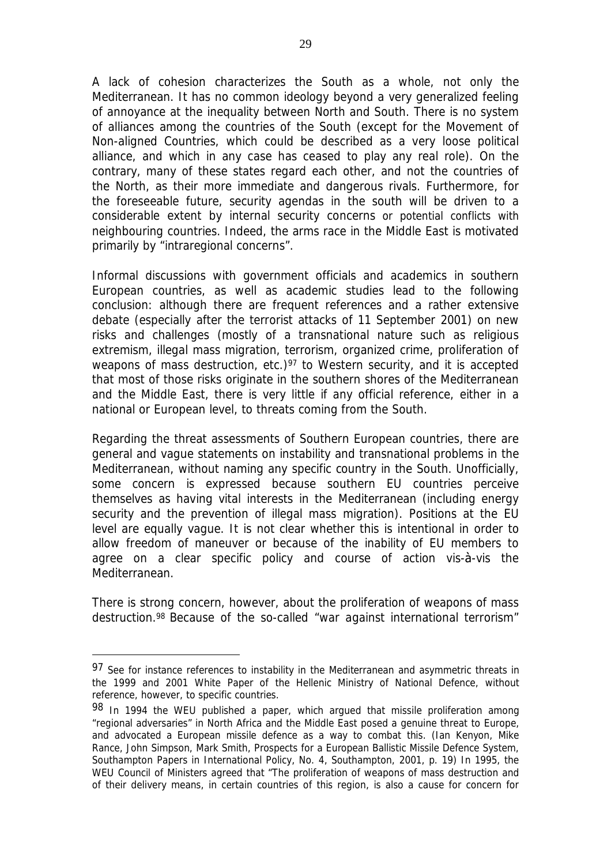A lack of cohesion characterizes the South as a whole, not only the Mediterranean. It has no common ideology beyond a very generalized feeling of annoyance at the inequality between North and South. There is no system of alliances among the countries of the South (except for the Movement of Non-aligned Countries, which could be described as a very loose political alliance, and which in any case has ceased to play any real role). On the contrary, many of these states regard each other, and not the countries of the North, as their more immediate and dangerous rivals. Furthermore, for the foreseeable future, security agendas in the south will be driven to a considerable extent by internal security concerns or potential conflicts with neighbouring countries. Indeed, the arms race in the Middle East is motivated primarily by "intraregional concerns".

Informal discussions with government officials and academics in southern European countries, as well as academic studies lead to the following conclusion: although there are frequent references and a rather extensive debate (especially after the terrorist attacks of 11 September 2001) on new risks and challenges (mostly of a transnational nature such as religious extremism, illegal mass migration, terrorism, organized crime, proliferation of weapons of mass destruction, etc.)<sup>97</sup> to Western security, and it is accepted that most of those risks originate in the southern shores of the Mediterranean and the Middle East, there is very little if any official reference, either in a national or European level, to threats coming from the South.

Regarding the threat assessments of Southern European countries, there are general and vague statements on instability and transnational problems in the Mediterranean, without naming any specific country in the South. Unofficially, some concern is expressed because southern EU countries perceive themselves as having vital interests in the Mediterranean (including energy security and the prevention of illegal mass migration). Positions at the EU level are equally vague. It is not clear whether this is intentional in order to allow freedom of maneuver or because of the inability of EU members to agree on a clear specific policy and course of action vis-à-vis the Mediterranean.

There is strong concern, however, about the proliferation of weapons of mass destruction.<sup>98</sup> Because of the so-called "war against international terrorism"

<sup>97</sup> See for instance references to instability in the Mediterranean and asymmetric threats in the 1999 and 2001 *White Paper* of the Hellenic Ministry of National Defence, without reference, however, to specific countries.

<sup>98</sup> In 1994 the WEU published a paper, which argued that missile proliferation among "regional adversaries" in North Africa and the Middle East posed a genuine threat to Europe, and advocated a European missile defence as a way to combat this. (Ian Kenyon, Mike Rance, John Simpson, Mark Smith, *Prospects for a European Ballistic Missile Defence System*, Southampton Papers in International Policy, No. 4, Southampton, 2001, p. 19) In 1995, the WEU Council of Ministers agreed that "The proliferation of weapons of mass destruction and of their delivery means, in certain countries of this region, is also a cause for concern for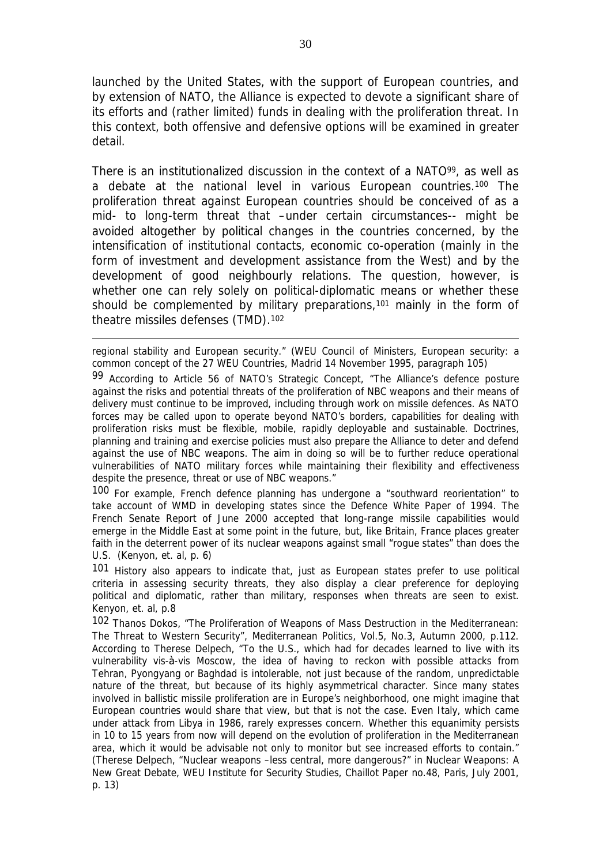launched by the United States, with the support of European countries, and by extension of NATO, the Alliance is expected to devote a significant share of its efforts and (rather limited) funds in dealing with the proliferation threat. In this context, both offensive and defensive options will be examined in greater detail.

There is an institutionalized discussion in the context of a NATO<sup>99</sup>, as well as a debate at the national level in various European countries.<sup>100</sup> The proliferation threat against European countries should be conceived of as a mid- to long-term threat that –under certain circumstances-- might be avoided altogether by political changes in the countries concerned, by the intensification of institutional contacts, economic co-operation (mainly in the form of investment and development assistance from the West) and by the development of good neighbourly relations. The question, however, is whether one can rely solely on political-diplomatic means or whether these should be complemented by military preparations,<sup>101</sup> mainly in the form of theatre missiles defenses (TMD).<sup>102</sup>

regional stability and European security." (WEU Council of Ministers, *European security: a common concept of the 27 WEU Countries*, Madrid 14 November 1995, paragraph 105)

 $\overline{a}$ 

99 According to Article 56 of NATO's Strategic Concept, "The Alliance's defence posture against the risks and potential threats of the proliferation of NBC weapons and their means of delivery must continue to be improved, including through work on missile defences. As NATO forces may be called upon to operate beyond NATO's borders, capabilities for dealing with proliferation risks must be flexible, mobile, rapidly deployable and sustainable. Doctrines, planning and training and exercise policies must also prepare the Alliance to deter and defend against the use of NBC weapons. The aim in doing so will be to further reduce operational vulnerabilities of NATO military forces while maintaining their flexibility and effectiveness despite the presence, threat or use of NBC weapons."

100 For example, French defence planning has undergone a "southward reorientation" to take account of WMD in developing states since the Defence White Paper of 1994. The French Senate Report of June 2000 accepted that long-range missile capabilities would emerge in the Middle East at some point in the future, but, like Britain, France places greater faith in the deterrent power of its nuclear weapons against small "rogue states" than does the U.S. (Kenyon, et. al, p. 6)

101 History also appears to indicate that, just as European states prefer to use political criteria in assessing security threats, they also display a clear preference for deploying political and diplomatic, rather than military, responses when threats are seen to exist. Kenyon, et. al, p.8

102 Thanos Dokos, "The Proliferation of Weapons of Mass Destruction in the Mediterranean: The Threat to Western Security", *Mediterranean Politics*, Vol.5, No.3, Autumn 2000, p.112. According to Therese Delpech, "To the U.S., which had for decades learned to live with its vulnerability vis-à-vis Moscow, the idea of having to reckon with possible attacks from Tehran, Pyongyang or Baghdad is intolerable, not just because of the random, unpredictable nature of the threat, but because of its highly asymmetrical character. Since many states involved in ballistic missile proliferation are in Europe's neighborhood, one might imagine that European countries would share that view, but that is not the case. Even Italy, which came under attack from Libya in 1986, rarely expresses concern. Whether this equanimity persists in 10 to 15 years from now will depend on the evolution of proliferation in the Mediterranean area, which it would be advisable not only to monitor but see increased efforts to contain." (Therese Delpech, "Nuclear weapons –less central, more dangerous?" in *Nuclear Weapons: A New Great Debate*, WEU Institute for Security Studies, Chaillot Paper no.48, Paris, July 2001, p. 13)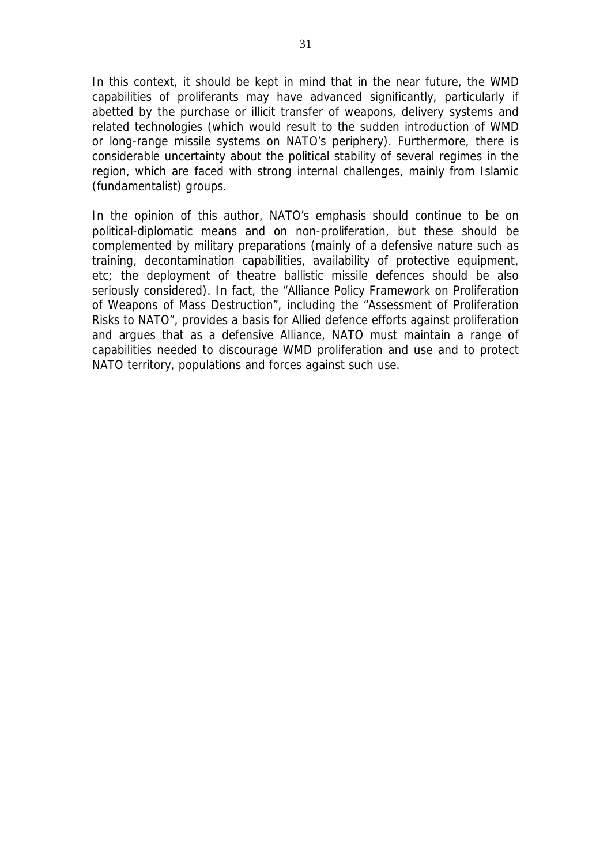In this context, it should be kept in mind that in the near future, the WMD capabilities of proliferants may have advanced significantly, particularly if abetted by the purchase or illicit transfer of weapons, delivery systems and related technologies (which would result to the sudden introduction of WMD or long-range missile systems on NATO's periphery). Furthermore, there is considerable uncertainty about the political stability of several regimes in the region, which are faced with strong internal challenges, mainly from Islamic (fundamentalist) groups.

In the opinion of this author, NATO's emphasis should continue to be on political-diplomatic means and on non-proliferation, but these should be complemented by military preparations (mainly of a defensive nature such as training, decontamination capabilities, availability of protective equipment, etc; the deployment of theatre ballistic missile defences should be also seriously considered). In fact, the "*Alliance Policy Framework on Proliferation of Weapons of Mass Destruction*", including the "*Assessment of Proliferation Risks to NATO*", provides a basis for Allied defence efforts against proliferation and argues that as a defensive Alliance, NATO must maintain a range of capabilities needed to discourage WMD proliferation and use and to protect NATO territory, populations and forces against such use.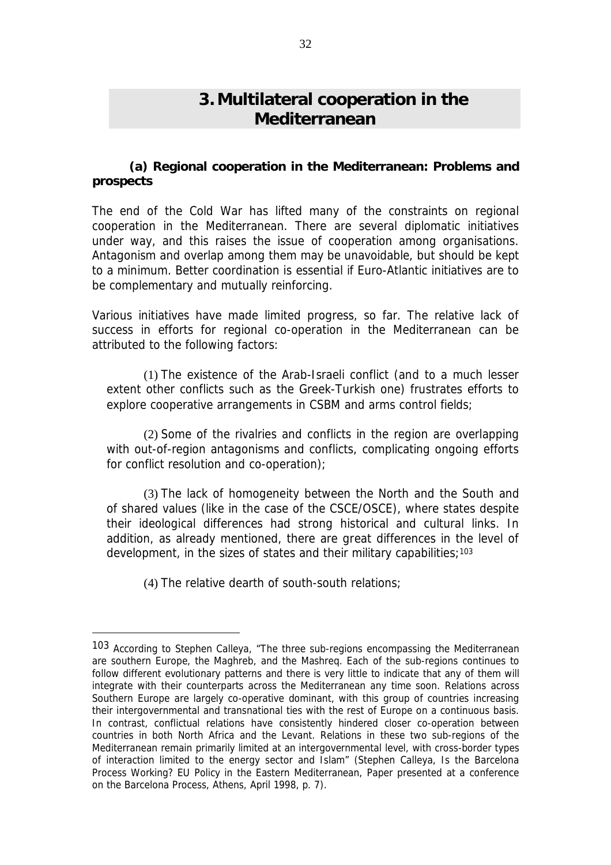# **3. Multilateral cooperation in the Mediterranean**

#### **(a) Regional cooperation in the Mediterranean: Problems and prospects**

The end of the Cold War has lifted many of the constraints on regional cooperation in the Mediterranean. There are several diplomatic initiatives under way, and this raises the issue of cooperation among organisations. Antagonism and overlap among them may be unavoidable, but should be kept to a minimum. Better coordination is essential if Euro-Atlantic initiatives are to be complementary and mutually reinforcing.

Various initiatives have made limited progress, so far. The relative lack of success in efforts for regional co-operation in the Mediterranean can be attributed to the following factors:

(1) The existence of the Arab-Israeli conflict (and to a much lesser extent other conflicts such as the Greek-Turkish one) frustrates efforts to explore cooperative arrangements in CSBM and arms control fields;

(2) Some of the rivalries and conflicts in the region are overlapping with out-of-region antagonisms and conflicts, complicating ongoing efforts for conflict resolution and co-operation);

(3) The lack of homogeneity between the North and the South and of shared values (like in the case of the CSCE/OSCE), where states despite their ideological differences had strong historical and cultural links. In addition, as already mentioned, there are great differences in the level of development, in the sizes of states and their military capabilities;  $103$ 

(4) The relative dearth of south-south relations;

<sup>103</sup> According to Stephen Calleya, "The three sub-regions encompassing the Mediterranean are southern Europe, the Maghreb, and the Mashreq. Each of the sub-regions continues to follow different evolutionary patterns and there is very little to indicate that any of them will integrate with their counterparts across the Mediterranean any time soon. Relations across Southern Europe are largely co-operative dominant, with this group of countries increasing their intergovernmental and transnational ties with the rest of Europe on a continuous basis. In contrast, conflictual relations have consistently hindered closer co-operation between countries in both North Africa and the Levant. Relations in these two sub-regions of the Mediterranean remain primarily limited at an intergovernmental level, with cross-border types of interaction limited to the energy sector and Islam" (Stephen Calleya, *Is the Barcelona Process Working? EU Policy in the Eastern Mediterranean*, Paper presented at a conference on the Barcelona Process, Athens, April 1998, p. 7).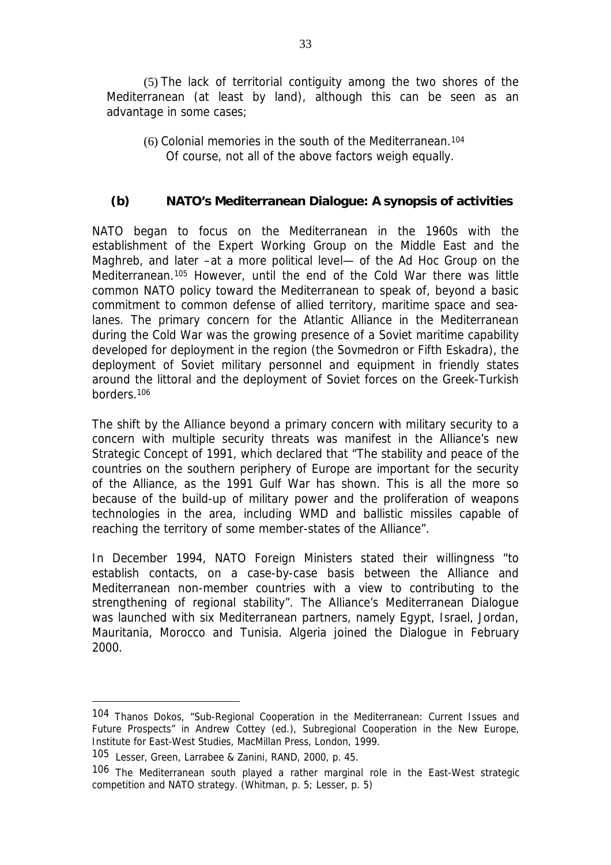(5) The lack of territorial contiguity among the two shores of the Mediterranean (at least by land), although this can be seen as an advantage in some cases;

(6) Colonial memories in the south of the Mediterranean.<sup>104</sup> Of course, not all of the above factors weigh equally.

### *(b) NATO's Mediterranean Dialogue: A synopsis of activities*

NATO began to focus on the Mediterranean in the 1960s with the establishment of the Expert Working Group on the Middle East and the Maghreb, and later –at a more political level— of the *Ad Hoc* Group on the Mediterranean.<sup>105</sup> However, until the end of the Cold War there was little common NATO policy toward the Mediterranean to speak of, beyond a basic commitment to common defense of allied territory, maritime space and sealanes. The primary concern for the Atlantic Alliance in the Mediterranean during the Cold War was the growing presence of a Soviet maritime capability developed for deployment in the region (the *Sovmedron* or *Fifth Eskadra*), the deployment of Soviet military personnel and equipment in friendly states around the littoral and the deployment of Soviet forces on the Greek-Turkish borders.<sup>106</sup>

The shift by the Alliance beyond a primary concern with military security to a concern with multiple security threats was manifest in the Alliance's new Strategic Concept of 1991, which declared that "The stability and peace of the countries on the southern periphery of Europe are important for the security of the Alliance, as the 1991 Gulf War has shown. This is all the more so because of the build-up of military power and the proliferation of weapons technologies in the area, including WMD and ballistic missiles capable of reaching the territory of some member-states of the Alliance".

In December 1994, NATO Foreign Ministers stated their willingness "to establish contacts, on a case-by-case basis between the Alliance and Mediterranean non-member countries with a view to contributing to the strengthening of regional stability". The Alliance's Mediterranean Dialogue was launched with six Mediterranean partners, namely Egypt, Israel, Jordan, Mauritania, Morocco and Tunisia. Algeria joined the Dialogue in February 2000.

<sup>104</sup> Thanos Dokos, "Sub-Regional Cooperation in the Mediterranean: Current Issues and Future Prospects" in Andrew Cottey (ed.), *Subregional Cooperation in the New Europe*, Institute for East-West Studies, MacMillan Press, London, 1999.

<sup>105</sup> Lesser, Green, Larrabee & Zanini, RAND, 2000, p. 45.

<sup>106</sup> The Mediterranean south played a rather marginal role in the East-West strategic competition and NATO strategy. (Whitman, p. 5; Lesser, p. 5)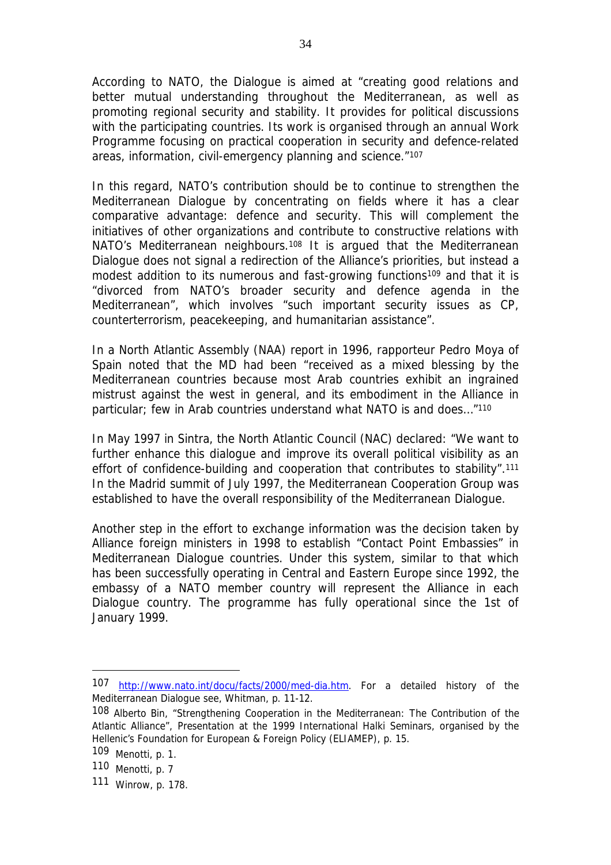According to NATO, the Dialogue is aimed at "creating good relations and better mutual understanding throughout the Mediterranean, as well as promoting regional security and stability. It provides for political discussions with the participating countries. Its work is organised through an annual Work Programme focusing on practical cooperation in security and defence-related areas, information, civil-emergency planning and science."<sup>107</sup>

In this regard, NATO's contribution should be to continue to strengthen the Mediterranean Dialogue by concentrating on fields where it has a clear comparative advantage: defence and security. This will complement the initiatives of other organizations and contribute to constructive relations with NATO's Mediterranean neighbours.<sup>108</sup> It is argued that the Mediterranean Dialogue does not signal a redirection of the Alliance's priorities, but instead a modest addition to its numerous and fast-growing functions<sup>109</sup> and that it is "divorced from NATO's broader security and defence agenda in the Mediterranean", which involves "such important security issues as CP, counterterrorism, peacekeeping, and humanitarian assistance".

In a North Atlantic Assembly (NAA) report in 1996, rapporteur Pedro Moya of Spain noted that the MD had been "received as a mixed blessing by the Mediterranean countries because most Arab countries exhibit an ingrained mistrust against the west in general, and its embodiment in the Alliance in particular; few in Arab countries understand what NATO is and does…"<sup>110</sup>

In May 1997 in Sintra, the North Atlantic Council (NAC) declared: "We want to further enhance this dialogue and improve its overall political visibility as an effort of confidence-building and cooperation that contributes to stability".<sup>111</sup> In the Madrid summit of July 1997, the Mediterranean Cooperation Group was established to have the overall responsibility of the Mediterranean Dialogue.

Another step in the effort to exchange information was the decision taken by Alliance foreign ministers in 1998 to establish "Contact Point Embassies" in Mediterranean Dialogue countries. Under this system, similar to that which has been successfully operating in Central and Eastern Europe since 1992, the embassy of a NATO member country will represent the Alliance in each Dialogue country. The programme has fully operational since the 1st of January 1999.

<sup>107</sup> <http://www.nato.int/docu/facts/2000/med-dia.htm>. For a detailed history of the Mediterranean Dialogue see, Whitman, p. 11-12.

<sup>108</sup> Alberto Bin, "Strengthening Cooperation in the Mediterranean: The Contribution of the Atlantic Alliance", Presentation at the 1999 International Halki Seminars, organised by the Hellenic's Foundation for European & Foreign Policy (ELIAMEP), p. 15.

<sup>109</sup> Menotti, p. 1.

<sup>110</sup> Menotti, p. 7

<sup>111</sup> Winrow, p. 178.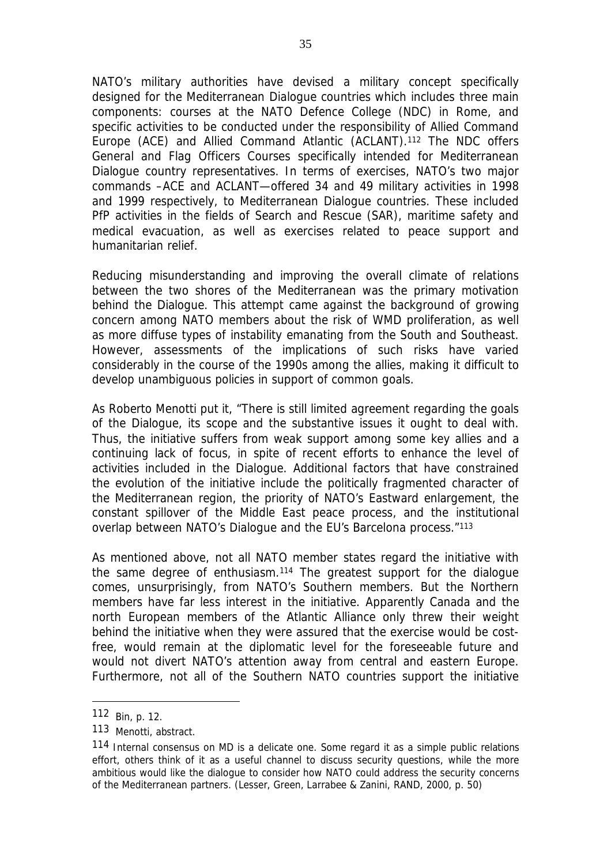NATO's military authorities have devised a military concept specifically designed for the Mediterranean Dialogue countries which includes three main components: courses at the NATO Defence College (NDC) in Rome, and specific activities to be conducted under the responsibility of Allied Command Europe (ACE) and Allied Command Atlantic (ACLANT).<sup>112</sup> The NDC offers General and Flag Officers Courses specifically intended for Mediterranean Dialogue country representatives. In terms of exercises, NATO's two major commands –ACE and ACLANT—offered 34 and 49 military activities in 1998 and 1999 respectively, to Mediterranean Dialogue countries. These included PfP activities in the fields of Search and Rescue (SAR), maritime safety and medical evacuation, as well as exercises related to peace support and humanitarian relief.

Reducing misunderstanding and improving the overall climate of relations between the two shores of the Mediterranean was the primary motivation behind the Dialogue. This attempt came against the background of growing concern among NATO members about the risk of WMD proliferation, as well as more diffuse types of instability emanating from the South and Southeast. However, assessments of the implications of such risks have varied considerably in the course of the 1990s among the allies, making it difficult to develop unambiguous policies in support of common goals.

As Roberto Menotti put it, "There is still limited agreement regarding the goals of the Dialogue, its scope and the substantive issues it ought to deal with. Thus, the initiative suffers from weak support among some key allies and a continuing lack of focus, in spite of recent efforts to enhance the level of activities included in the Dialogue. Additional factors that have constrained the evolution of the initiative include the politically fragmented character of the Mediterranean region, the priority of NATO's Eastward enlargement, the constant spillover of the Middle East peace process, and the institutional overlap between NATO's Dialogue and the EU's Barcelona process."<sup>113</sup>

As mentioned above, not all NATO member states regard the initiative with the same degree of enthusiasm.<sup>114</sup> The greatest support for the dialogue comes, unsurprisingly, from NATO's Southern members. But the Northern members have far less interest in the initiative. Apparently Canada and the north European members of the Atlantic Alliance only threw their weight behind the initiative when they were assured that the exercise would be costfree, would remain at the diplomatic level for the foreseeable future and would not divert NATO's attention away from central and eastern Europe. Furthermore, not all of the Southern NATO countries support the initiative

<sup>112</sup> Bin, p. 12.

<sup>113</sup> Menotti, abstract.

<sup>114</sup> Internal consensus on MD is a delicate one. Some regard it as a simple public relations effort, others think of it as a useful channel to discuss security questions, while the more ambitious would like the dialogue to consider how NATO could address the security concerns of the Mediterranean partners. (Lesser, Green, Larrabee & Zanini, RAND, 2000, p. 50)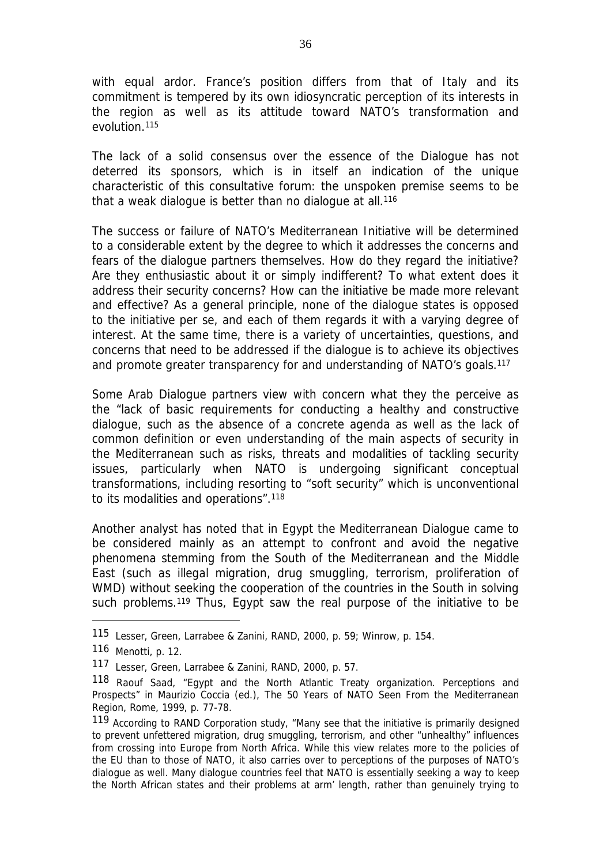with equal ardor. France's position differs from that of Italy and its commitment is tempered by its own idiosyncratic perception of its interests in the region as well as its attitude toward NATO's transformation and evolution.<sup>115</sup>

The lack of a solid consensus over the essence of the Dialogue has not deterred its sponsors, which is in itself an indication of the unique characteristic of this consultative forum: the unspoken premise seems to be that a weak dialogue is better than no dialogue at all.<sup>116</sup>

The success or failure of NATO's Mediterranean Initiative will be determined to a considerable extent by the degree to which it addresses the concerns and fears of the dialogue partners themselves. How do they regard the initiative? Are they enthusiastic about it or simply indifferent? To what extent does it address their security concerns? How can the initiative be made more relevant and effective? As a general principle, none of the dialogue states is opposed to the initiative per se, and each of them regards it with a varying degree of interest. At the same time, there is a variety of uncertainties, questions, and concerns that need to be addressed if the dialogue is to achieve its objectives and promote greater transparency for and understanding of NATO's goals.<sup>117</sup>

Some Arab Dialogue partners view with concern what they the perceive as the "lack of basic requirements for conducting a healthy and constructive dialogue, such as the absence of a concrete agenda as well as the lack of common definition or even understanding of the main aspects of security in the Mediterranean such as risks, threats and modalities of tackling security issues, particularly when NATO is undergoing significant conceptual transformations, including resorting to "soft security" which is unconventional to its modalities and operations".<sup>118</sup>

Another analyst has noted that in Egypt the Mediterranean Dialogue came to be considered mainly as an attempt to confront and avoid the negative phenomena stemming from the South of the Mediterranean and the Middle East (such as illegal migration, drug smuggling, terrorism, proliferation of WMD) without seeking the cooperation of the countries in the South in solving such problems.<sup>119</sup> Thus, Egypt saw the real purpose of the initiative to be

<sup>115</sup> Lesser, Green, Larrabee & Zanini, RAND, 2000, p. 59; Winrow, p. 154.

<sup>116</sup> Menotti, p. 12.

<sup>117</sup> Lesser, Green, Larrabee & Zanini, RAND, 2000, p. 57.

<sup>118</sup> Raouf Saad, "Egypt and the North Atlantic Treaty organization. Perceptions and Prospects" in Maurizio Coccia (ed.), *The 50 Years of NATO Seen From the Mediterranean Region*, Rome, 1999, p. 77-78.

<sup>119</sup> According to RAND Corporation study, "Many see that the initiative is primarily designed to prevent unfettered migration, drug smuggling, terrorism, and other "unhealthy" influences from crossing into Europe from North Africa. While this view relates more to the policies of the EU than to those of NATO, it also carries over to perceptions of the purposes of NATO's dialogue as well. Many dialogue countries feel that NATO is essentially seeking a way to keep the North African states and their problems at arm' length, rather than genuinely trying to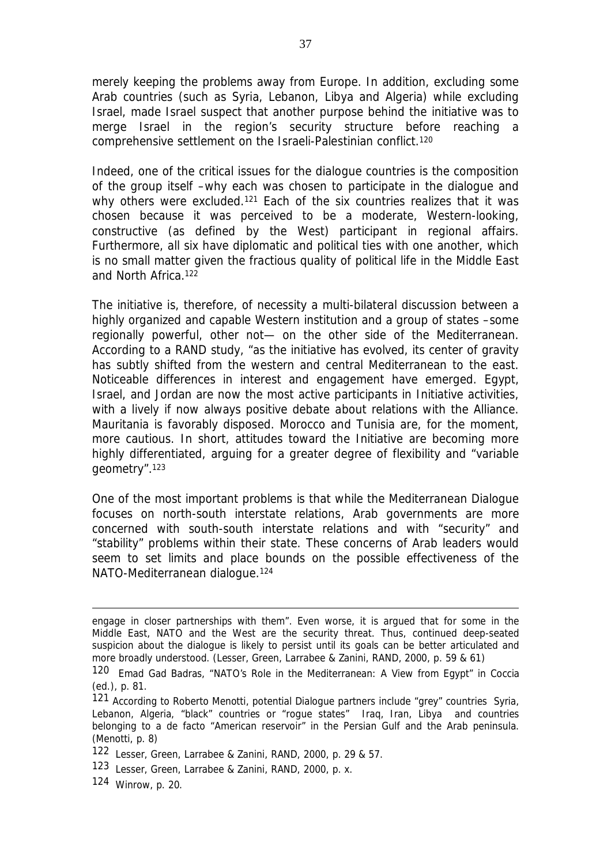merely keeping the problems away from Europe. In addition, excluding some Arab countries (such as Syria, Lebanon, Libya and Algeria) while excluding Israel, made Israel suspect that another purpose behind the initiative was to merge Israel in the region's security structure before reaching a comprehensive settlement on the Israeli-Palestinian conflict.<sup>120</sup>

Indeed, one of the critical issues for the dialogue countries is the composition of the group itself –why each was chosen to participate in the dialogue and why others were excluded.<sup>121</sup> Each of the six countries realizes that it was chosen because it was perceived to be a moderate, Western-looking, constructive (as defined by the West) participant in regional affairs. Furthermore, all six have diplomatic and political ties with one another, which is no small matter given the fractious quality of political life in the Middle East and North Africa.<sup>122</sup>

The initiative is, therefore, of necessity a multi-bilateral discussion between a highly organized and capable Western institution and a group of states –some regionally powerful, other not— on the other side of the Mediterranean. According to a RAND study, "as the initiative has evolved, its center of gravity has subtly shifted from the western and central Mediterranean to the east. Noticeable differences in interest and engagement have emerged. Egypt, Israel, and Jordan are now the most active participants in Initiative activities, with a lively if now always positive debate about relations with the Alliance. Mauritania is favorably disposed. Morocco and Tunisia are, for the moment, more cautious. In short, attitudes toward the Initiative are becoming more highly differentiated, arguing for a greater degree of flexibility and "variable geometry".<sup>123</sup>

One of the most important problems is that while the Mediterranean Dialogue focuses on north-south interstate relations, Arab governments are more concerned with south-south interstate relations and with "security" and "stability" problems within their state. These concerns of Arab leaders would seem to set limits and place bounds on the possible effectiveness of the NATO-Mediterranean dialogue.<sup>124</sup>

engage in closer partnerships with them". Even worse, it is argued that for some in the Middle East, NATO and the West are the security threat. Thus, continued deep-seated suspicion about the dialogue is likely to persist until its goals can be better articulated and more broadly understood. (Lesser, Green, Larrabee & Zanini, RAND, 2000, p. 59 & 61)

<sup>120</sup> Emad Gad Badras, "NATO's Role in the Mediterranean: A View from Egypt" in Coccia (ed.), p. 81.

<sup>121</sup> According to Roberto Menotti, potential Dialogue partners include "grey" countries Syria, Lebanon, Algeria, "black" countries or "rogue states" Iraq, Iran, Libya and countries belonging to a de facto "American reservoir" in the Persian Gulf and the Arab peninsula. (Menotti, p. 8)

<sup>122</sup> Lesser, Green, Larrabee & Zanini, RAND, 2000, p. 29 & 57.

<sup>123</sup> Lesser, Green, Larrabee & Zanini, RAND, 2000, p. x.

<sup>124</sup> Winrow, p. 20.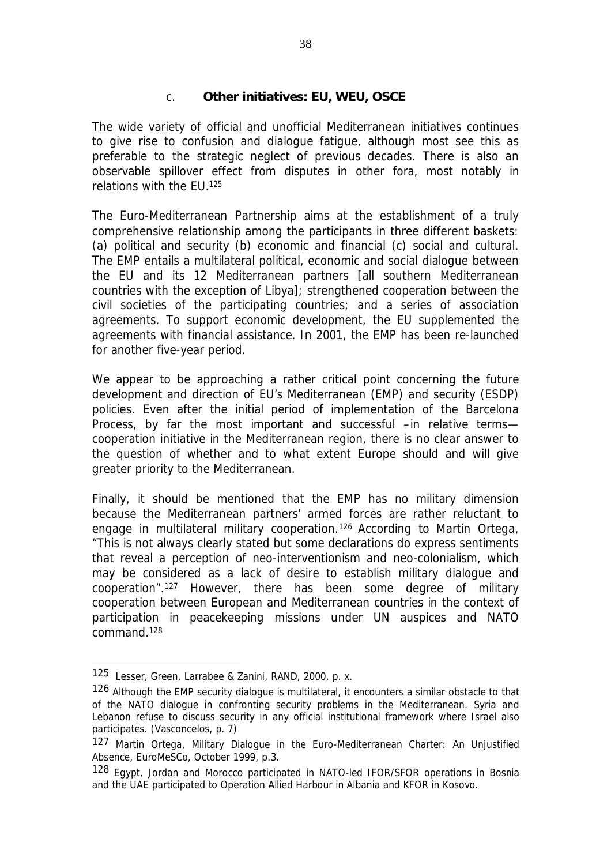### c. *Other initiatives: EU, WEU, OSCE*

The wide variety of official and unofficial Mediterranean initiatives continues to give rise to confusion and dialogue fatigue, although most see this as preferable to the strategic neglect of previous decades. There is also an observable spillover effect from disputes in other fora, most notably in relations with the EU.<sup>125</sup>

The Euro-Mediterranean Partnership aims at the establishment of a truly comprehensive relationship among the participants in three different baskets: (a) political and security (b) economic and financial (c) social and cultural. The EMP entails a multilateral political, economic and social dialogue between the EU and its 12 Mediterranean partners [all southern Mediterranean countries with the exception of Libya]; strengthened cooperation between the civil societies of the participating countries; and a series of association agreements. To support economic development, the EU supplemented the agreements with financial assistance. In 2001, the EMP has been re-launched for another five-year period.

We appear to be approaching a rather critical point concerning the future development and direction of EU's Mediterranean (EMP) and security (ESDP) policies. Even after the initial period of implementation of the Barcelona Process, by far the most important and successful –in relative terms cooperation initiative in the Mediterranean region, there is no clear answer to the question of whether and to what extent Europe should and will give greater priority to the Mediterranean.

Finally, it should be mentioned that the EMP has no military dimension because the Mediterranean partners' armed forces are rather reluctant to engage in multilateral military cooperation.<sup>126</sup> According to Martin Ortega, "This is not always clearly stated but some declarations do express sentiments that reveal a perception of neo-interventionism and neo-colonialism, which may be considered as a lack of desire to establish military dialogue and cooperation".<sup>127</sup> However, there has been some degree of military cooperation between European and Mediterranean countries in the context of participation in peacekeeping missions under UN auspices and NATO command.<sup>128</sup>

<sup>125</sup> Lesser, Green, Larrabee & Zanini, RAND, 2000, p. x.

<sup>126</sup> Although the EMP security dialogue is multilateral, it encounters a similar obstacle to that of the NATO dialogue in confronting security problems in the Mediterranean. Syria and Lebanon refuse to discuss security in any official institutional framework where Israel also participates. (Vasconcelos, p. 7)

<sup>127</sup> Martin Ortega, *Military Dialogue in the Euro-Mediterranean Charter: An Unjustified Absence,* EuroMeSCo, October 1999, p.3.

<sup>128</sup> Egypt, Jordan and Morocco participated in NATO-led IFOR/SFOR operations in Bosnia and the UAE participated to *Operation Allied Harbour* in Albania and KFOR in Kosovo.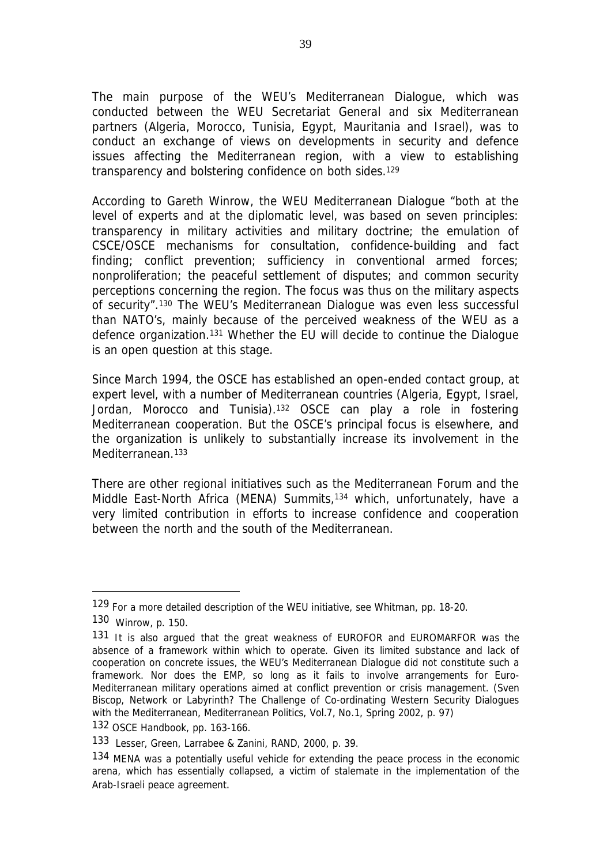The main purpose of the WEU's Mediterranean Dialogue, which was conducted between the WEU Secretariat General and six Mediterranean partners (Algeria, Morocco, Tunisia, Egypt, Mauritania and Israel), was to conduct an exchange of views on developments in security and defence issues affecting the Mediterranean region, with a view to establishing transparency and bolstering confidence on both sides.<sup>129</sup>

According to Gareth Winrow, the WEU Mediterranean Dialogue "both at the level of experts and at the diplomatic level, was based on seven principles: transparency in military activities and military doctrine; the emulation of CSCE/OSCE mechanisms for consultation, confidence-building and fact finding; conflict prevention; sufficiency in conventional armed forces; nonproliferation; the peaceful settlement of disputes; and common security perceptions concerning the region. The focus was thus on the military aspects of security".<sup>130</sup> The WEU's Mediterranean Dialogue was even less successful than NATO's, mainly because of the perceived weakness of the WEU as a defence organization.<sup>131</sup> Whether the EU will decide to continue the Dialogue is an open question at this stage.

Since March 1994, the OSCE has established an open-ended contact group, at expert level, with a number of Mediterranean countries (Algeria, Egypt, Israel, Jordan, Morocco and Tunisia).<sup>132</sup> OSCE can play a role in fostering Mediterranean cooperation. But the OSCE's principal focus is elsewhere, and the organization is unlikely to substantially increase its involvement in the Mediterranean.<sup>133</sup>

There are other regional initiatives such as the Mediterranean Forum and the Middle East-North Africa (MENA) Summits,<sup>134</sup> which, unfortunately, have a very limited contribution in efforts to increase confidence and cooperation between the north and the south of the Mediterranean.

<sup>129</sup> For a more detailed description of the WEU initiative, see Whitman, pp. 18-20.

<sup>130</sup> Winrow, p. 150.

<sup>131</sup> It is also arqued that the great weakness of EUROFOR and EUROMARFOR was the absence of a framework within which to operate. Given its limited substance and lack of cooperation on concrete issues, the WEU's Mediterranean Dialogue did not constitute such a framework. Nor does the EMP, so long as it fails to involve arrangements for Euro-Mediterranean military operations aimed at conflict prevention or crisis management. (Sven Biscop, Network or Labyrinth? The Challenge of Co-ordinating Western Security Dialogues with the Mediterranean, *Mediterranean Politics*, Vol.7, No.1, Spring 2002, p. 97)

<sup>132</sup> *OSCE Handbook*, pp. 163-166.

<sup>133</sup> Lesser, Green, Larrabee & Zanini, RAND, 2000, p. 39.

<sup>134</sup> MENA was a potentially useful vehicle for extending the peace process in the economic arena, which has essentially collapsed, a victim of stalemate in the implementation of the Arab-Israeli peace agreement.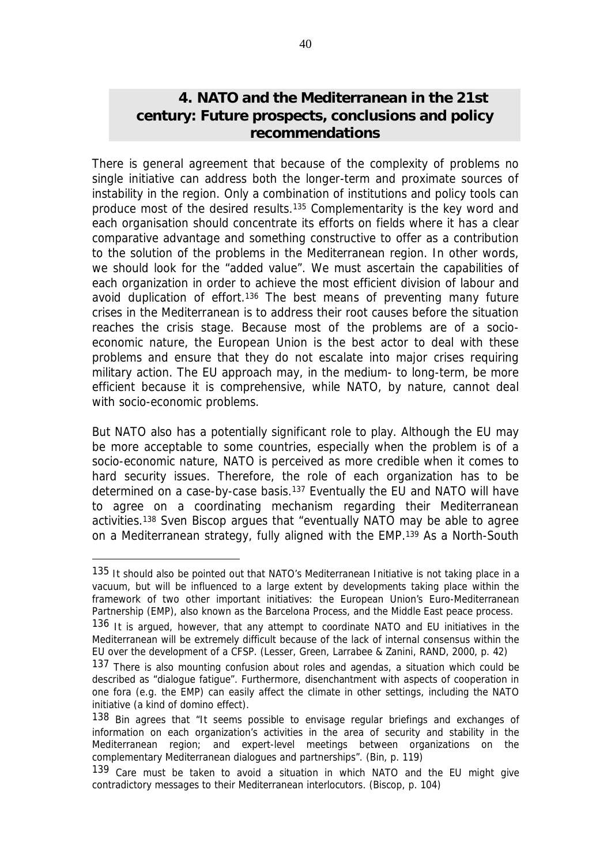# **4. NATO and the Mediterranean in the 21st century: Future prospects, conclusions and policy recommendations**

There is general agreement that because of the complexity of problems no single initiative can address both the longer-term and proximate sources of instability in the region. Only a combination of institutions and policy tools can produce most of the desired results.<sup>135</sup> Complementarity is the key word and each organisation should concentrate its efforts on fields where it has a clear comparative advantage and something constructive to offer as a contribution to the solution of the problems in the Mediterranean region. In other words, we should look for the "added value". We must ascertain the capabilities of each organization in order to achieve the most efficient division of labour and avoid duplication of effort.<sup>136</sup> The best means of preventing many future crises in the Mediterranean is to address their root causes before the situation reaches the crisis stage. Because most of the problems are of a socioeconomic nature, the European Union is the best actor to deal with these problems and ensure that they do not escalate into major crises requiring military action. The EU approach may, in the medium- to long-term, be more efficient because it is comprehensive, while NATO, by nature, cannot deal with socio-economic problems.

But NATO also has a potentially significant role to play. Although the EU may be more acceptable to some countries, especially when the problem is of a socio-economic nature, NATO is perceived as more credible when it comes to hard security issues. Therefore, the role of each organization has to be determined on a case-by-case basis.<sup>137</sup> Eventually the EU and NATO will have to agree on a coordinating mechanism regarding their Mediterranean activities.<sup>138</sup> Sven Biscop argues that "eventually NATO may be able to agree on a Mediterranean strategy, fully aligned with the EMP.<sup>139</sup> As a North-South

<sup>135</sup> It should also be pointed out that NATO's Mediterranean Initiative is not taking place in a vacuum, but will be influenced to a large extent by developments taking place within the framework of two other important initiatives: the European Union's Euro-Mediterranean Partnership (EMP), also known as the Barcelona Process, and the Middle East peace process.

<sup>136</sup> It is argued, however, that any attempt to coordinate NATO and EU initiatives in the Mediterranean will be extremely difficult because of the lack of internal consensus within the EU over the development of a CFSP. (Lesser, Green, Larrabee & Zanini, RAND, 2000, p. 42)

<sup>137</sup> There is also mounting confusion about roles and agendas, a situation which could be described as "dialogue fatigue". Furthermore, disenchantment with aspects of cooperation in one fora (e.g. the EMP) can easily affect the climate in other settings, including the NATO initiative (a kind of domino effect).

<sup>138</sup> Bin agrees that "It seems possible to envisage regular briefings and exchanges of information on each organization's activities in the area of security and stability in the Mediterranean region; and expert-level meetings between organizations on the complementary Mediterranean dialogues and partnerships". (Bin, p. 119)

<sup>139</sup> Care must be taken to avoid a situation in which NATO and the EU might give contradictory messages to their Mediterranean interlocutors. (Biscop, p. 104)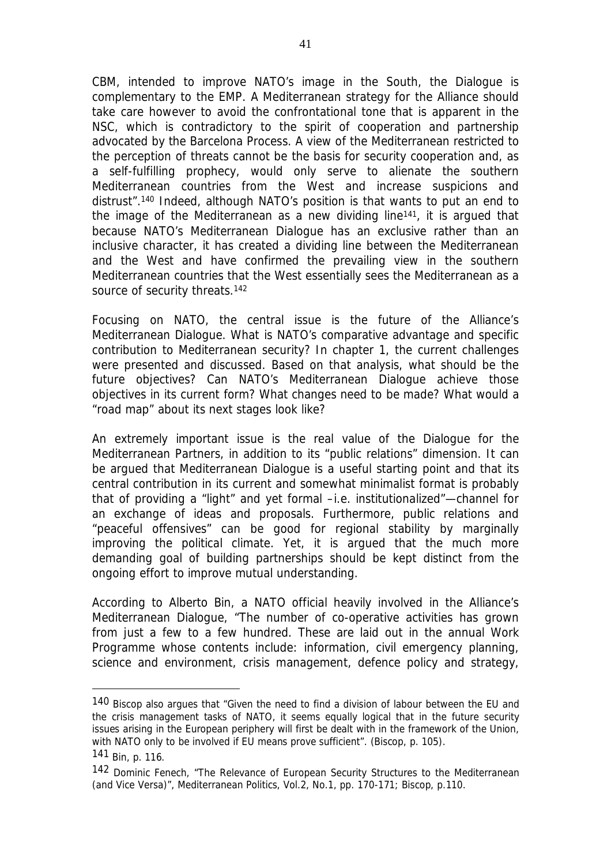CBM, intended to improve NATO's image in the South, the Dialogue is complementary to the EMP. A Mediterranean strategy for the Alliance should take care however to avoid the confrontational tone that is apparent in the NSC, which is contradictory to the spirit of cooperation and partnership advocated by the Barcelona Process. A view of the Mediterranean restricted to the perception of threats cannot be the basis for security cooperation and, as a self-fulfilling prophecy, would only serve to alienate the southern Mediterranean countries from the West and increase suspicions and distrust".<sup>140</sup> Indeed, although NATO's position is that wants to put an end to the image of the Mediterranean as a new dividing line141, it is argued that because NATO's Mediterranean Dialogue has an exclusive rather than an inclusive character, it has created a dividing line between the Mediterranean and the West and have confirmed the prevailing view in the southern Mediterranean countries that the West essentially sees the Mediterranean as a source of security threats.<sup>142</sup>

Focusing on NATO, the central issue is the future of the Alliance's Mediterranean Dialogue. What is NATO's comparative advantage and specific contribution to Mediterranean security? In chapter 1, the current challenges were presented and discussed. Based on that analysis, what should be the future objectives? Can NATO's Mediterranean Dialogue achieve those objectives in its current form? What changes need to be made? What would a "road map" about its next stages look like?

An extremely important issue is the real value of the Dialogue for the Mediterranean Partners, in addition to its "public relations" dimension. It can be argued that Mediterranean Dialogue is a useful starting point and that its central contribution in its current and somewhat minimalist format is probably that of providing a "light" and yet formal –i.e. institutionalized"—channel for an exchange of ideas and proposals. Furthermore, public relations and "peaceful offensives" can be good for regional stability by marginally improving the political climate. Yet, it is argued that the much more demanding goal of building partnerships should be kept distinct from the ongoing effort to improve mutual understanding.

According to Alberto Bin, a NATO official heavily involved in the Alliance's Mediterranean Dialogue, "The number of co-operative activities has grown from just a few to a few hundred. These are laid out in the annual Work Programme whose contents include: information, civil emergency planning, science and environment, crisis management, defence policy and strategy,

<sup>140</sup> Biscop also argues that "Given the need to find a division of labour between the EU and the crisis management tasks of NATO, it seems equally logical that in the future security issues arising in the European periphery will first be dealt with in the framework of the Union, with NATO only to be involved if EU means prove sufficient". (Biscop, p. 105).

<sup>141</sup> Bin, p. 116.

<sup>142</sup> Dominic Fenech, "The Relevance of European Security Structures to the Mediterranean (and Vice Versa)", *Mediterranean Politics*, Vol.2, No.1, pp. 170-171; Biscop, p.110.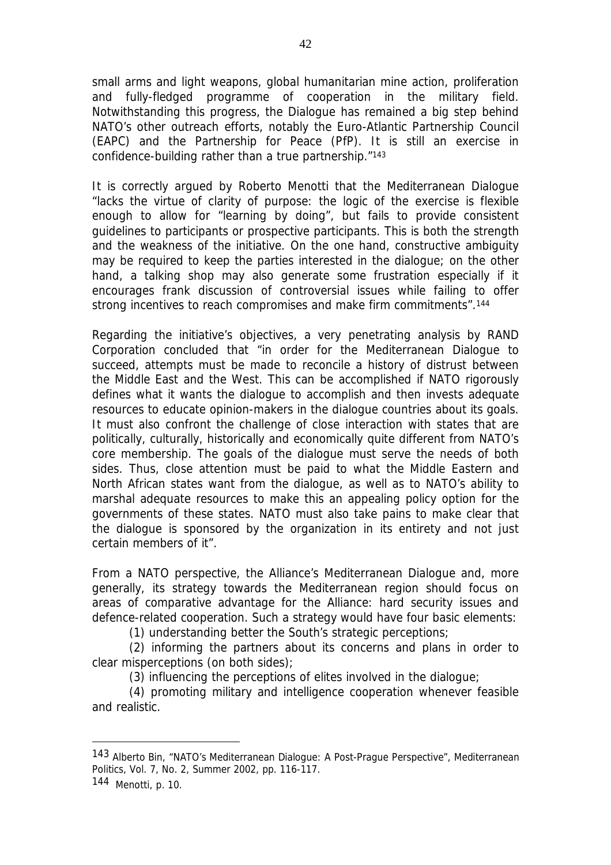small arms and light weapons, global humanitarian mine action, proliferation and fully-fledged programme of cooperation in the military field. Notwithstanding this progress, the Dialogue has remained a big step behind NATO's other outreach efforts, notably the Euro-Atlantic Partnership Council (EAPC) and the Partnership for Peace (PfP). It is still an exercise in confidence-building rather than a true partnership."<sup>143</sup>

It is correctly argued by Roberto Menotti that the Mediterranean Dialogue "lacks the virtue of clarity of purpose: the logic of the exercise is flexible enough to allow for "learning by doing", but fails to provide consistent guidelines to participants or prospective participants. This is both the strength and the weakness of the initiative. On the one hand, constructive ambiguity may be required to keep the parties interested in the dialogue; on the other hand, a talking shop may also generate some frustration especially if it encourages frank discussion of controversial issues while failing to offer strong incentives to reach compromises and make firm commitments".<sup>144</sup>

Regarding the initiative's objectives, a very penetrating analysis by RAND Corporation concluded that "in order for the Mediterranean Dialogue to succeed, attempts must be made to reconcile a history of distrust between the Middle East and the West. This can be accomplished if NATO rigorously defines what it wants the dialogue to accomplish and then invests adequate resources to educate opinion-makers in the dialogue countries about its goals. It must also confront the challenge of close interaction with states that are politically, culturally, historically and economically quite different from NATO's core membership. The goals of the dialogue must serve the needs of both sides. Thus, close attention must be paid to what the Middle Eastern and North African states want from the dialogue, as well as to NATO's ability to marshal adequate resources to make this an appealing policy option for the governments of these states. NATO must also take pains to make clear that the dialogue is sponsored by the organization in its entirety and not just certain members of it".

From a NATO perspective, the Alliance's Mediterranean Dialogue and, more generally, its strategy towards the Mediterranean region should focus on areas of comparative advantage for the Alliance: hard security issues and defence-related cooperation. Such a strategy would have four basic elements:

(1) understanding better the South's strategic perceptions;

(2) informing the partners about its concerns and plans in order to clear misperceptions (on both sides);

(3) influencing the perceptions of elites involved in the dialogue;

(4) promoting military and intelligence cooperation whenever feasible and realistic.

<sup>143</sup> Alberto Bin, "NATO's Mediterranean Dialogue: A Post-Prague Perspective", *Mediterranean Politics*, Vol. 7, No. 2, Summer 2002, pp. 116-117.

<sup>144</sup> Menotti, p. 10.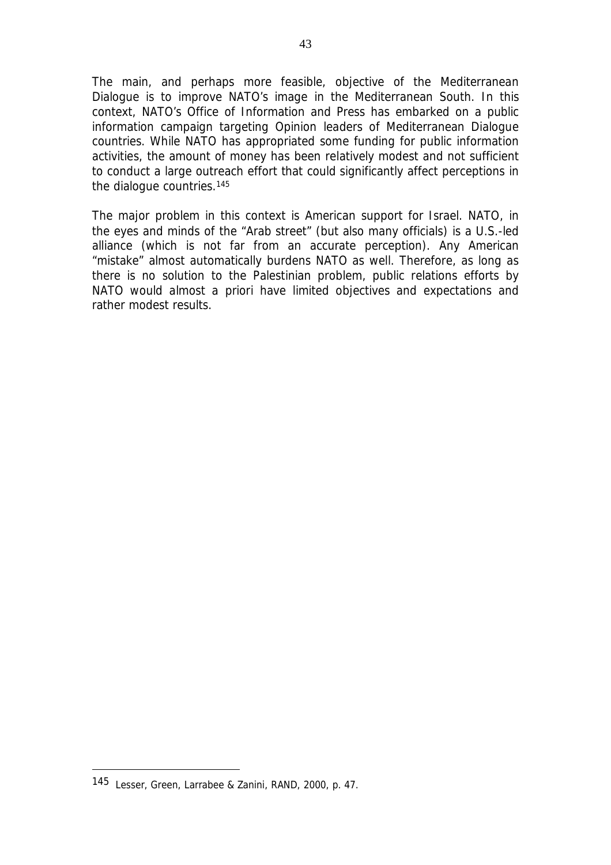The main, and perhaps more feasible, objective of the Mediterranean Dialogue is to improve NATO's image in the Mediterranean South. In this context, NATO's Office of Information and Press has embarked on a public information campaign targeting Opinion leaders of Mediterranean Dialogue countries. While NATO has appropriated some funding for public information activities, the amount of money has been relatively modest and not sufficient to conduct a large outreach effort that could significantly affect perceptions in the dialogue countries.<sup>145</sup>

The major problem in this context is American support for Israel. NATO, in the eyes and minds of the "Arab street" (but also many officials) is a U.S.-led alliance (which is not far from an accurate perception). Any American "mistake" almost automatically burdens NATO as well. Therefore, as long as there is no solution to the Palestinian problem, public relations efforts by NATO would almost *a priori* have limited objectives and expectations and rather modest results.

<sup>145</sup> Lesser, Green, Larrabee & Zanini, RAND, 2000, p. 47.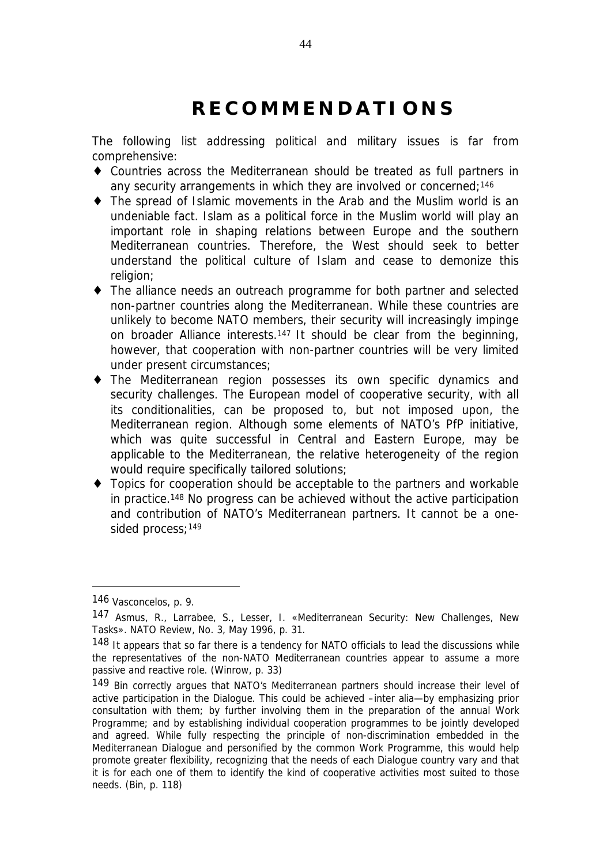# **R E C O M M E N D A T I O N S**

The following list addressing political and military issues is far from comprehensive:

- ♦ Countries across the Mediterranean should be treated as full partners in any security arrangements in which they are involved or concerned;<sup>146</sup>
- ♦ The spread of Islamic movements in the Arab and the Muslim world is an undeniable fact. Islam as a political force in the Muslim world will play an important role in shaping relations between Europe and the southern Mediterranean countries. Therefore, the West should seek to better understand the political culture of Islam and cease to demonize this religion;
- ♦ The alliance needs an outreach programme for both partner and selected non-partner countries along the Mediterranean. While these countries are unlikely to become NATO members, their security will increasingly impinge on broader Alliance interests.<sup>147</sup> It should be clear from the beginning, however, that cooperation with non-partner countries will be very limited under present circumstances;
- ♦ The Mediterranean region possesses its own specific dynamics and security challenges. The European model of cooperative security, with all its conditionalities, can be proposed to, but not imposed upon, the Mediterranean region. Although some elements of NATO's PfP initiative, which was quite successful in Central and Eastern Europe, may be applicable to the Mediterranean, the relative heterogeneity of the region would require specifically tailored solutions;
- ♦ Topics for cooperation should be acceptable to the partners and workable in practice.<sup>148</sup> No progress can be achieved without the active participation and contribution of NATO's Mediterranean partners. It cannot be a onesided process;<sup>149</sup>

<sup>146</sup> Vasconcelos, p. 9.

<sup>147</sup> Asmus, R., Larrabee, S., Lesser, I. «Mediterranean Security: New Challenges, New Tasks». *NATO Review*, No. 3, May 1996, p. 31.

<sup>148</sup> It appears that so far there is a tendency for NATO officials to lead the discussions while the representatives of the non-NATO Mediterranean countries appear to assume a more passive and reactive role. (Winrow, p. 33)

<sup>149</sup> Bin correctly argues that NATO's Mediterranean partners should increase their level of active participation in the Dialogue. This could be achieved –*inter alia*—by emphasizing prior consultation with them; by further involving them in the preparation of the annual Work Programme; and by establishing individual cooperation programmes to be jointly developed and agreed. While fully respecting the principle of non-discrimination embedded in the Mediterranean Dialogue and personified by the common Work Programme, this would help promote greater flexibility, recognizing that the needs of each Dialogue country vary and that it is for each one of them to identify the kind of cooperative activities most suited to those needs. (Bin, p. 118)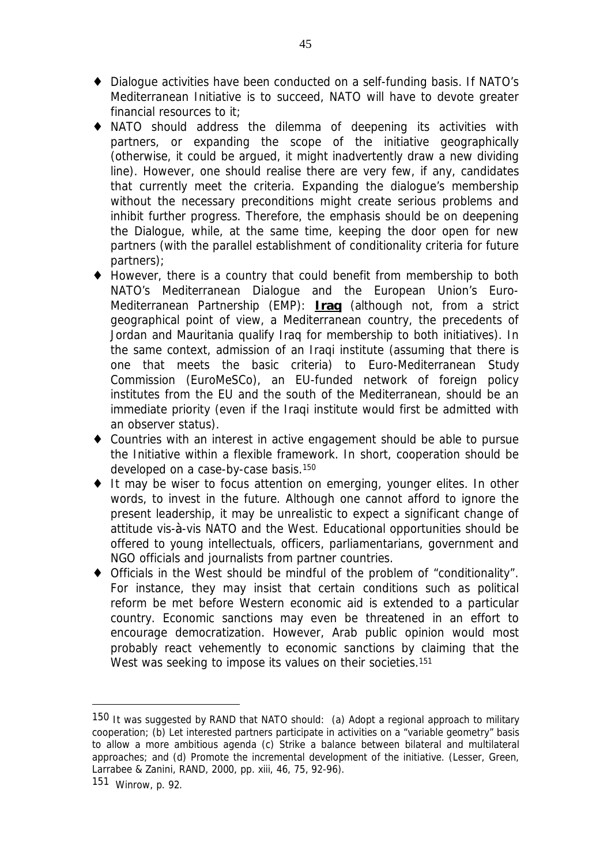- ♦ Dialogue activities have been conducted on a self-funding basis. If NATO's Mediterranean Initiative is to succeed, NATO will have to devote greater financial resources to it;
- ♦ NATO should address the dilemma of deepening its activities with partners, or expanding the scope of the initiative geographically (otherwise, it could be argued, it might inadvertently draw a new dividing line). However, one should realise there are very few, if any, candidates that currently meet the criteria. Expanding the dialogue's membership without the necessary preconditions might create serious problems and inhibit further progress. Therefore, the emphasis should be on deepening the Dialogue, while, at the same time, keeping the door open for new partners (with the parallel establishment of conditionality criteria for future partners);
- ♦ However, there is a country that could benefit from membership to both NATO's Mediterranean Dialogue and the European Union's Euro-Mediterranean Partnership (EMP): **Iraq** (although not, from a strict geographical point of view, a Mediterranean country, the precedents of Jordan and Mauritania qualify Iraq for membership to both initiatives). In the same context, admission of an Iraqi institute (assuming that there is one that meets the basic criteria) to Euro-Mediterranean Study Commission (EuroMeSCo), an EU-funded network of foreign policy institutes from the EU and the south of the Mediterranean, should be an immediate priority (even if the Iraqi institute would first be admitted with an observer status).
- ♦ Countries with an interest in active engagement should be able to pursue the Initiative within a flexible framework. In short, cooperation should be developed on a case-by-case basis.<sup>150</sup>
- ♦ It may be wiser to focus attention on emerging, younger elites. In other words, to invest in the future. Although one cannot afford to ignore the present leadership, it may be unrealistic to expect a significant change of attitude vis-à-vis NATO and the West. Educational opportunities should be offered to young intellectuals, officers, parliamentarians, government and NGO officials and journalists from partner countries.
- ♦ Officials in the West should be mindful of the problem of "conditionality". For instance, they may insist that certain conditions such as political reform be met before Western economic aid is extended to a particular country. Economic sanctions may even be threatened in an effort to encourage democratization. However, Arab public opinion would most probably react vehemently to economic sanctions by claiming that the West was seeking to impose its values on their societies.<sup>151</sup>

<sup>150</sup> It was suggested by RAND that NATO should: (a) Adopt a regional approach to military cooperation; (b) Let interested partners participate in activities on a "variable geometry" basis to allow a more ambitious agenda (c) Strike a balance between bilateral and multilateral approaches; and (d) Promote the incremental development of the initiative. (Lesser, Green, Larrabee & Zanini, RAND, 2000, pp. xiii, 46, 75, 92-96).

<sup>151</sup> Winrow, p. 92.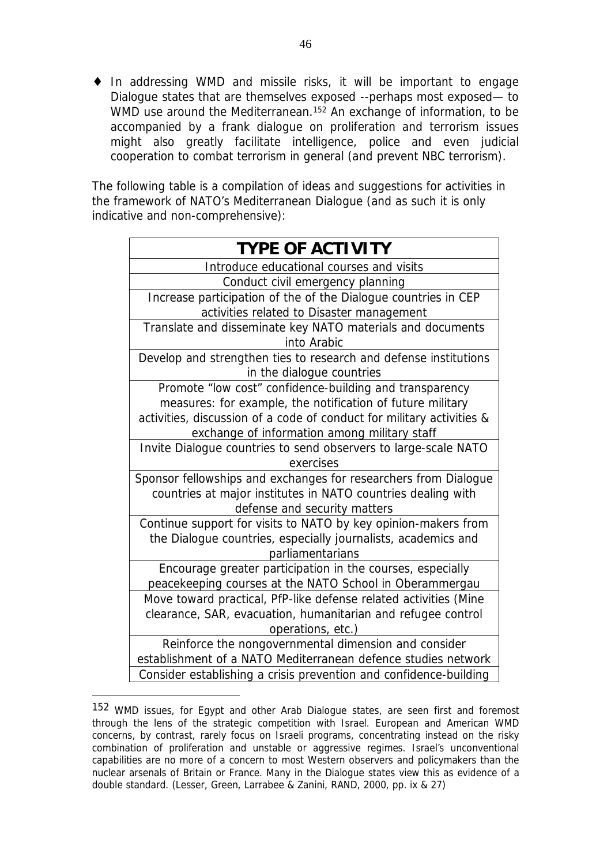♦ In addressing WMD and missile risks, it will be important to engage Dialogue states that are themselves exposed --perhaps most exposed— to WMD use around the Mediterranean.<sup>152</sup> An exchange of information, to be accompanied by a frank dialogue on proliferation and terrorism issues might also greatly facilitate intelligence, police and even judicial cooperation to combat terrorism in general (and prevent NBC terrorism).

The following table is a compilation of ideas and suggestions for activities in the framework of NATO's Mediterranean Dialogue (and as such it is only indicative and non-comprehensive):

| <b>TYPE OF ACTIVITY</b>                                               |
|-----------------------------------------------------------------------|
| Introduce educational courses and visits                              |
| Conduct civil emergency planning                                      |
| Increase participation of the of the Dialogue countries in CEP        |
| activities related to Disaster management                             |
| Translate and disseminate key NATO materials and documents            |
| into Arabic                                                           |
| Develop and strengthen ties to research and defense institutions      |
| in the dialogue countries                                             |
| Promote "low cost" confidence-building and transparency               |
| measures: for example, the notification of future military            |
| activities, discussion of a code of conduct for military activities & |
| exchange of information among military staff                          |
| Invite Dialogue countries to send observers to large-scale NATO       |
| exercises                                                             |
| Sponsor fellowships and exchanges for researchers from Dialogue       |
| countries at major institutes in NATO countries dealing with          |
| defense and security matters                                          |
| Continue support for visits to NATO by key opinion-makers from        |
| the Dialogue countries, especially journalists, academics and         |
| parliamentarians                                                      |
| Encourage greater participation in the courses, especially            |
| peacekeeping courses at the NATO School in Oberammergau               |
| Move toward practical, PfP-like defense related activities (Mine      |
| clearance, SAR, evacuation, humanitarian and refugee control          |
| operations, etc.)                                                     |
| Reinforce the nongovernmental dimension and consider                  |
| establishment of a NATO Mediterranean defence studies network         |
| Consider establishing a crisis prevention and confidence-building     |

<sup>152</sup> WMD issues, for Egypt and other Arab Dialogue states, are seen first and foremost through the lens of the strategic competition with Israel. European and American WMD concerns, by contrast, rarely focus on Israeli programs, concentrating instead on the risky combination of proliferation and unstable or aggressive regimes. Israel's unconventional capabilities are no more of a concern to most Western observers and policymakers than the nuclear arsenals of Britain or France. Many in the Dialogue states view this as evidence of a double standard. (Lesser, Green, Larrabee & Zanini, RAND, 2000, pp. ix & 27)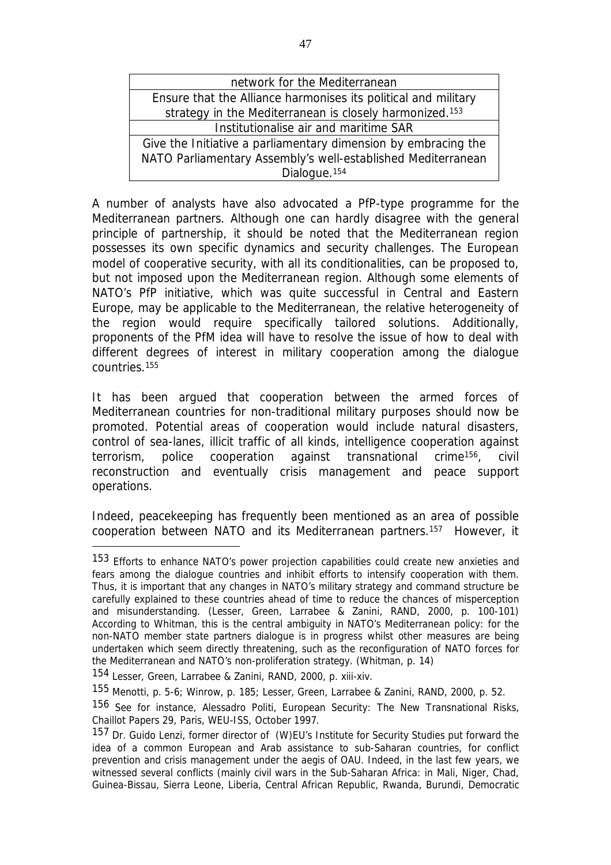| network for the Mediterranean                                       |  |  |  |
|---------------------------------------------------------------------|--|--|--|
| Ensure that the Alliance harmonises its political and military      |  |  |  |
| strategy in the Mediterranean is closely harmonized. <sup>153</sup> |  |  |  |
| Institutionalise air and maritime SAR                               |  |  |  |
| Give the Initiative a parliamentary dimension by embracing the      |  |  |  |
| NATO Parliamentary Assembly's well-established Mediterranean        |  |  |  |
| Dialogue. <sup>154</sup>                                            |  |  |  |

A number of analysts have also advocated a PfP-type programme for the Mediterranean partners. Although one can hardly disagree with the general principle of partnership, it should be noted that the Mediterranean region possesses its own specific dynamics and security challenges. The European model of cooperative security, with all its conditionalities, can be proposed to, but not imposed upon the Mediterranean region. Although some elements of NATO's PfP initiative, which was quite successful in Central and Eastern Europe, may be applicable to the Mediterranean, the relative heterogeneity of the region would require specifically tailored solutions. Additionally, proponents of the PfM idea will have to resolve the issue of how to deal with different degrees of interest in military cooperation among the dialogue countries.<sup>155</sup>

It has been argued that cooperation between the armed forces of Mediterranean countries for non-traditional military purposes should now be promoted. Potential areas of cooperation would include natural disasters, control of sea-lanes, illicit traffic of all kinds, intelligence cooperation against terrorism, police cooperation against transnational crime156, civil reconstruction and eventually crisis management and peace support operations.

Indeed, peacekeeping has frequently been mentioned as an area of possible cooperation between NATO and its Mediterranean partners.157 However, it

<sup>153</sup> Efforts to enhance NATO's power projection capabilities could create new anxieties and fears among the dialogue countries and inhibit efforts to intensify cooperation with them. Thus, it is important that any changes in NATO's military strategy and command structure be carefully explained to these countries ahead of time to reduce the chances of misperception and misunderstanding. (Lesser, Green, Larrabee & Zanini, RAND, 2000, p. 100-101) According to Whitman, this is the central ambiguity in NATO's Mediterranean policy: for the non-NATO member state partners dialogue is in progress whilst other measures are being undertaken which seem directly threatening, such as the reconfiguration of NATO forces for the Mediterranean and NATO's non-proliferation strategy. (Whitman, p. 14)

<sup>154</sup> Lesser, Green, Larrabee & Zanini, RAND, 2000, p. xiii-xiv.

<sup>155</sup> Menotti, p. 5-6; Winrow, p. 185; Lesser, Green, Larrabee & Zanini, RAND, 2000, p. 52.

<sup>156</sup> See for instance, Alessadro Politi, *European Security: The New Transnational Risks*, Chaillot Papers 29, Paris, WEU-ISS, October 1997.

<sup>157</sup> Dr. Guido Lenzi, former director of (W)EU's Institute for Security Studies put forward the idea of a common European and Arab assistance to sub-Saharan countries, for conflict prevention and crisis management under the aegis of OAU. Indeed, in the last few years, we witnessed several conflicts (mainly civil wars in the Sub-Saharan Africa: in Mali, Niger, Chad, Guinea-Bissau, Sierra Leone, Liberia, Central African Republic, Rwanda, Burundi, Democratic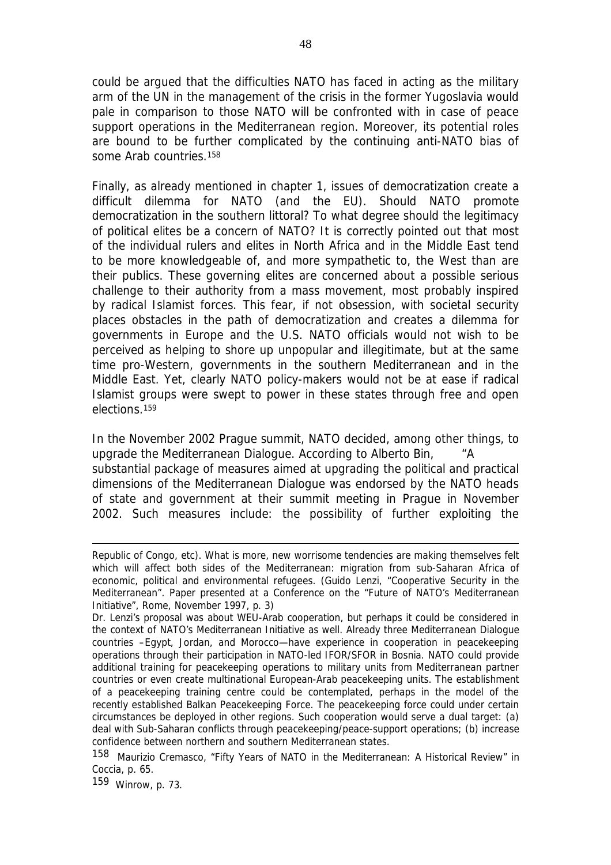could be argued that the difficulties NATO has faced in acting as the military arm of the UN in the management of the crisis in the former Yugoslavia would pale in comparison to those NATO will be confronted with in case of peace support operations in the Mediterranean region. Moreover, its potential roles are bound to be further complicated by the continuing anti-NATO bias of some Arab countries.<sup>158</sup>

Finally, as already mentioned in chapter 1, issues of democratization create a difficult dilemma for NATO (and the EU). Should NATO promote democratization in the southern littoral? To what degree should the legitimacy of political elites be a concern of NATO? It is correctly pointed out that most of the individual rulers and elites in North Africa and in the Middle East tend to be more knowledgeable of, and more sympathetic to, the West than are their publics. These governing elites are concerned about a possible serious challenge to their authority from a mass movement, most probably inspired by radical Islamist forces. This fear, if not obsession, with societal security places obstacles in the path of democratization and creates a dilemma for governments in Europe and the U.S. NATO officials would not wish to be perceived as helping to shore up unpopular and illegitimate, but at the same time pro-Western, governments in the southern Mediterranean and in the Middle East. Yet, clearly NATO policy-makers would not be at ease if radical Islamist groups were swept to power in these states through free and open elections.<sup>159</sup>

In the November 2002 Prague summit, NATO decided, among other things, to upgrade the Mediterranean Dialogue. According to Alberto Bin, "A substantial package of measures aimed at upgrading the political and practical dimensions of the Mediterranean Dialogue was endorsed by the NATO heads of state and government at their summit meeting in Prague in November 2002. Such measures include: the possibility of further exploiting the

Republic of Congo, etc). What is more, new worrisome tendencies are making themselves felt which will affect both sides of the Mediterranean: migration from sub-Saharan Africa of economic, political and environmental refugees. (Guido Lenzi, "Cooperative Security in the Mediterranean". Paper presented at a Conference on the "Future of NATO's Mediterranean Initiative", Rome, November 1997, p. 3)

Dr. Lenzi's proposal was about WEU-Arab cooperation, but perhaps it could be considered in the context of NATO's Mediterranean Initiative as well. Already three Mediterranean Dialogue countries –Egypt, Jordan, and Morocco—have experience in cooperation in peacekeeping operations through their participation in NATO-led IFOR/SFOR in Bosnia. NATO could provide additional training for peacekeeping operations to military units from Mediterranean partner countries or even create multinational European-Arab peacekeeping units. The establishment of a peacekeeping training centre could be contemplated, perhaps in the model of the recently established Balkan Peacekeeping Force. The peacekeeping force could under certain circumstances be deployed in other regions. Such cooperation would serve a dual target: (a) deal with Sub-Saharan conflicts through peacekeeping/peace-support operations; (b) increase confidence between northern and southern Mediterranean states.

<sup>158</sup> Maurizio Cremasco, "Fifty Years of NATO in the Mediterranean: A Historical Review" in Coccia, p. 65.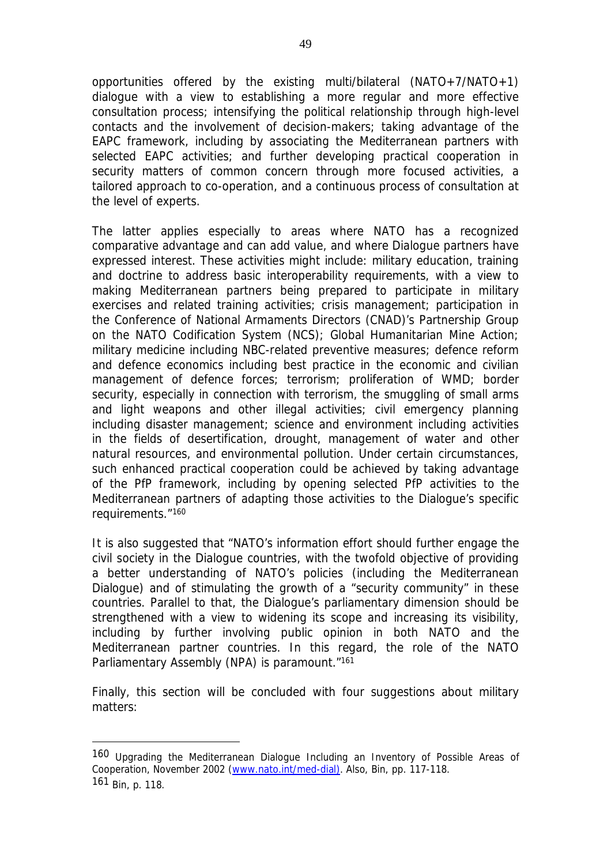opportunities offered by the existing multi/bilateral (NATO+7/NATO+1) dialogue with a view to establishing a more regular and more effective consultation process; intensifying the political relationship through high-level contacts and the involvement of decision-makers; taking advantage of the EAPC framework, including by associating the Mediterranean partners with selected EAPC activities; and further developing practical cooperation in security matters of common concern through more focused activities, a tailored approach to co-operation, and a continuous process of consultation at the level of experts.

The latter applies especially to areas where NATO has a recognized comparative advantage and can add value, and where Dialogue partners have expressed interest. These activities might include: military education, training and doctrine to address basic interoperability requirements, with a view to making Mediterranean partners being prepared to participate in military exercises and related training activities; crisis management; participation in the Conference of National Armaments Directors (CNAD)'s Partnership Group on the NATO Codification System (NCS); Global Humanitarian Mine Action; military medicine including NBC-related preventive measures; defence reform and defence economics including best practice in the economic and civilian management of defence forces; terrorism; proliferation of WMD; border security, especially in connection with terrorism, the smuggling of small arms and light weapons and other illegal activities; civil emergency planning including disaster management; science and environment including activities in the fields of desertification, drought, management of water and other natural resources, and environmental pollution. Under certain circumstances, such enhanced practical cooperation could be achieved by taking advantage of the PfP framework, including by opening selected PfP activities to the Mediterranean partners of adapting those activities to the Dialogue's specific requirements."<sup>160</sup>

It is also suggested that "NATO's information effort should further engage the civil society in the Dialogue countries, with the twofold objective of providing a better understanding of NATO's policies (including the Mediterranean Dialogue) and of stimulating the growth of a "security community" in these countries. Parallel to that, the Dialogue's parliamentary dimension should be strengthened with a view to widening its scope and increasing its visibility, including by further involving public opinion in both NATO and the Mediterranean partner countries. In this regard, the role of the NATO Parliamentary Assembly (NPA) is paramount."161

Finally, this section will be concluded with four suggestions about military matters:

<sup>160</sup> *Upgrading the Mediterranean Dialogue Including an Inventory of Possible Areas of Cooperation*, November 2002 [\(www.nato.int/med-dial\)](http://www.nato.int/med-dial)). Also, Bin, pp. 117-118. 161 Bin, p. 118.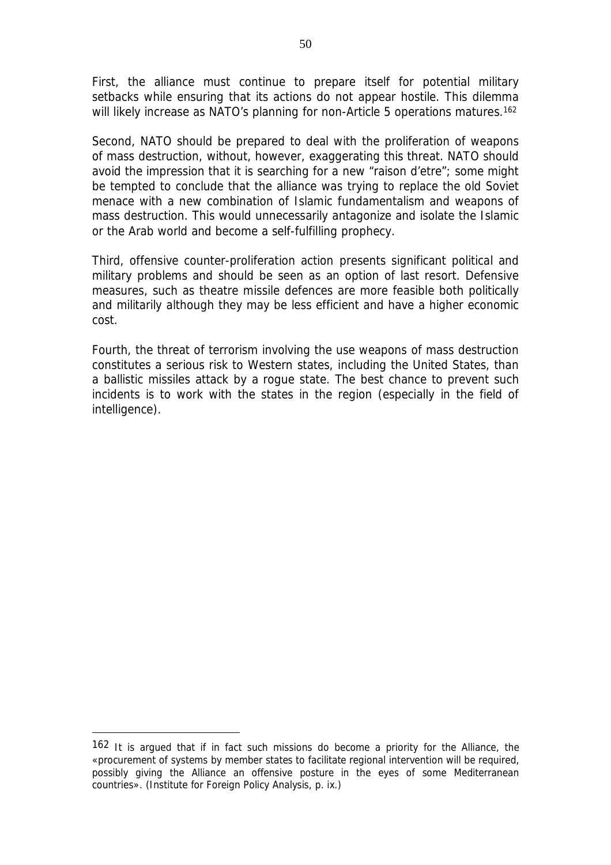First, the alliance must continue to prepare itself for potential military setbacks while ensuring that its actions do not appear hostile. This dilemma will likely increase as NATO's planning for non-Article 5 operations matures.<sup>162</sup>

Second, NATO should be prepared to deal with the proliferation of weapons of mass destruction, without, however, exaggerating this threat. NATO should avoid the impression that it is searching for a new "*raison d'etre*"; some might be tempted to conclude that the alliance was trying to replace the old Soviet menace with a new combination of Islamic fundamentalism and weapons of mass destruction. This would unnecessarily antagonize and isolate the Islamic or the Arab world and become a self-fulfilling prophecy.

Third, offensive counter-proliferation action presents significant political and military problems and should be seen as an option of last resort. Defensive measures, such as theatre missile defences are more feasible both politically and militarily although they may be less efficient and have a higher economic cost.

Fourth, the threat of terrorism involving the use weapons of mass destruction constitutes a serious risk to Western states, including the United States, than a ballistic missiles attack by a rogue state. The best chance to prevent such incidents is to work with the states in the region (especially in the field of intelligence).

<sup>162</sup> It is argued that if in fact such missions do become a priority for the Alliance, the «procurement of systems by member states to facilitate regional intervention will be required, possibly giving the Alliance an offensive posture in the eyes of some Mediterranean countries». (Institute for Foreign Policy Analysis, p. ix.)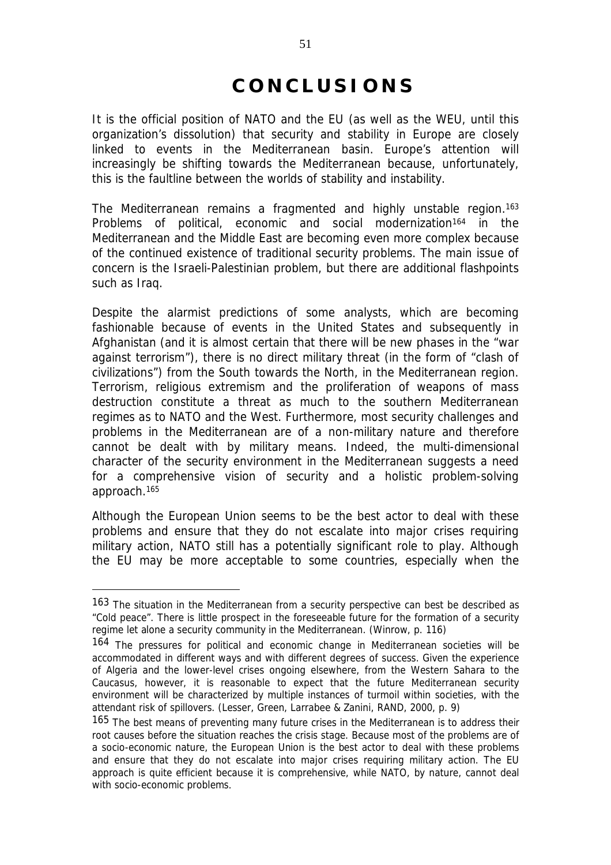# **C O N C L U S I O N S**

It is the official position of NATO and the EU (as well as the WEU, until this organization's dissolution) that security and stability in Europe are closely linked to events in the Mediterranean basin. Europe's attention will increasingly be shifting towards the Mediterranean because, unfortunately, this is the faultline between the worlds of stability and instability.

The Mediterranean remains a fragmented and highly unstable region.<sup>163</sup> Problems of political, economic and social modernization<sup>164</sup> in the Mediterranean and the Middle East are becoming even more complex because of the continued existence of traditional security problems. The main issue of concern is the Israeli-Palestinian problem, but there are additional flashpoints such as Iraq.

Despite the alarmist predictions of some analysts, which are becoming fashionable because of events in the United States and subsequently in Afghanistan (and it is almost certain that there will be new phases in the "war against terrorism"), there is no direct military threat (in the form of "clash of civilizations") from the South towards the North, in the Mediterranean region. Terrorism, religious extremism and the proliferation of weapons of mass destruction constitute a threat as much to the southern Mediterranean regimes as to NATO and the West. Furthermore, most security challenges and problems in the Mediterranean are of a non-military nature and therefore cannot be dealt with by military means. Indeed, the multi-dimensional character of the security environment in the Mediterranean suggests a need for a comprehensive vision of security and a holistic problem-solving approach.165

Although the European Union seems to be the best actor to deal with these problems and ensure that they do not escalate into major crises requiring military action, NATO still has a potentially significant role to play. Although the EU may be more acceptable to some countries, especially when the

<sup>163</sup> The situation in the Mediterranean from a security perspective can best be described as "Cold peace". There is little prospect in the foreseeable future for the formation of a security regime let alone a security community in the Mediterranean. (Winrow, p. 116)

<sup>164</sup> The pressures for political and economic change in Mediterranean societies will be accommodated in different ways and with different degrees of success. Given the experience of Algeria and the lower-level crises ongoing elsewhere, from the Western Sahara to the Caucasus, however, it is reasonable to expect that the future Mediterranean security environment will be characterized by multiple instances of turmoil within societies, with the attendant risk of spillovers. (Lesser, Green, Larrabee & Zanini, RAND, 2000, p. 9)

<sup>165</sup> The best means of preventing many future crises in the Mediterranean is to address their root causes before the situation reaches the crisis stage. Because most of the problems are of a socio-economic nature, the European Union is the best actor to deal with these problems and ensure that they do not escalate into major crises requiring military action. The EU approach is quite efficient because it is comprehensive, while NATO, by nature, cannot deal with socio-economic problems.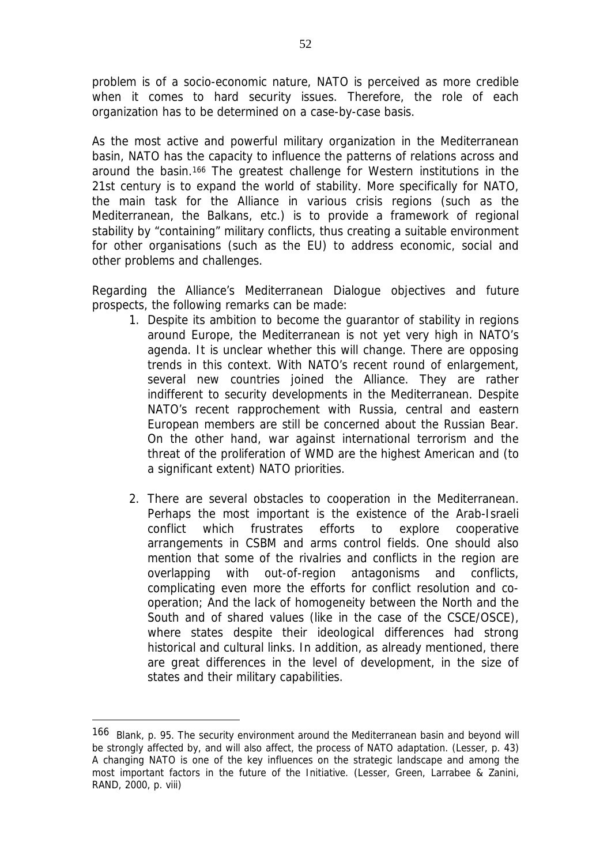problem is of a socio-economic nature, NATO is perceived as more credible when it comes to hard security issues. Therefore, the role of each organization has to be determined on a case-by-case basis.

As the most active and powerful military organization in the Mediterranean basin, NATO has the capacity to influence the patterns of relations across and around the basin.<sup>166</sup> The greatest challenge for Western institutions in the 21st century is to expand the world of stability. More specifically for NATO, the main task for the Alliance in various crisis regions (such as the Mediterranean, the Balkans, etc.) is to provide a framework of regional stability by "containing" military conflicts, thus creating a suitable environment for other organisations (such as the EU) to address economic, social and other problems and challenges.

Regarding the Alliance's Mediterranean Dialogue objectives and future prospects, the following remarks can be made:

- 1. Despite its ambition to become the guarantor of stability in regions around Europe, the Mediterranean is not yet very high in NATO's agenda. It is unclear whether this will change. There are opposing trends in this context. With NATO's recent round of enlargement, several new countries joined the Alliance. They are rather indifferent to security developments in the Mediterranean. Despite NATO's recent rapprochement with Russia, central and eastern European members are still be concerned about the Russian Bear. On the other hand, war against international terrorism and the threat of the proliferation of WMD are the highest American and (to a significant extent) NATO priorities.
- 2. There are several obstacles to cooperation in the Mediterranean. Perhaps the most important is the existence of the Arab-Israeli conflict which frustrates efforts to explore cooperative arrangements in CSBM and arms control fields. One should also mention that some of the rivalries and conflicts in the region are overlapping with out-of-region antagonisms and conflicts, complicating even more the efforts for conflict resolution and cooperation; And the lack of homogeneity between the North and the South and of shared values (like in the case of the CSCE/OSCE), where states despite their ideological differences had strong historical and cultural links. In addition, as already mentioned, there are great differences in the level of development, in the size of states and their military capabilities.

<sup>166</sup> Blank, p. 95. The security environment around the Mediterranean basin and beyond will be strongly affected by, and will also affect, the process of NATO adaptation. (Lesser, p. 43) A changing NATO is one of the key influences on the strategic landscape and among the most important factors in the future of the Initiative. (Lesser, Green, Larrabee & Zanini, RAND, 2000, p. viii)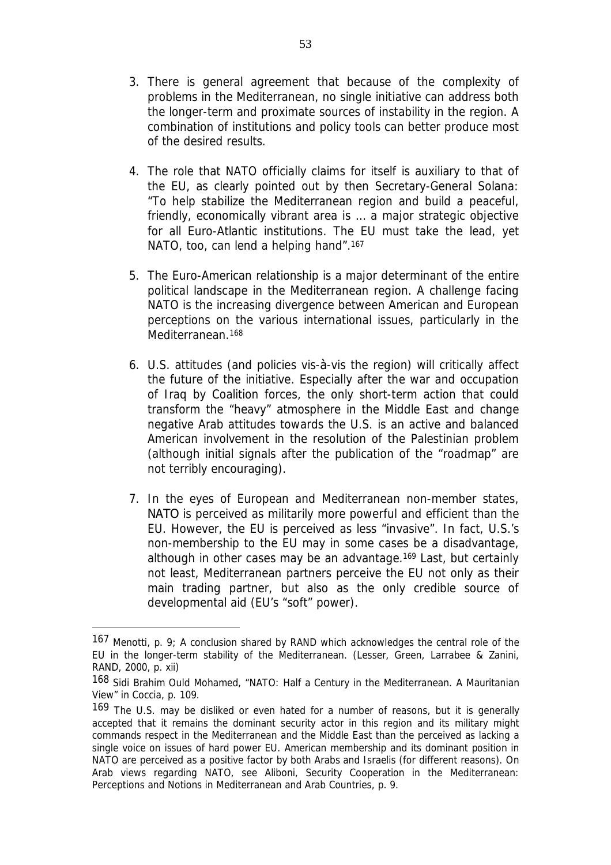- 3. There is general agreement that because of the complexity of problems in the Mediterranean, no single initiative can address both the longer-term and proximate sources of instability in the region. A combination of institutions and policy tools can better produce most of the desired results.
- 4. The role that NATO officially claims for itself is auxiliary to that of the EU, as clearly pointed out by then Secretary-General Solana: "To help stabilize the Mediterranean region and build a peaceful, friendly, economically vibrant area is … a major strategic objective for all Euro-Atlantic institutions. The EU must take the lead, yet NATO, too, can lend a helping hand".<sup>167</sup>
- 5. The Euro-American relationship is a major determinant of the entire political landscape in the Mediterranean region. A challenge facing NATO is the increasing divergence between American and European perceptions on the various international issues, particularly in the Mediterranean.<sup>168</sup>
- 6. U.S. attitudes (and policies vis-à-vis the region) will critically affect the future of the initiative. Especially after the war and occupation of Iraq by Coalition forces, the only short-term action that could transform the "heavy" atmosphere in the Middle East and change negative Arab attitudes towards the U.S. is an active and balanced American involvement in the resolution of the Palestinian problem (although initial signals after the publication of the "roadmap" are not terribly encouraging).
- 7. In the eyes of European and Mediterranean non-member states, ΝΑΤΟ is perceived as militarily more powerful and efficient than the EU. However, the EU is perceived as less "invasive". In fact, U.S.'s non-membership to the EU may in some cases be a disadvantage, although in other cases may be an advantage.<sup>169</sup> Last, but certainly not least, Mediterranean partners perceive the EU not only as their main trading partner, but also as the only credible source of developmental aid (EU's "soft" power).

<sup>167</sup> Menotti, p. 9; A conclusion shared by RAND which acknowledges the central role of the EU in the longer-term stability of the Mediterranean. (Lesser, Green, Larrabee & Zanini, RAND, 2000, p. xii)

<sup>168</sup> Sidi Brahim Ould Mohamed, "NATO: Half a Century in the Mediterranean. A Mauritanian View" in Coccia, p. 109.

<sup>169</sup> The U.S. may be disliked or even hated for a number of reasons, but it is generally accepted that it remains the dominant security actor in this region and its military might commands respect in the Mediterranean and the Middle East than the perceived as lacking a single voice on issues of hard power EU. American membership and its *dominant position in* NATO are perceived as a positive factor by both Arabs and Israelis (for different reasons). On Arab views regarding NATO, see Aliboni, *Security Cooperation in the Mediterranean: Perceptions and Notions in Mediterranean and Arab Countries*, p. 9.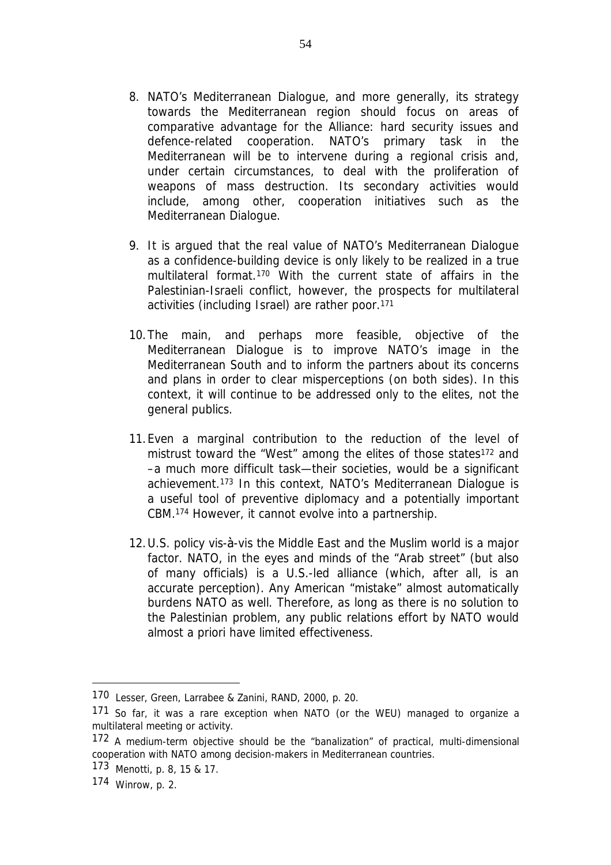- 8. NATO's Mediterranean Dialogue, and more generally, its strategy towards the Mediterranean region should focus on areas of comparative advantage for the Alliance: hard security issues and defence-related cooperation. NATO's primary task in the Mediterranean will be to intervene during a regional crisis and, under certain circumstances, to deal with the proliferation of weapons of mass destruction. Its secondary activities would include, among other, cooperation initiatives such as the Mediterranean Dialogue.
- 9. It is argued that the real value of NATO's Mediterranean Dialogue as a confidence-building device is only likely to be realized in a true multilateral format.<sup>170</sup> With the current state of affairs in the Palestinian-Israeli conflict, however, the prospects for multilateral activities (including Israel) are rather poor.<sup>171</sup>
- 10.The main, and perhaps more feasible, objective of the Mediterranean Dialogue is to improve NATO's image in the Mediterranean South and to inform the partners about its concerns and plans in order to clear misperceptions (on both sides). In this context, it will continue to be addressed only to the elites, not the general publics.
- 11.Even a marginal contribution to the reduction of the level of mistrust toward the "West" among the elites of those states<sup>172</sup> and –a much more difficult task—their societies, would be a significant achievement.<sup>173</sup> In this context, NATO's Mediterranean Dialogue is a useful tool of preventive diplomacy and a potentially important CBM.<sup>174</sup> However, it cannot evolve into a partnership.
- 12.U.S. policy vis-à-vis the Middle East and the Muslim world is a major factor. NATO, in the eyes and minds of the "Arab street" (but also of many officials) is a U.S.-led alliance (which, after all, is an accurate perception). Any American "mistake" almost automatically burdens NATO as well. Therefore, as long as there is no solution to the Palestinian problem, any public relations effort by NATO would almost *a priori* have limited effectiveness.

<sup>170</sup> Lesser, Green, Larrabee & Zanini, RAND, 2000, p. 20.

<sup>171</sup> So far, it was a rare exception when NATO (or the WEU) managed to organize a multilateral meeting or activity.

<sup>172</sup> A medium-term objective should be the "banalization" of practical, multi-dimensional cooperation with NATO among decision-makers in Mediterranean countries.

<sup>173</sup> Menotti, p. 8, 15 & 17.

<sup>174</sup> Winrow, p. 2.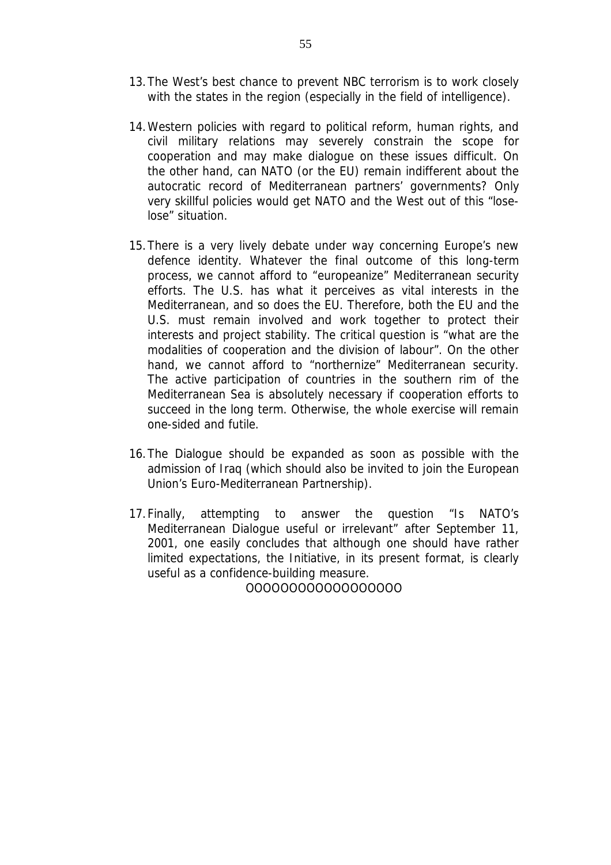- 13.The West's best chance to prevent NBC terrorism is to work closely with the states in the region (especially in the field of intelligence).
- 14.Western policies with regard to political reform, human rights, and civil military relations may severely constrain the scope for cooperation and may make dialogue on these issues difficult. On the other hand, can NATO (or the EU) remain indifferent about the autocratic record of Mediterranean partners' governments? Only very skillful policies would get NATO and the West out of this "loselose" situation.
- 15.There is a very lively debate under way concerning Europe's new defence identity. Whatever the final outcome of this long-term process, we cannot afford to "europeanize" Mediterranean security efforts. The U.S. has what it perceives as vital interests in the Mediterranean, and so does the EU. Therefore, both the EU and the U.S. must remain involved and work together to protect their interests and project stability. The critical question is "what are the modalities of cooperation and the division of labour". On the other hand, we cannot afford to "northernize" Mediterranean security. The active participation of countries in the southern rim of the Mediterranean Sea is absolutely necessary if cooperation efforts to succeed in the long term. Otherwise, the whole exercise will remain one-sided and futile.
- 16.The Dialogue should be expanded as soon as possible with the admission of Iraq (which should also be invited to join the European Union's Euro-Mediterranean Partnership).
- 17.Finally, attempting to answer the question "Is NATO's Mediterranean Dialogue useful or irrelevant" after September 11, 2001, one easily concludes that although one should have rather limited expectations, the Initiative, in its present format, is clearly useful as a confidence-building measure.

OOOOOOOOOOOOOOOOOO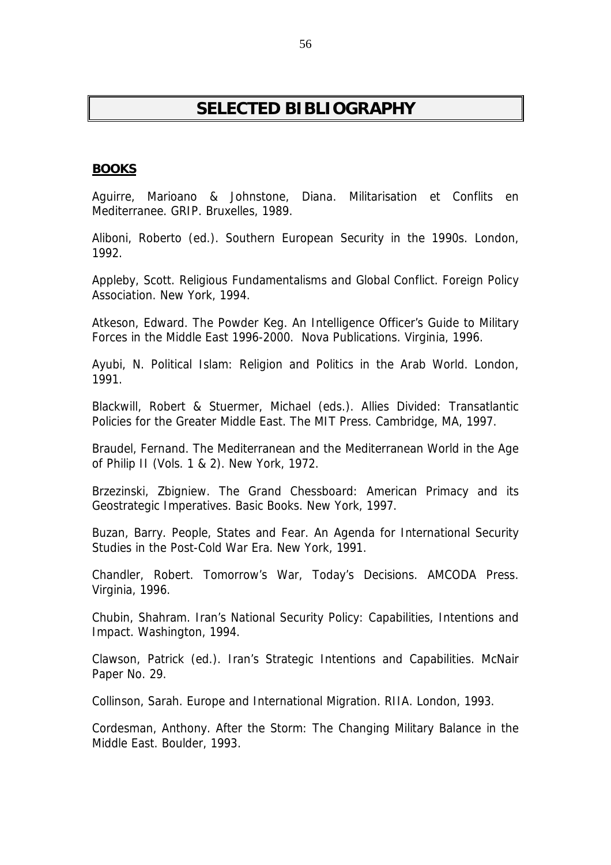# **SELECTED BIBLIOGRAPHY**

#### **BOOKS**

Aguirre, Marioano & Johnstone, Diana*. Militarisation et Conflits en Mediterranee.* GRIP. Bruxelles, 1989.

Aliboni, Roberto (ed.). *Southern European Security in the 1990s*. London, 1992.

Appleby, Scott. *Religious Fundamentalisms and Global Conflict.* Foreign Policy Association. New York, 1994.

Atkeson, Edward. *The Powder Keg. An Intelligence Officer's Guide to Military Forces in the Middle East 1996-2000.* Nova Publications. Virginia, 1996.

Ayubi, N. *Political Islam: Religion and Politics in the Arab World.* London, 1991.

Blackwill, Robert & Stuermer, Michael (eds.). *Allies Divided: Transatlantic Policies for the Greater Middle East.* The MIT Press. Cambridge, MA, 1997.

Braudel, Fernand. *The Mediterranean and the Mediterranean World in the Age of Philip II* (Vols. 1 & 2). New York, 1972.

Brzezinski, Zbigniew. *The Grand Chessboard: American Primacy and its Geostrategic Imperatives.* Basic Books. New York, 1997.

Buzan, Barry. *People, States and Fear. An Agenda for International Security Studies in the Post-Cold War Era.* New York, 1991.

Chandler, Robert. *Tomorrow's War, Today's Decisions*. AMCODA Press. Virginia, 1996.

Chubin, Shahram. *Iran's National Security Policy: Capabilities, Intentions and Impact.* Washington, 1994.

Clawson, Patrick (ed.). *Iran's Strategic Intentions and Capabilities.* McNair Paper No. 29.

Collinson, Sarah. *Europe and International Migration.* RIIA. London, 1993.

Cordesman, Anthony. *After the Storm: The Changing Military Balance in the Middle East.* Boulder, 1993.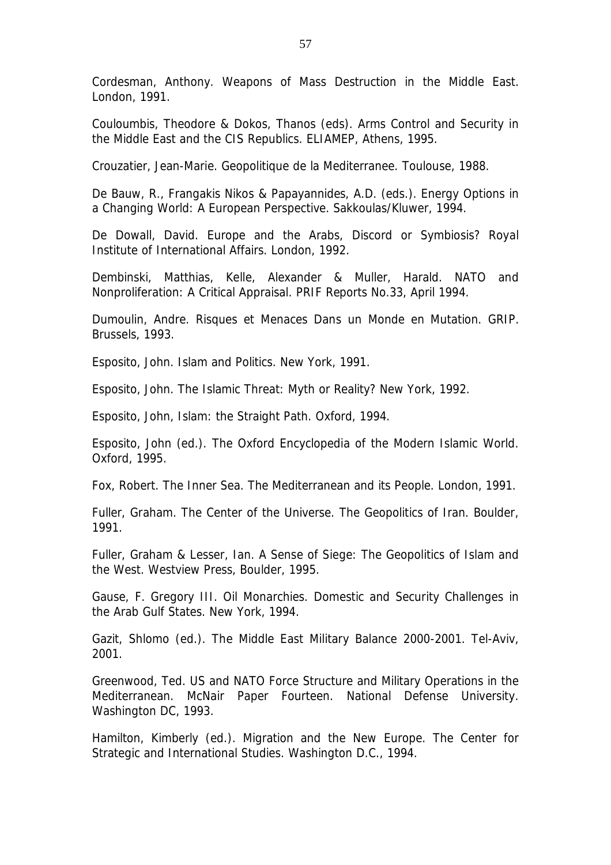Cordesman, Anthony. *Weapons of Mass Destruction in the Middle East.* London, 1991.

Couloumbis, Theodore & Dokos, Thanos (eds). *Arms Control and Security in the Middle East and the CIS Republics.* ELIAMEP, Athens, 1995.

Crouzatier, Jean-Marie. *Geopolitique de la Mediterranee.* Toulouse, 1988.

De Bauw, R., Frangakis Nikos & Papayannides, A.D. (eds.). *Energy Options in a Changing World: A European Perspective.* Sakkoulas/Kluwer, 1994.

De Dowall, David. *Europe and the Arabs, Discord or Symbiosis?* Royal Institute of International Affairs. London, 1992.

Dembinski, Matthias, Kelle, Alexander & Muller, Harald. *NATO and Nonproliferation: A Critical Appraisal.* PRIF Reports No.33, April 1994.

Dumoulin, Andre. *Risques et Menaces Dans un Monde en Mutation.* GRIP. Brussels, 1993.

Esposito, John. *Islam and Politics.* New York, 1991.

Esposito, John. *The Islamic Threat: Myth or Reality?* New York, 1992.

Esposito, John, *Islam: the Straight Path.* Oxford, 1994.

Esposito, John (ed.). *The Oxford Encyclopedia of the Modern Islamic World.* Oxford, 1995.

Fox, Robert. *The Inner Sea. The Mediterranean and its People.* London, 1991.

Fuller, Graham. *The Center of the Universe. The Geopolitics of Iran*. Boulder, 1991.

Fuller, Graham & Lesser, Ian. *A Sense of Siege: The Geopolitics of Islam and the West*. Westview Press, Boulder, 1995.

Gause, F. Gregory III. *Oil Monarchies. Domestic and Security Challenges in the Arab Gulf States.* New York, 1994.

Gazit, Shlomo (ed.). *The Middle East Military Balance 2000-2001*. Tel-Aviv, 2001.

Greenwood, Ted. *US and NATO Force Structure and Military Operations in the Mediterranean.* McNair Paper Fourteen. National Defense University. Washington DC, 1993.

Hamilton, Kimberly (ed.). *Migration and the New Europe*. The Center for Strategic and International Studies. Washington D.C., 1994.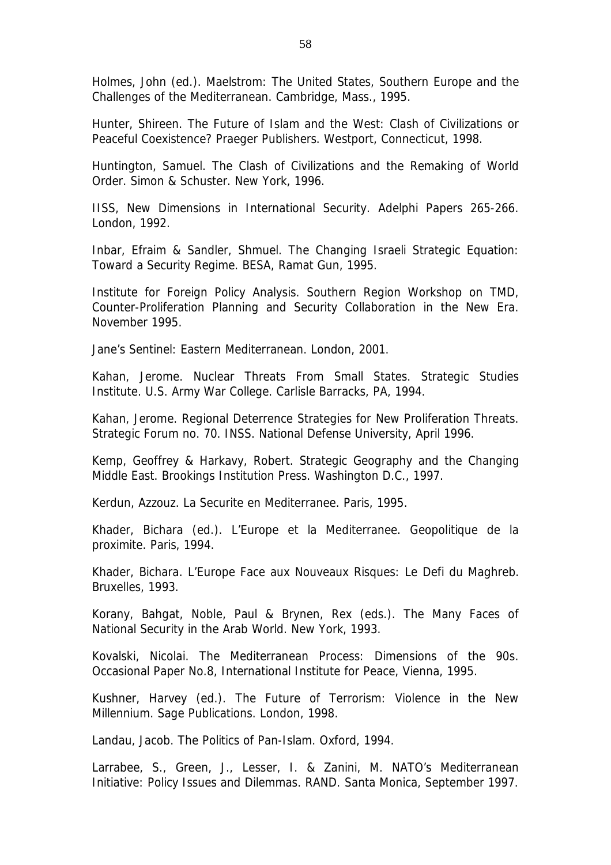Holmes, John (ed.). *Maelstrom: The United States, Southern Europe and the Challenges of the Mediterranean.* Cambridge, Mass., 1995.

Hunter, Shireen. *The Future of Islam and the West: Clash of Civilizations or Peaceful Coexistence*? Praeger Publishers. Westport, Connecticut, 1998.

Huntington, Samuel. *The Clash of Civilizations and the Remaking of World Order*. Simon & Schuster. New York, 1996.

IISS, *New Dimensions in International Security*. Adelphi Papers 265-266. London, 1992.

Inbar, Efraim & Sandler, Shmuel. *The Changing Israeli Strategic Equation: Toward a Security Regime*. BESA, Ramat Gun, 1995.

Institute for Foreign Policy Analysis. *Southern Region Workshop on TMD, Counter-Proliferation Planning and Security Collaboration in the New Era.* November 1995.

*Jane's Sentinel: Eastern Mediterranean*. London, 2001.

Kahan, Jerome. *Nuclear Threats From Small States.* Strategic Studies Institute. U.S. Army War College. Carlisle Barracks, PA, 1994.

Kahan, Jerome. *Regional Deterrence Strategies for New Proliferation Threats.* Strategic Forum no. 70. INSS. National Defense University, April 1996.

Kemp, Geoffrey & Harkavy, Robert. *Strategic Geography and the Changing Middle East*. Brookings Institution Press. Washington D.C., 1997.

Kerdun, Azzouz. *La Securite en Mediterranee*. Paris, 1995.

Khader, Bichara (ed.). *L'Europe et la Mediterranee. Geopolitique de la proximite*. Paris, 1994.

Khader, Bichara. *L'Europe Face aux Nouveaux Risques: Le Defi du Maghreb*. Bruxelles, 1993.

Korany, Bahgat, Noble, Paul & Brynen, Rex (eds.). *The Many Faces of National Security in the Arab World*. New York, 1993.

Kovalski, Nicolai. *The Mediterranean Process: Dimensions of the 90s*. Occasional Paper No.8, International Institute for Peace, Vienna, 1995.

Kushner, Harvey (ed.). *The Future of Terrorism: Violence in the New Millennium.* Sage Publications. London, 1998.

Landau, Jacob. *The Politics of Pan-Islam*. Oxford, 1994.

Larrabee, S., Green, J., Lesser, I. & Zanini, M. *NATO's Mediterranean Initiative: Policy Issues and Dilemmas.* RAND. Santa Monica, September 1997.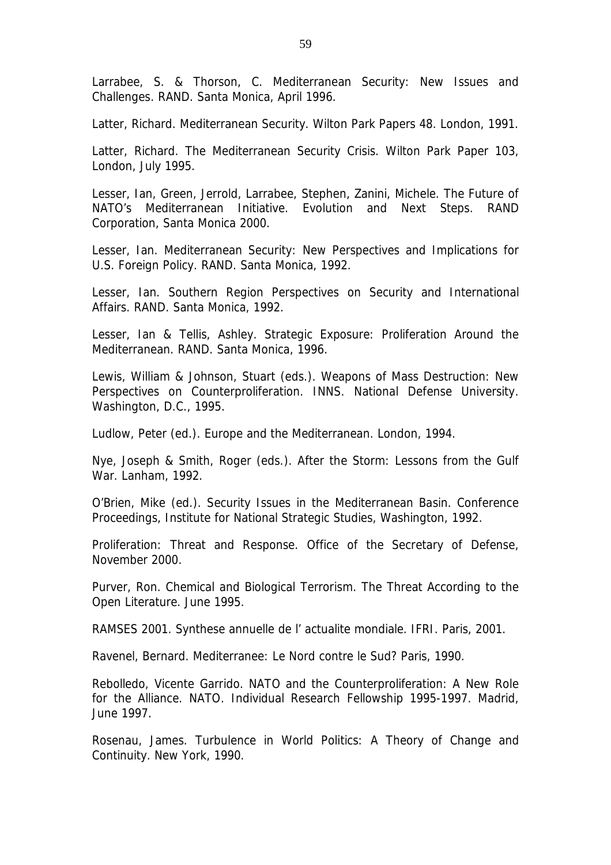Larrabee, S. & Thorson, C. *Mediterranean Security: New Issues and Challenges.* RAND. Santa Monica, April 1996.

Latter, Richard. *Mediterranean Security*. Wilton Park Papers 48. London, 1991.

Latter, Richard. *The Mediterranean Security Crisis*. Wilton Park Paper 103, London, July 1995.

Lesser, Ian, Green, Jerrold, Larrabee, Stephen, Zanini, Michele. *The Future of NATO's Mediterranean Initiative. Evolution and Next Steps*. RAND Corporation, Santa Monica 2000.

Lesser, Ian. *Mediterranean Security: New Perspectives and Implications for U.S. Foreign Policy*. RAND. Santa Monica, 1992.

Lesser, Ian. *Southern Region Perspectives on Security and International Affairs*. RAND. Santa Monica, 1992.

Lesser, Ian & Tellis, Ashley. *Strategic Exposure: Proliferation Around the Mediterranean.* RAND. Santa Monica, 1996.

Lewis, William & Johnson, Stuart (eds.). *Weapons of Mass Destruction: New Perspectives on Counterproliferation.* INNS. National Defense University. Washington, D.C., 1995.

Ludlow, Peter (ed.). *Europe and the Mediterranean*. London, 1994.

Nye, Joseph & Smith, Roger (eds.). *After the Storm: Lessons from the Gulf War*. Lanham, 1992.

O'Brien, Mike (ed.). *Security Issues in the Mediterranean Basin*. Conference Proceedings, Institute for National Strategic Studies, Washington, 1992.

*Proliferation: Threat and Response.* Office of the Secretary of Defense, November 2000.

Purver, Ron. *Chemical and Biological Terrorism. The Threat According to the Open Literature.* June 1995.

RAMSES 2001*. Synthese annuelle de l' actualite mondiale*. IFRI. Paris, 2001.

Ravenel, Bernard. *Mediterranee: Le Nord contre le Sud?* Paris, 1990.

Rebolledo, Vicente Garrido. *NATO and the Counterproliferation: A New Role for the Alliance.* NATO. Individual Research Fellowship 1995-1997. Madrid, June 1997.

Rosenau, James. *Turbulence in World Politics: A Theory of Change and Continuity*. New York, 1990.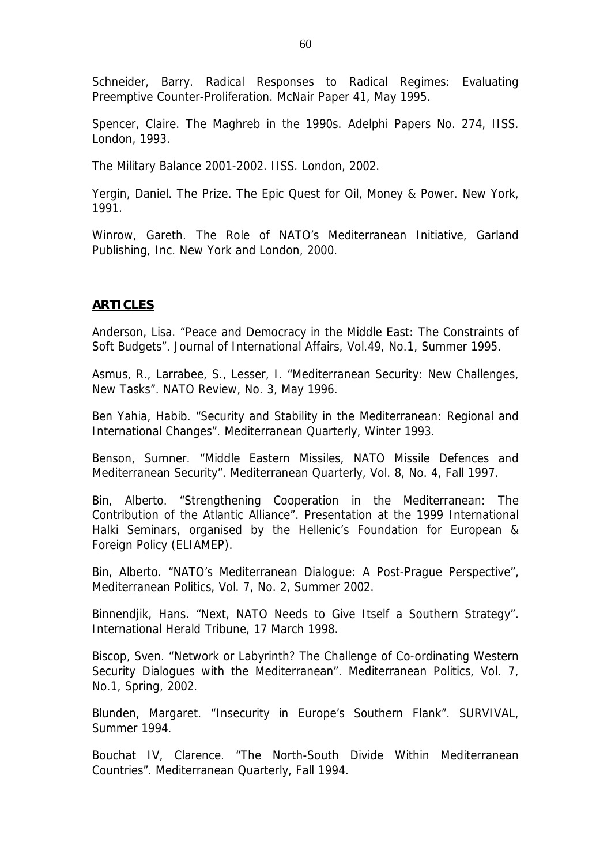Schneider, Barry. *Radical Responses to Radical Regimes: Evaluating Preemptive Counter-Proliferation.* McNair Paper 41, May 1995.

Spencer, Claire. *The Maghreb in the 1990s*. Adelphi Papers No. 274, IISS. London, 1993.

*The Military Balance 2001-2002*. IISS. London, 2002.

Yergin, Daniel*. The Prize. The Epic Quest for Oil, Money & Power*. New York, 1991.

Winrow, Gareth. *The Role of NATO's Mediterranean Initiative*, Garland Publishing, Inc. New York and London, 2000.

#### **ARTICLES**

Anderson, Lisa. "Peace and Democracy in the Middle East: The Constraints of Soft Budgets". *Journal of International Affairs*, Vol.49, No.1, Summer 1995.

Asmus, R., Larrabee, S., Lesser, I. "Mediterranean Security: New Challenges, New Tasks". *NATO Review*, No. 3, May 1996.

Ben Yahia, Habib. "Security and Stability in the Mediterranean: Regional and International Changes". *Mediterranean Quarterly*, Winter 1993.

Benson, Sumner. "Middle Eastern Missiles, NATO Missile Defences and Mediterranean Security". *Mediterranean Quarterly,* Vol. 8, No. 4, Fall 1997.

Bin, Alberto. "Strengthening Cooperation in the Mediterranean: The Contribution of the Atlantic Alliance". Presentation at the 1999 International Halki Seminars, organised by the Hellenic's Foundation for European & Foreign Policy (ELIAMEP).

Bin, Alberto. "NATO's Mediterranean Dialogue: A Post-Prague Perspective", *Mediterranean Politics*, Vol. 7, No. 2, Summer 2002.

Binnendjik, Hans. "Next, NATO Needs to Give Itself a Southern Strategy". *International Herald Tribune*, 17 March 1998.

Biscop, Sven. "Network or Labyrinth? The Challenge of Co-ordinating Western Security Dialogues with the Mediterranean". *Mediterranean Politics*, Vol. 7, No.1, Spring, 2002.

Blunden, Margaret. "Insecurity in Europe's Southern Flank". *SURVIVAL*, Summer 1994.

Bouchat IV, Clarence. "The North-South Divide Within Mediterranean Countries". *Mediterranean Quarterly*, Fall 1994.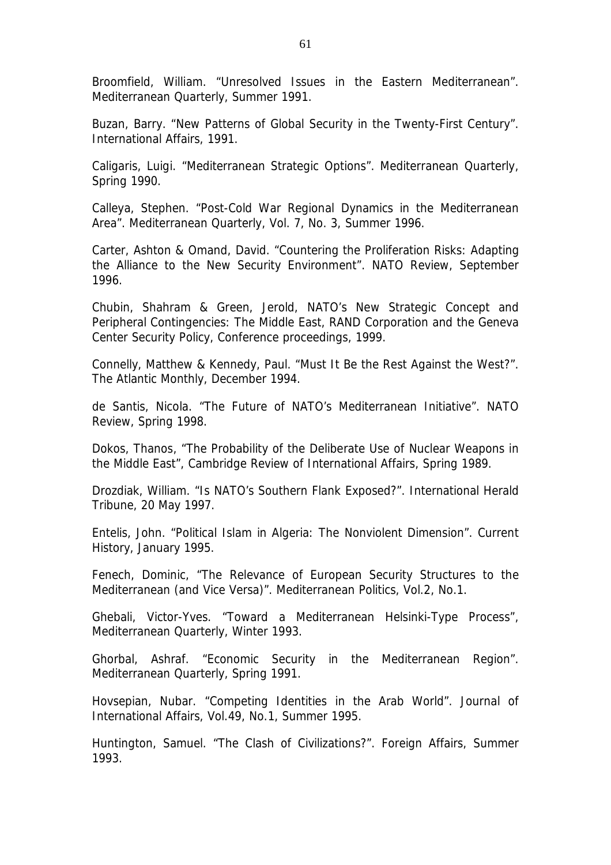Broomfield, William. "Unresolved Issues in the Eastern Mediterranean". *Mediterranean Quarterly*, Summer 1991.

Buzan, Barry. "New Patterns of Global Security in the Twenty-First Century". *International Affairs*, 1991.

Caligaris, Luigi. "Mediterranean Strategic Options". *Mediterranean Quarterly*, Spring 1990.

Calleya, Stephen. "Post-Cold War Regional Dynamics in the Mediterranean Area". *Mediterranean Quarterly*, Vol. 7, No. 3, Summer 1996.

Carter, Ashton & Omand, David. "Countering the Proliferation Risks: Adapting the Alliance to the New Security Environment". *NATO Review*, September 1996.

Chubin, Shahram & Green, Jerold, *NATO's New Strategic Concept and Peripheral Contingencies: The Middle East*, RAND Corporation and the Geneva Center Security Policy, Conference proceedings, 1999.

Connelly, Matthew & Kennedy, Paul. "Must It Be the Rest Against the West?". *The Atlantic Monthly*, December 1994.

de Santis, Nicola. "The Future of NATO's Mediterranean Initiative". *NATO Review*, Spring 1998.

Dokos, Thanos, "The Probability of the Deliberate Use of Nuclear Weapons in the Middle East", *Cambridge Review of International Affairs,* Spring 1989.

Drozdiak, William. "Is NATO's Southern Flank Exposed?". *International Herald Tribune*, 20 May 1997.

Entelis, John. "Political Islam in Algeria: The Nonviolent Dimension". *Current History*, January 1995.

Fenech, Dominic, "The Relevance of European Security Structures to the Mediterranean (and Vice Versa)". *Mediterranean Politics*, Vol.2, No.1.

Ghebali, Victor-Yves. "Toward a Mediterranean Helsinki-Type Process", *Mediterranean Quarterly*, Winter 1993.

Ghorbal, Ashraf. "Economic Security in the Mediterranean Region". *Mediterranean Quarterly*, Spring 1991.

Hovsepian, Nubar. "Competing Identities in the Arab World". *Journal of International Affairs*, Vol.49, No.1, Summer 1995.

Huntington, Samuel. "The Clash of Civilizations?". *Foreign Affairs*, Summer 1993.